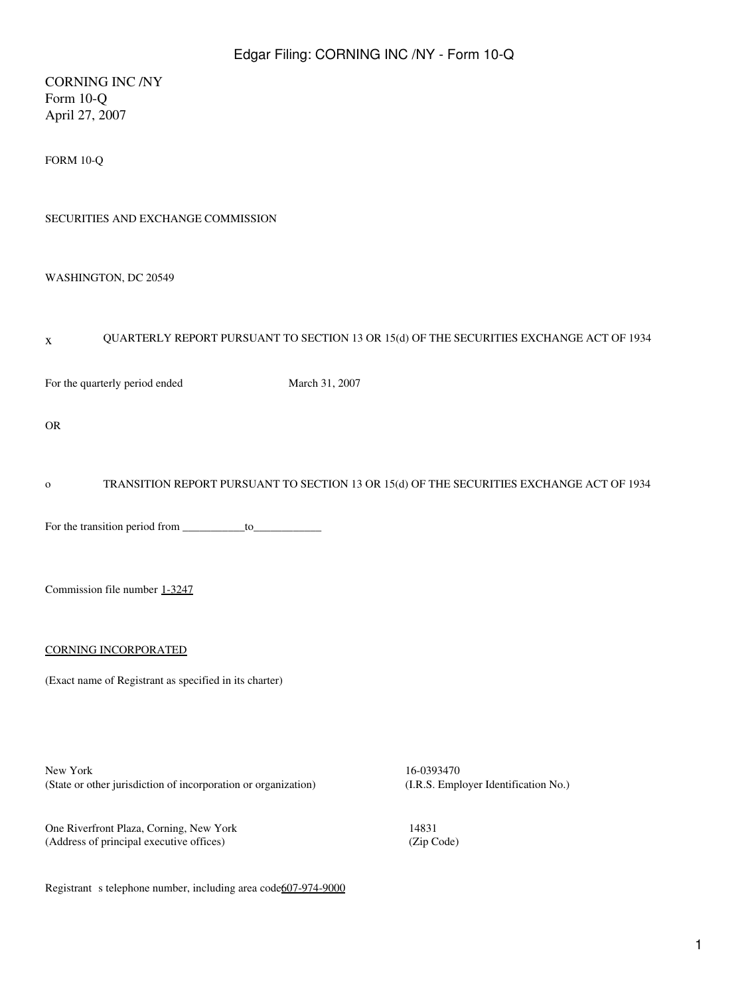CORNING INC /NY Form 10-Q April 27, 2007

FORM 10-Q

SECURITIES AND EXCHANGE COMMISSION

WASHINGTON, DC 20549

|  | QUARTERLY REPORT PURSUANT TO SECTION 13 OR 15(d) OF THE SECURITIES EXCHANGE ACT OF 1934 |
|--|-----------------------------------------------------------------------------------------|
|--|-----------------------------------------------------------------------------------------|

For the quarterly period ended March 31, 2007

OR

o TRANSITION REPORT PURSUANT TO SECTION 13 OR 15(d) OF THE SECURITIES EXCHANGE ACT OF 1934

For the transition period from \_\_\_\_\_\_\_\_\_\_\_\_\_to\_\_\_\_

Commission file number 1-3247

CORNING INCORPORATED

(Exact name of Registrant as specified in its charter)

New York 16-0393470 (State or other jurisdiction of incorporation or organization) (I.R.S. Employer Identification No.)

One Riverfront Plaza, Corning, New York 14831

(Address of principal executive offices) (Zip Code)

Registrant s telephone number, including area  $code607-974-9000$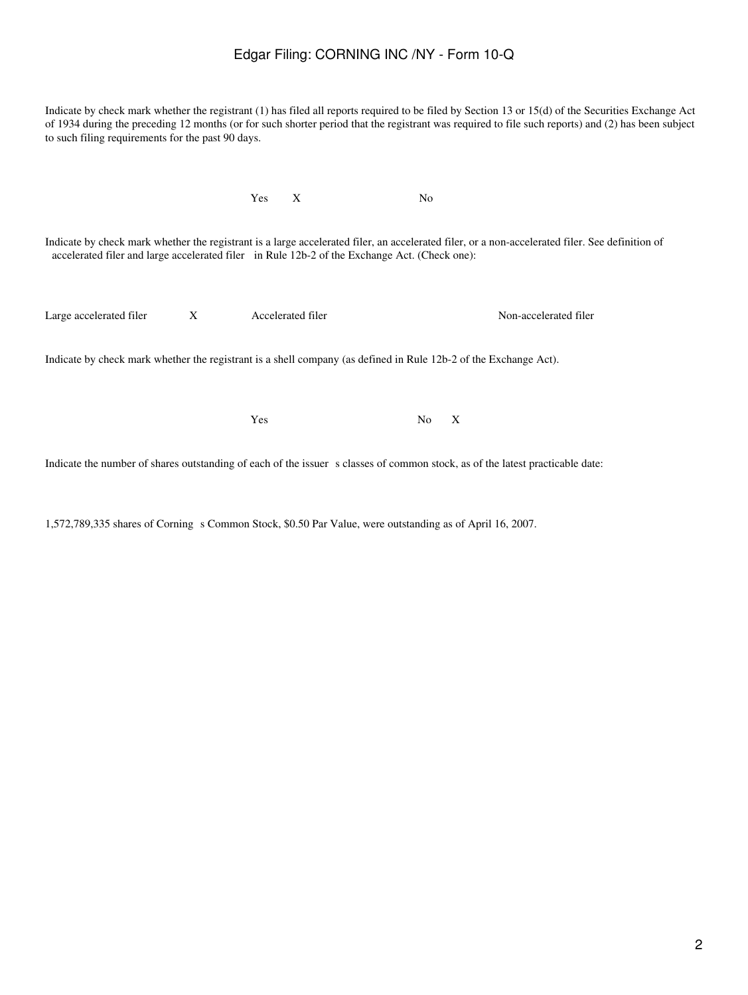Indicate by check mark whether the registrant (1) has filed all reports required to be filed by Section 13 or 15(d) of the Securities Exchange Act

of 1934 during the preceding 12 months (or for such shorter period that the registrant was required to file such reports) and (2) has been subject to such filing requirements for the past 90 days. Yes X No Indicate by check mark whether the registrant is a large accelerated filer, an accelerated filer, or a non-accelerated filer. See definition of accelerated filer and large accelerated filer in Rule 12b-2 of the Exchange Act. (Check one): Large accelerated filer  $X$  Accelerated filer Non-accelerated filer Indicate by check mark whether the registrant is a shell company (as defined in Rule 12b-2 of the Exchange Act). Yes No X Indicate the number of shares outstanding of each of the issuer s classes of common stock, as of the latest practicable date:

1,572,789,335 shares of Corning s Common Stock, \$0.50 Par Value, were outstanding as of April 16, 2007.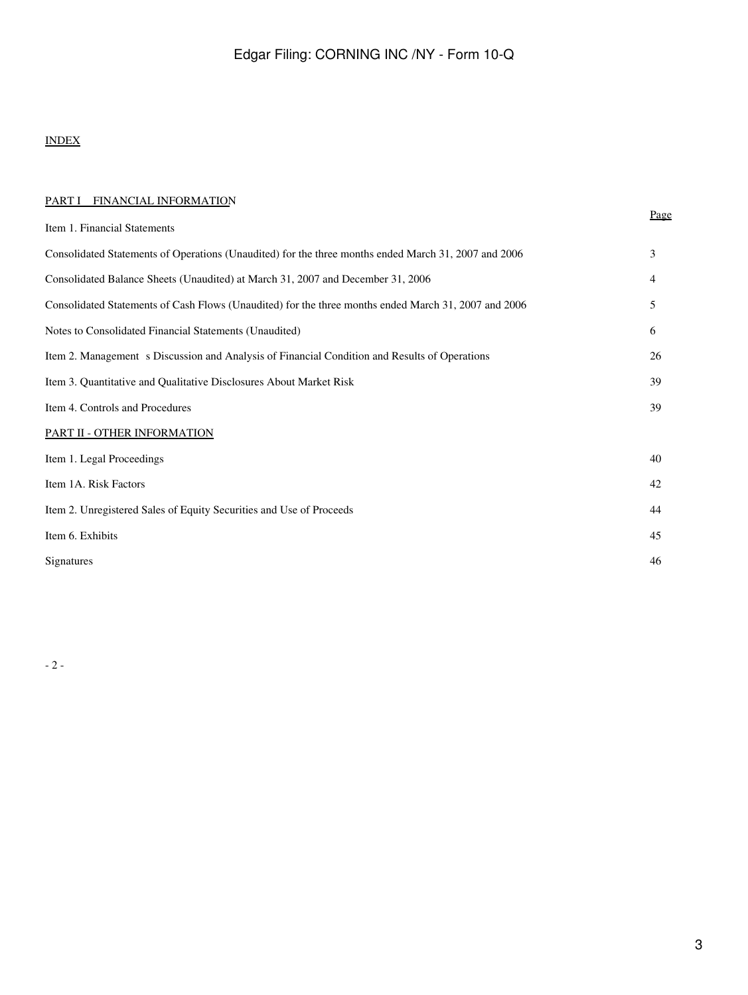### INDEX

### PART I FINANCIAL INFORMATION

|--|

| Item 1. Financial Statements                                                                         |    |
|------------------------------------------------------------------------------------------------------|----|
| Consolidated Statements of Operations (Unaudited) for the three months ended March 31, 2007 and 2006 | 3  |
| Consolidated Balance Sheets (Unaudited) at March 31, 2007 and December 31, 2006                      | 4  |
| Consolidated Statements of Cash Flows (Unaudited) for the three months ended March 31, 2007 and 2006 | 5  |
| Notes to Consolidated Financial Statements (Unaudited)                                               | 6  |
| Item 2. Management s Discussion and Analysis of Financial Condition and Results of Operations        | 26 |
| Item 3. Quantitative and Qualitative Disclosures About Market Risk                                   | 39 |
| Item 4. Controls and Procedures                                                                      | 39 |
| PART II - OTHER INFORMATION                                                                          |    |
| Item 1. Legal Proceedings                                                                            | 40 |
| Item 1A. Risk Factors                                                                                | 42 |
| Item 2. Unregistered Sales of Equity Securities and Use of Proceeds                                  | 44 |
| Item 6. Exhibits                                                                                     | 45 |
| Signatures                                                                                           | 46 |

- 2 -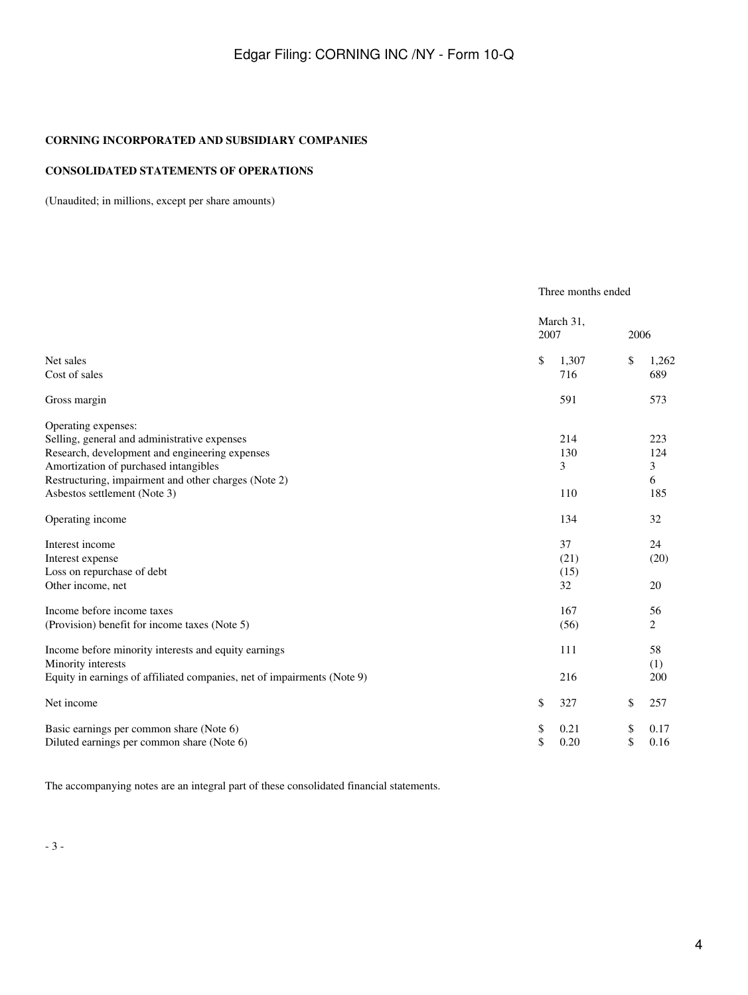### **CORNING INCORPORATED AND SUBSIDIARY COMPANIES**

### **CONSOLIDATED STATEMENTS OF OPERATIONS**

(Unaudited; in millions, except per share amounts)

Three months ended

|                                                                         | 2007 | March 31, | 2006 |       |
|-------------------------------------------------------------------------|------|-----------|------|-------|
| Net sales                                                               | \$   | 1,307     | \$   | 1,262 |
| Cost of sales                                                           |      | 716       |      | 689   |
| Gross margin                                                            |      | 591       |      | 573   |
| Operating expenses:                                                     |      |           |      |       |
| Selling, general and administrative expenses                            |      | 214       |      | 223   |
| Research, development and engineering expenses                          |      | 130       |      | 124   |
| Amortization of purchased intangibles                                   |      | 3         |      | 3     |
| Restructuring, impairment and other charges (Note 2)                    |      |           |      | 6     |
| Asbestos settlement (Note 3)                                            |      | 110       |      | 185   |
| Operating income                                                        |      | 134       |      | 32    |
| Interest income                                                         |      | 37        |      | 24    |
| Interest expense                                                        |      | (21)      |      | (20)  |
| Loss on repurchase of debt                                              |      | (15)      |      |       |
| Other income, net                                                       |      | 32        |      | 20    |
| Income before income taxes                                              |      | 167       |      | 56    |
| (Provision) benefit for income taxes (Note 5)                           |      | (56)      |      | 2     |
| Income before minority interests and equity earnings                    |      | 111       |      | 58    |
| Minority interests                                                      |      |           |      | (1)   |
| Equity in earnings of affiliated companies, net of impairments (Note 9) |      | 216       |      | 200   |
| Net income                                                              | \$   | 327       | \$   | 257   |
| Basic earnings per common share (Note 6)                                | \$   | 0.21      | \$   | 0.17  |
| Diluted earnings per common share (Note 6)                              | \$   | 0.20      | \$   | 0.16  |

The accompanying notes are an integral part of these consolidated financial statements.

- 3 -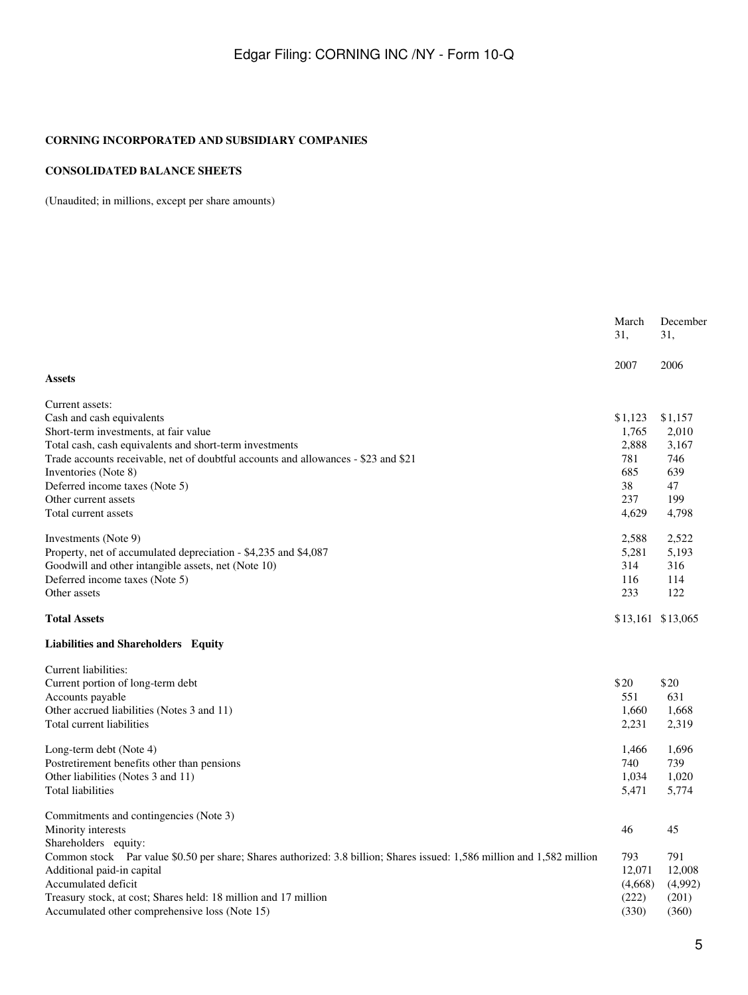### **CORNING INCORPORATED AND SUBSIDIARY COMPANIES**

### **CONSOLIDATED BALANCE SHEETS**

(Unaudited; in millions, except per share amounts)

|                                                                                                                         | March<br>31. | December<br>31,   |
|-------------------------------------------------------------------------------------------------------------------------|--------------|-------------------|
| <b>Assets</b>                                                                                                           | 2007         | 2006              |
| Current assets:                                                                                                         |              |                   |
| Cash and cash equivalents                                                                                               | \$1,123      | \$1,157           |
| Short-term investments, at fair value                                                                                   | 1,765        | 2,010             |
| Total cash, cash equivalents and short-term investments                                                                 | 2,888        | 3,167             |
| Trade accounts receivable, net of doubtful accounts and allowances - \$23 and \$21                                      | 781          | 746               |
| Inventories (Note 8)                                                                                                    | 685          | 639               |
| Deferred income taxes (Note 5)                                                                                          | 38           | 47                |
| Other current assets                                                                                                    | 237          | 199               |
| Total current assets                                                                                                    | 4,629        | 4,798             |
| Investments (Note 9)                                                                                                    | 2,588        | 2,522             |
| Property, net of accumulated depreciation - \$4,235 and \$4,087                                                         | 5,281        | 5,193             |
| Goodwill and other intangible assets, net (Note 10)                                                                     | 314          | 316               |
| Deferred income taxes (Note 5)                                                                                          | 116          | 114               |
| Other assets                                                                                                            | 233          | 122               |
| <b>Total Assets</b>                                                                                                     |              | \$13,161 \$13,065 |
| Liabilities and Shareholders Equity                                                                                     |              |                   |
| Current liabilities:                                                                                                    |              |                   |
| Current portion of long-term debt                                                                                       | \$20         | \$20              |
| Accounts payable                                                                                                        | 551          | 631               |
| Other accrued liabilities (Notes 3 and 11)                                                                              | 1,660        | 1,668             |
| Total current liabilities                                                                                               | 2,231        | 2,319             |
| Long-term debt (Note 4)                                                                                                 | 1.466        | 1,696             |
| Postretirement benefits other than pensions                                                                             | 740          | 739               |
| Other liabilities (Notes 3 and 11)                                                                                      | 1,034        | 1,020             |
| <b>Total liabilities</b>                                                                                                | 5,471        | 5,774             |
| Commitments and contingencies (Note 3)                                                                                  |              |                   |
| Minority interests                                                                                                      | 46           | 45                |
| Shareholders equity:                                                                                                    |              |                   |
| Common stock Par value \$0.50 per share; Shares authorized: 3.8 billion; Shares issued: 1,586 million and 1,582 million | 793          | 791               |
| Additional paid-in capital                                                                                              | 12,071       | 12,008            |
| Accumulated deficit                                                                                                     | (4,668)      | (4,992)           |
| Treasury stock, at cost; Shares held: 18 million and 17 million                                                         | (222)        | (201)             |
| Accumulated other comprehensive loss (Note 15)                                                                          | (330)        | (360)             |
|                                                                                                                         |              |                   |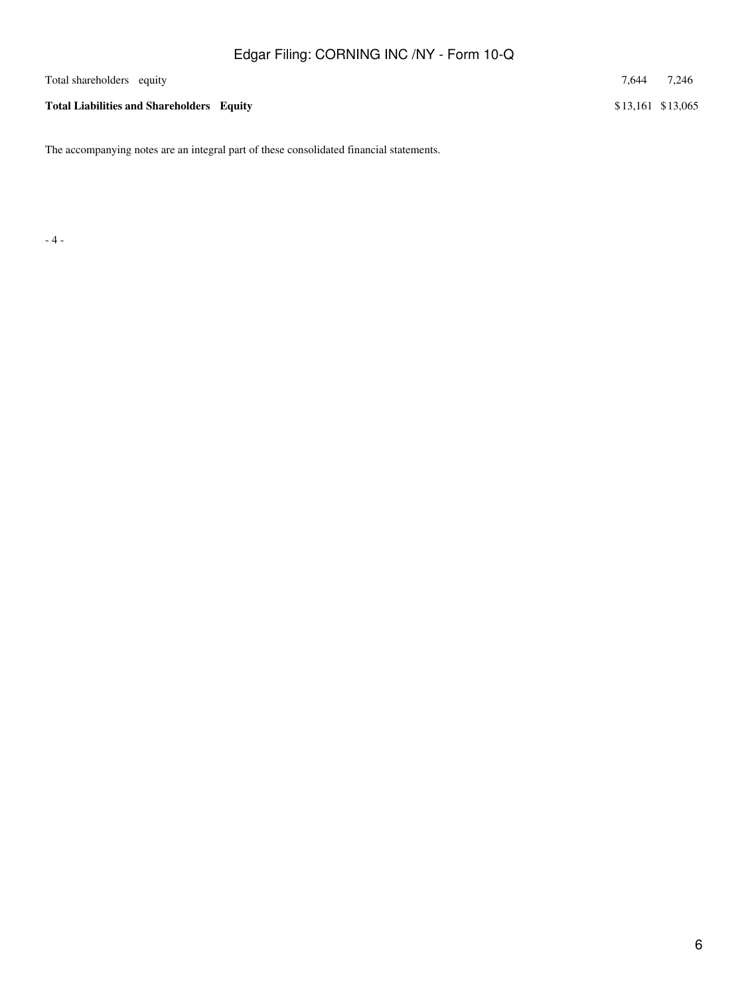| Total shareholders equity                        | 7.644 | 7.246             |
|--------------------------------------------------|-------|-------------------|
| <b>Total Liabilities and Shareholders Equity</b> |       | \$13,161 \$13,065 |

The accompanying notes are an integral part of these consolidated financial statements.

- 4 -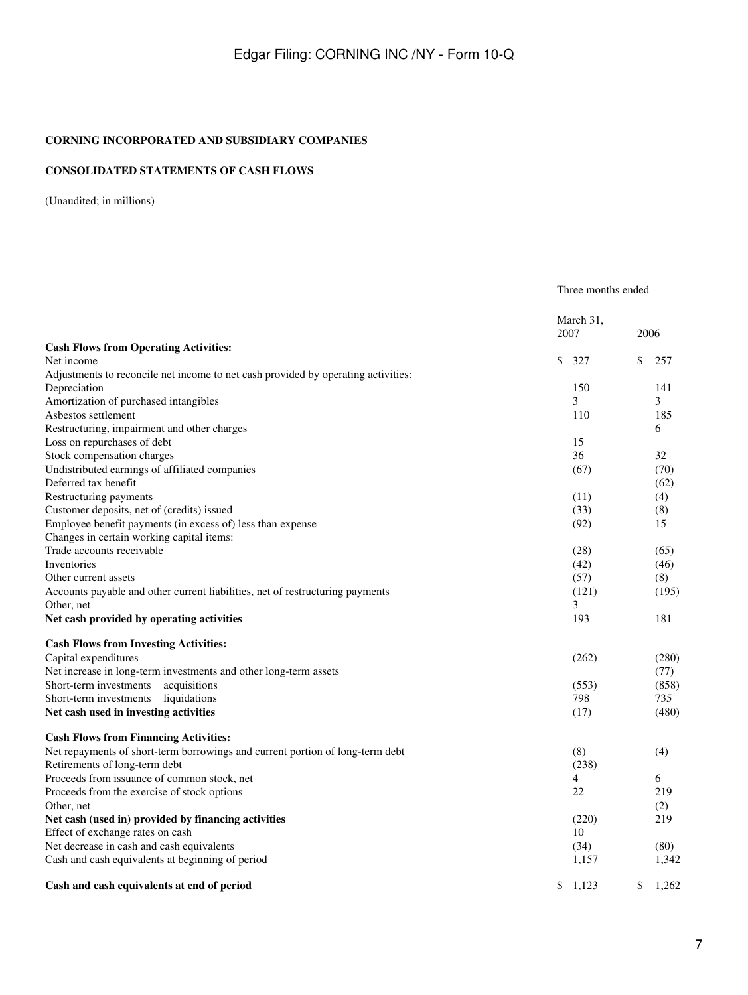### **CORNING INCORPORATED AND SUBSIDIARY COMPANIES**

### **CONSOLIDATED STATEMENTS OF CASH FLOWS**

(Unaudited; in millions)

### Three months ended

|                                                                                   | March 31,   |    |       |
|-----------------------------------------------------------------------------------|-------------|----|-------|
|                                                                                   | 2007        |    | 2006  |
| <b>Cash Flows from Operating Activities:</b>                                      |             |    |       |
| Net income                                                                        | \$<br>327   | \$ | 257   |
| Adjustments to reconcile net income to net cash provided by operating activities: |             |    |       |
| Depreciation                                                                      | 150         |    | 141   |
| Amortization of purchased intangibles                                             | 3           |    | 3     |
| Asbestos settlement                                                               | 110         |    | 185   |
| Restructuring, impairment and other charges                                       |             |    | 6     |
| Loss on repurchases of debt                                                       | 15          |    |       |
| Stock compensation charges                                                        | 36          |    | 32    |
| Undistributed earnings of affiliated companies                                    | (67)        |    | (70)  |
| Deferred tax benefit                                                              |             |    | (62)  |
| Restructuring payments                                                            | (11)        |    | (4)   |
| Customer deposits, net of (credits) issued                                        | (33)        |    | (8)   |
| Employee benefit payments (in excess of) less than expense                        | (92)        |    | 15    |
| Changes in certain working capital items:                                         |             |    |       |
| Trade accounts receivable                                                         | (28)        |    | (65)  |
| Inventories                                                                       | (42)        |    | (46)  |
| Other current assets                                                              | (57)        |    | (8)   |
| Accounts payable and other current liabilities, net of restructuring payments     | (121)       |    | (195) |
| Other, net                                                                        | 3           |    |       |
| Net cash provided by operating activities                                         | 193         |    | 181   |
| <b>Cash Flows from Investing Activities:</b>                                      |             |    |       |
| Capital expenditures                                                              | (262)       |    | (280) |
| Net increase in long-term investments and other long-term assets                  |             |    | (77)  |
| acquisitions<br>Short-term investments                                            | (553)       |    | (858) |
| liquidations<br>Short-term investments                                            | 798         |    | 735   |
| Net cash used in investing activities                                             | (17)        |    | (480) |
| <b>Cash Flows from Financing Activities:</b>                                      |             |    |       |
| Net repayments of short-term borrowings and current portion of long-term debt     | (8)         |    | (4)   |
| Retirements of long-term debt                                                     | (238)       |    |       |
| Proceeds from issuance of common stock, net                                       | 4           |    | 6     |
| Proceeds from the exercise of stock options                                       | 22          |    | 219   |
| Other, net                                                                        |             |    | (2)   |
| Net cash (used in) provided by financing activities                               | (220)       |    | 219   |
| Effect of exchange rates on cash                                                  | 10          |    |       |
| Net decrease in cash and cash equivalents                                         | (34)        |    | (80)  |
| Cash and cash equivalents at beginning of period                                  | 1,157       |    | 1,342 |
| Cash and cash equivalents at end of period                                        | \$<br>1,123 | \$ | 1,262 |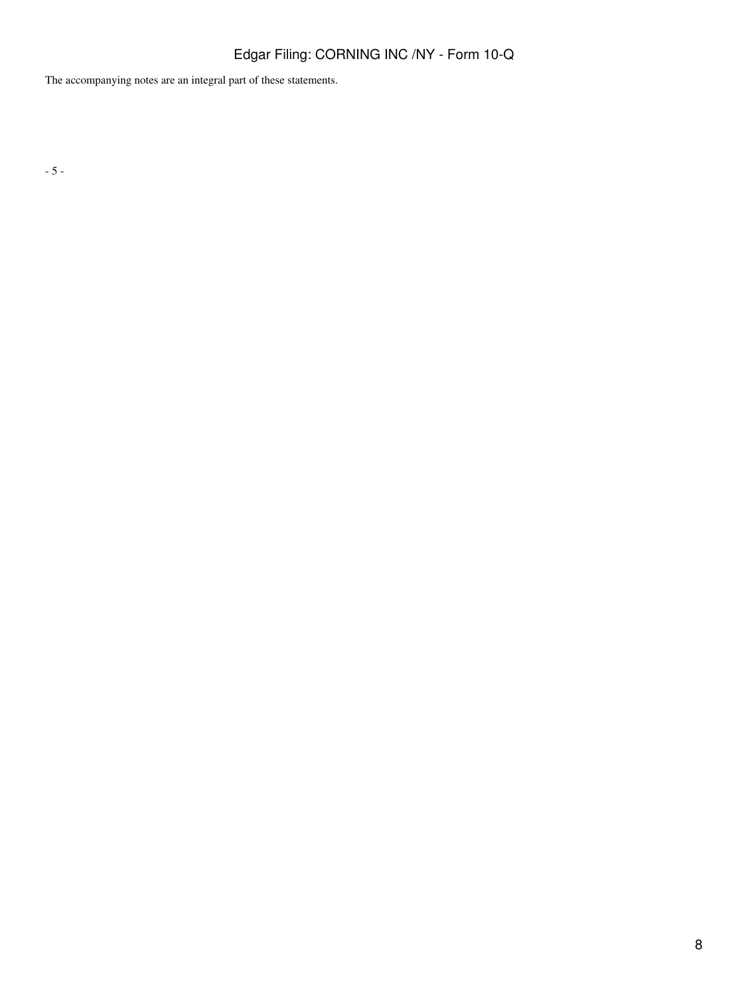The accompanying notes are an integral part of these statements.

- 5 -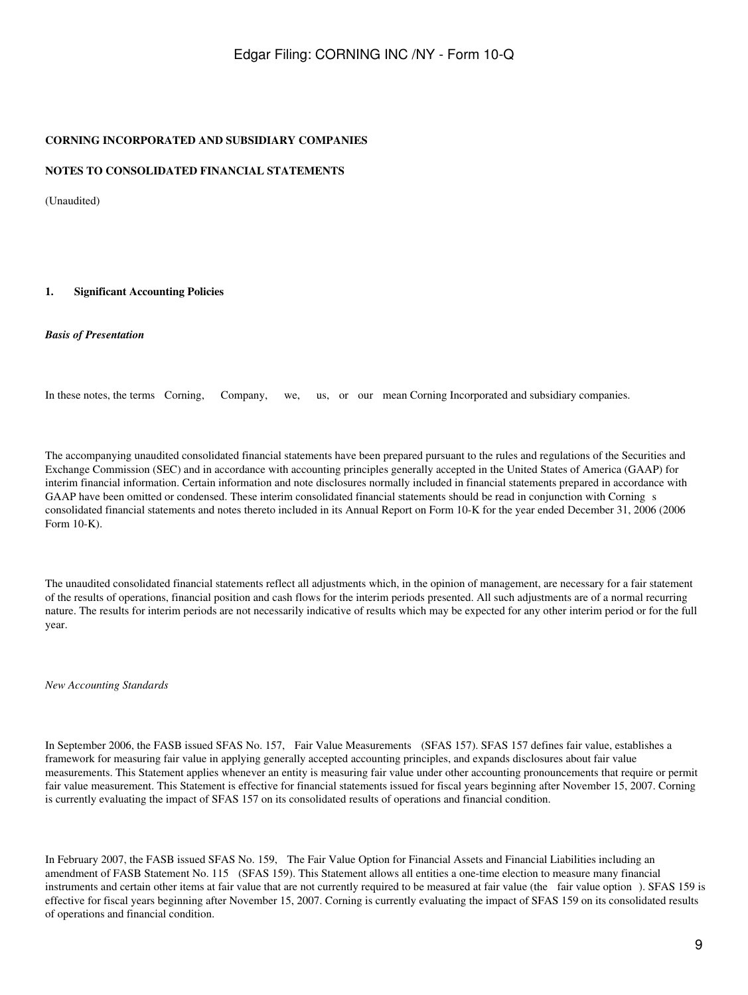### **CORNING INCORPORATED AND SUBSIDIARY COMPANIES**

#### **NOTES TO CONSOLIDATED FINANCIAL STATEMENTS**

(Unaudited)

#### **1. Significant Accounting Policies**

*Basis of Presentation*

In these notes, the terms Corning, Company, we, us, or our mean Corning Incorporated and subsidiary companies.

The accompanying unaudited consolidated financial statements have been prepared pursuant to the rules and regulations of the Securities and Exchange Commission (SEC) and in accordance with accounting principles generally accepted in the United States of America (GAAP) for interim financial information. Certain information and note disclosures normally included in financial statements prepared in accordance with GAAP have been omitted or condensed. These interim consolidated financial statements should be read in conjunction with Corning s consolidated financial statements and notes thereto included in its Annual Report on Form 10-K for the year ended December 31, 2006 (2006 Form 10-K).

The unaudited consolidated financial statements reflect all adjustments which, in the opinion of management, are necessary for a fair statement of the results of operations, financial position and cash flows for the interim periods presented. All such adjustments are of a normal recurring nature. The results for interim periods are not necessarily indicative of results which may be expected for any other interim period or for the full year.

*New Accounting Standards*

In September 2006, the FASB issued SFAS No. 157, Fair Value Measurements (SFAS 157). SFAS 157 defines fair value, establishes a framework for measuring fair value in applying generally accepted accounting principles, and expands disclosures about fair value measurements. This Statement applies whenever an entity is measuring fair value under other accounting pronouncements that require or permit fair value measurement. This Statement is effective for financial statements issued for fiscal years beginning after November 15, 2007. Corning is currently evaluating the impact of SFAS 157 on its consolidated results of operations and financial condition.

In February 2007, the FASB issued SFAS No. 159, The Fair Value Option for Financial Assets and Financial Liabilities including an amendment of FASB Statement No. 115 (SFAS 159). This Statement allows all entities a one-time election to measure many financial instruments and certain other items at fair value that are not currently required to be measured at fair value (the fair value option). SFAS 159 is effective for fiscal years beginning after November 15, 2007. Corning is currently evaluating the impact of SFAS 159 on its consolidated results of operations and financial condition.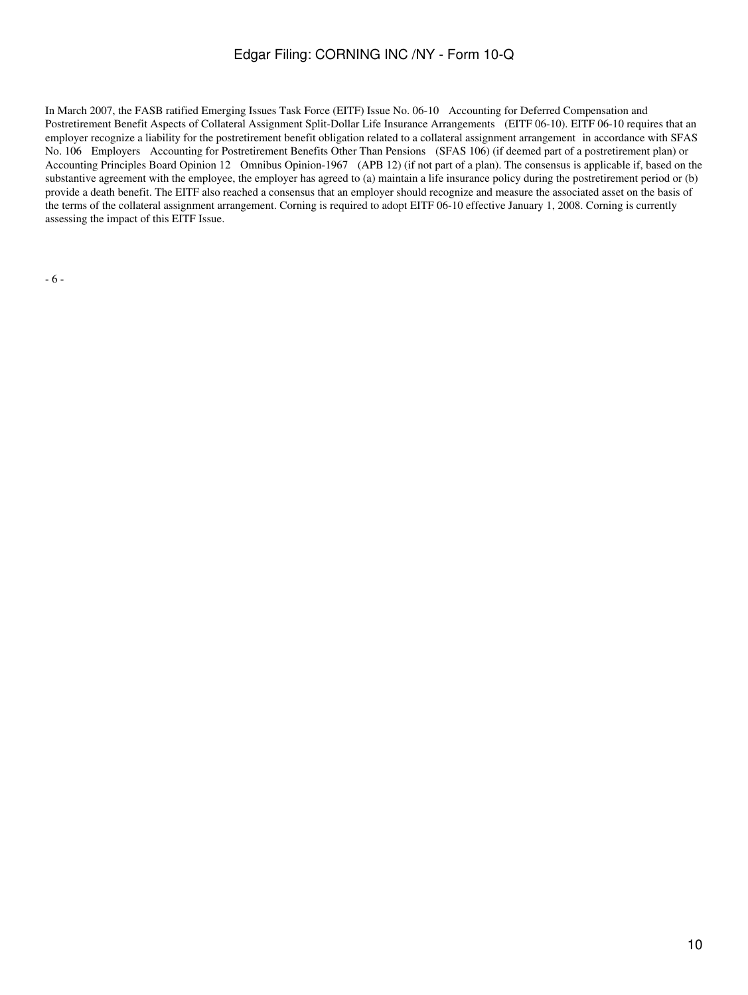In March 2007, the FASB ratified Emerging Issues Task Force (EITF) Issue No. 06-10 Accounting for Deferred Compensation and Postretirement Benefit Aspects of Collateral Assignment Split-Dollar Life Insurance Arrangements (EITF 06-10). EITF 06-10 requires that an employer recognize a liability for the postretirement benefit obligation related to a collateral assignment arrangement in accordance with SFAS No. 106 Employers Accounting for Postretirement Benefits Other Than Pensions (SFAS 106) (if deemed part of a postretirement plan) or Accounting Principles Board Opinion 12 Omnibus Opinion-1967 (APB 12) (if not part of a plan). The consensus is applicable if, based on the substantive agreement with the employee, the employer has agreed to (a) maintain a life insurance policy during the postretirement period or (b) provide a death benefit. The EITF also reached a consensus that an employer should recognize and measure the associated asset on the basis of the terms of the collateral assignment arrangement. Corning is required to adopt EITF 06-10 effective January 1, 2008. Corning is currently assessing the impact of this EITF Issue.

- 6 -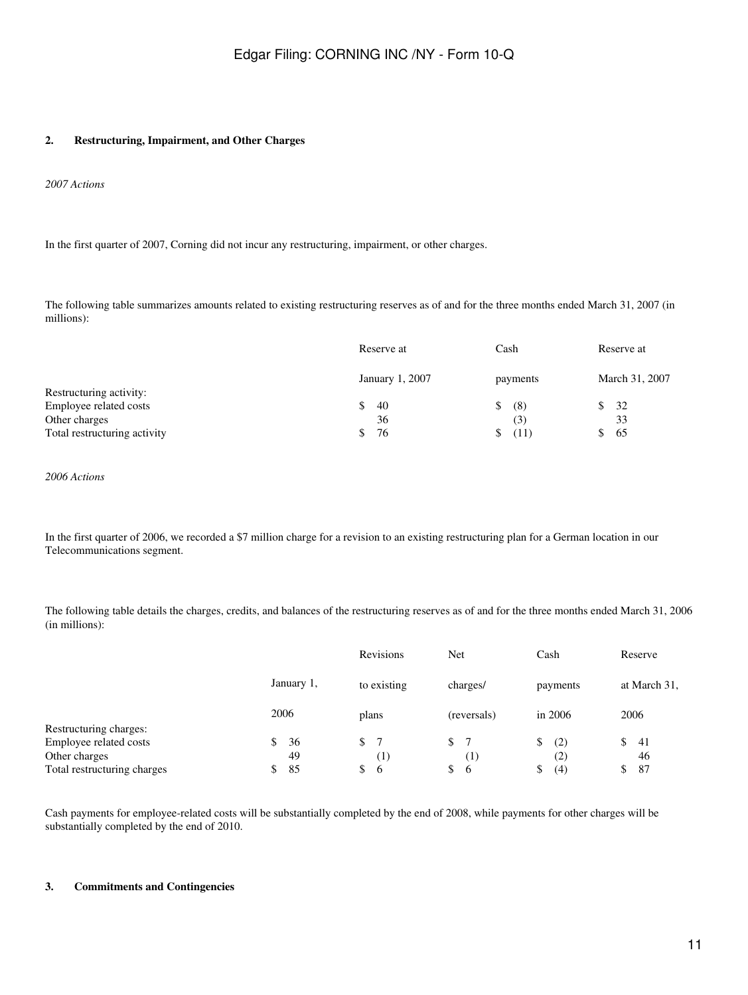#### **2. Restructuring, Impairment, and Other Charges**

#### *2007 Actions*

In the first quarter of 2007, Corning did not incur any restructuring, impairment, or other charges.

The following table summarizes amounts related to existing restructuring reserves as of and for the three months ended March 31, 2007 (in millions):

|                              | Reserve at      | Cash      | Reserve at     |
|------------------------------|-----------------|-----------|----------------|
|                              | January 1, 2007 | payments  | March 31, 2007 |
| Restructuring activity:      |                 |           |                |
| Employee related costs       | -40<br>\$       | (8)<br>\$ | - 32<br>\$     |
| Other charges                | 36              | (3)       | 33             |
| Total restructuring activity | 76<br>\$        | (11)      | -65<br>S.      |

#### *2006 Actions*

In the first quarter of 2006, we recorded a \$7 million charge for a revision to an existing restructuring plan for a German location in our Telecommunications segment.

The following table details the charges, credits, and balances of the restructuring reserves as of and for the three months ended March 31, 2006 (in millions):

|                             |            | Revisions           | Net              | Cash      | Reserve      |
|-----------------------------|------------|---------------------|------------------|-----------|--------------|
|                             | January 1, | to existing         | charges/         | payments  | at March 31, |
|                             | 2006       | plans               | (reversals)      | in $2006$ | 2006         |
| Restructuring charges:      |            |                     |                  |           |              |
| Employee related costs      | \$<br>36   | \$<br>-7            | $\frac{1}{2}$    | \$<br>(2) | \$<br>-41    |
| Other charges               | 49         | $\scriptstyle{(1)}$ | $\left(1\right)$ | (2)       | 46           |
| Total restructuring charges | 85<br>SS.  | \$.<br>-6           | $\frac{1}{2}$ 6  | \$<br>(4) | 87<br>\$.    |

Cash payments for employee-related costs will be substantially completed by the end of 2008, while payments for other charges will be substantially completed by the end of 2010.

#### **3. Commitments and Contingencies**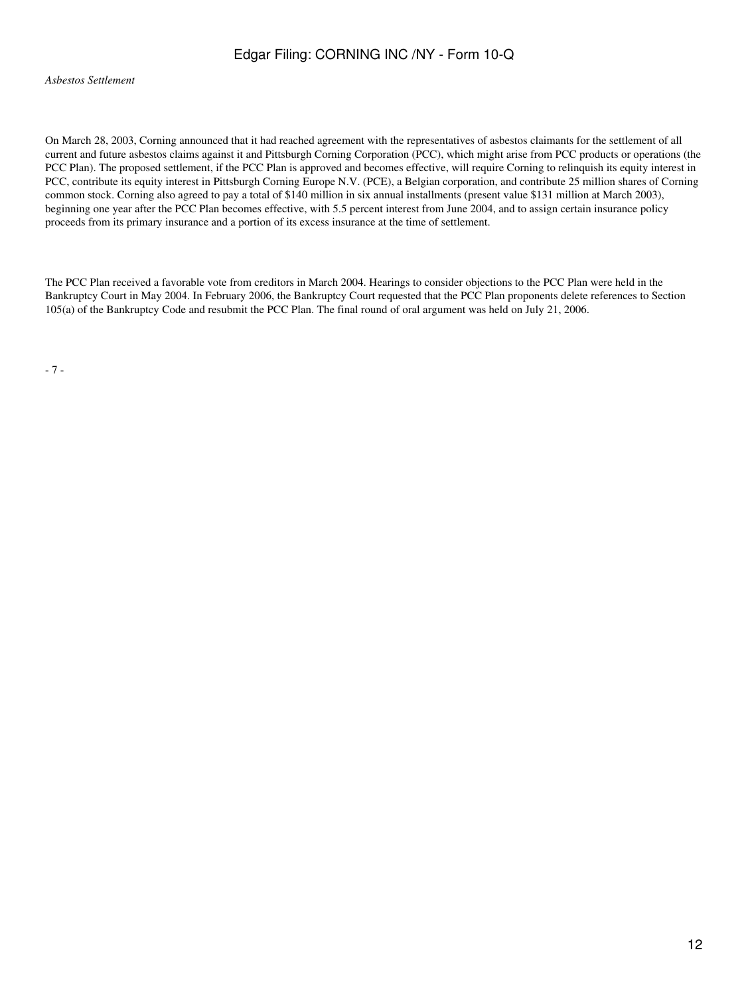*Asbestos Settlement*

On March 28, 2003, Corning announced that it had reached agreement with the representatives of asbestos claimants for the settlement of all current and future asbestos claims against it and Pittsburgh Corning Corporation (PCC), which might arise from PCC products or operations (the PCC Plan). The proposed settlement, if the PCC Plan is approved and becomes effective, will require Corning to relinquish its equity interest in PCC, contribute its equity interest in Pittsburgh Corning Europe N.V. (PCE), a Belgian corporation, and contribute 25 million shares of Corning common stock. Corning also agreed to pay a total of \$140 million in six annual installments (present value \$131 million at March 2003), beginning one year after the PCC Plan becomes effective, with 5.5 percent interest from June 2004, and to assign certain insurance policy proceeds from its primary insurance and a portion of its excess insurance at the time of settlement.

The PCC Plan received a favorable vote from creditors in March 2004. Hearings to consider objections to the PCC Plan were held in the Bankruptcy Court in May 2004. In February 2006, the Bankruptcy Court requested that the PCC Plan proponents delete references to Section 105(a) of the Bankruptcy Code and resubmit the PCC Plan. The final round of oral argument was held on July 21, 2006.

- 7 -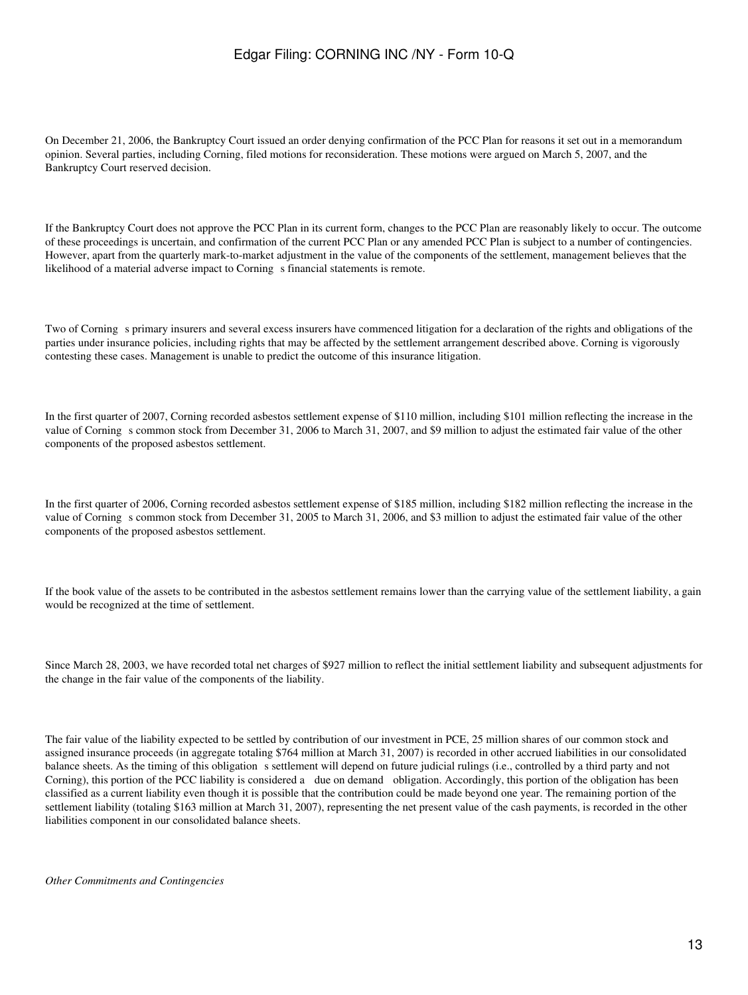On December 21, 2006, the Bankruptcy Court issued an order denying confirmation of the PCC Plan for reasons it set out in a memorandum opinion. Several parties, including Corning, filed motions for reconsideration. These motions were argued on March 5, 2007, and the Bankruptcy Court reserved decision.

If the Bankruptcy Court does not approve the PCC Plan in its current form, changes to the PCC Plan are reasonably likely to occur. The outcome of these proceedings is uncertain, and confirmation of the current PCC Plan or any amended PCC Plan is subject to a number of contingencies. However, apart from the quarterly mark-to-market adjustment in the value of the components of the settlement, management believes that the likelihood of a material adverse impact to Corning s financial statements is remote.

Two of Corning s primary insurers and several excess insurers have commenced litigation for a declaration of the rights and obligations of the parties under insurance policies, including rights that may be affected by the settlement arrangement described above. Corning is vigorously contesting these cases. Management is unable to predict the outcome of this insurance litigation.

In the first quarter of 2007, Corning recorded asbestos settlement expense of \$110 million, including \$101 million reflecting the increase in the value of Corning s common stock from December 31, 2006 to March 31, 2007, and \$9 million to adjust the estimated fair value of the other components of the proposed asbestos settlement.

In the first quarter of 2006, Corning recorded asbestos settlement expense of \$185 million, including \$182 million reflecting the increase in the value of Corning s common stock from December 31, 2005 to March 31, 2006, and \$3 million to adjust the estimated fair value of the other components of the proposed asbestos settlement.

If the book value of the assets to be contributed in the asbestos settlement remains lower than the carrying value of the settlement liability, a gain would be recognized at the time of settlement.

Since March 28, 2003, we have recorded total net charges of \$927 million to reflect the initial settlement liability and subsequent adjustments for the change in the fair value of the components of the liability.

The fair value of the liability expected to be settled by contribution of our investment in PCE, 25 million shares of our common stock and assigned insurance proceeds (in aggregate totaling \$764 million at March 31, 2007) is recorded in other accrued liabilities in our consolidated balance sheets. As the timing of this obligation s settlement will depend on future judicial rulings (i.e., controlled by a third party and not Corning), this portion of the PCC liability is considered a due on demand obligation. Accordingly, this portion of the obligation has been classified as a current liability even though it is possible that the contribution could be made beyond one year. The remaining portion of the settlement liability (totaling \$163 million at March 31, 2007), representing the net present value of the cash payments, is recorded in the other liabilities component in our consolidated balance sheets.

*Other Commitments and Contingencies*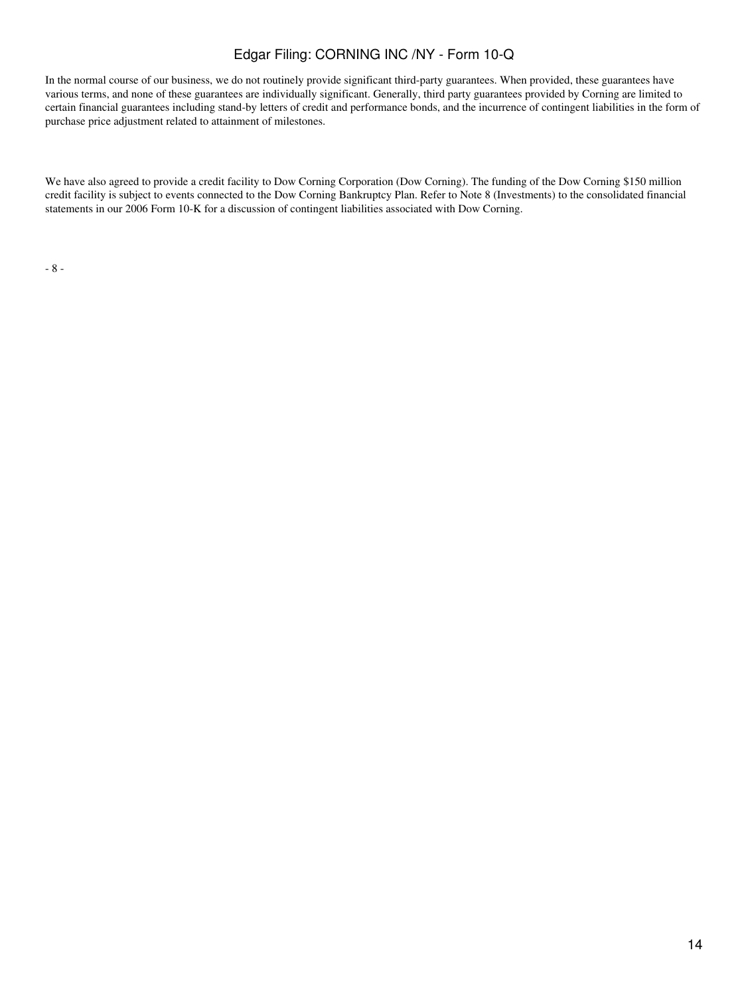In the normal course of our business, we do not routinely provide significant third-party guarantees. When provided, these guarantees have various terms, and none of these guarantees are individually significant. Generally, third party guarantees provided by Corning are limited to certain financial guarantees including stand-by letters of credit and performance bonds, and the incurrence of contingent liabilities in the form of purchase price adjustment related to attainment of milestones.

We have also agreed to provide a credit facility to Dow Corning Corporation (Dow Corning). The funding of the Dow Corning \$150 million credit facility is subject to events connected to the Dow Corning Bankruptcy Plan. Refer to Note 8 (Investments) to the consolidated financial statements in our 2006 Form 10-K for a discussion of contingent liabilities associated with Dow Corning.

- 8 -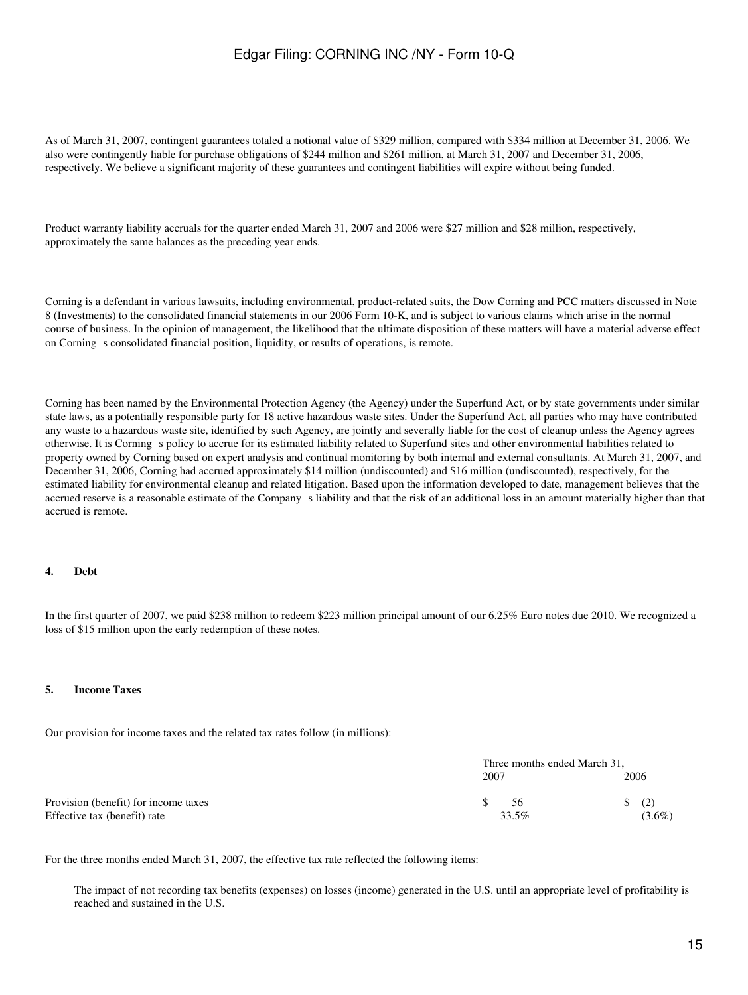As of March 31, 2007, contingent guarantees totaled a notional value of \$329 million, compared with \$334 million at December 31, 2006. We also were contingently liable for purchase obligations of \$244 million and \$261 million, at March 31, 2007 and December 31, 2006, respectively. We believe a significant majority of these guarantees and contingent liabilities will expire without being funded.

Product warranty liability accruals for the quarter ended March 31, 2007 and 2006 were \$27 million and \$28 million, respectively, approximately the same balances as the preceding year ends.

Corning is a defendant in various lawsuits, including environmental, product-related suits, the Dow Corning and PCC matters discussed in Note 8 (Investments) to the consolidated financial statements in our 2006 Form 10-K, and is subject to various claims which arise in the normal course of business. In the opinion of management, the likelihood that the ultimate disposition of these matters will have a material adverse effect on Corning s consolidated financial position, liquidity, or results of operations, is remote.

Corning has been named by the Environmental Protection Agency (the Agency) under the Superfund Act, or by state governments under similar state laws, as a potentially responsible party for 18 active hazardous waste sites. Under the Superfund Act, all parties who may have contributed any waste to a hazardous waste site, identified by such Agency, are jointly and severally liable for the cost of cleanup unless the Agency agrees otherwise. It is Corning s policy to accrue for its estimated liability related to Superfund sites and other environmental liabilities related to property owned by Corning based on expert analysis and continual monitoring by both internal and external consultants. At March 31, 2007, and December 31, 2006, Corning had accrued approximately \$14 million (undiscounted) and \$16 million (undiscounted), respectively, for the estimated liability for environmental cleanup and related litigation. Based upon the information developed to date, management believes that the accrued reserve is a reasonable estimate of the Companys liability and that the risk of an additional loss in an amount materially higher than that accrued is remote.

#### **4. Debt**

In the first quarter of 2007, we paid \$238 million to redeem \$223 million principal amount of our 6.25% Euro notes due 2010. We recognized a loss of \$15 million upon the early redemption of these notes.

#### **5. Income Taxes**

Our provision for income taxes and the related tax rates follow (in millions):

|                                      |       | Three months ended March 31, |  |  |
|--------------------------------------|-------|------------------------------|--|--|
|                                      | 2007  | 2006                         |  |  |
| Provision (benefit) for income taxes | 56    | S.<br>(2)                    |  |  |
| Effective tax (benefit) rate         | 33.5% | $(3.6\%)$                    |  |  |

For the three months ended March 31, 2007, the effective tax rate reflected the following items:

The impact of not recording tax benefits (expenses) on losses (income) generated in the U.S. until an appropriate level of profitability is reached and sustained in the U.S.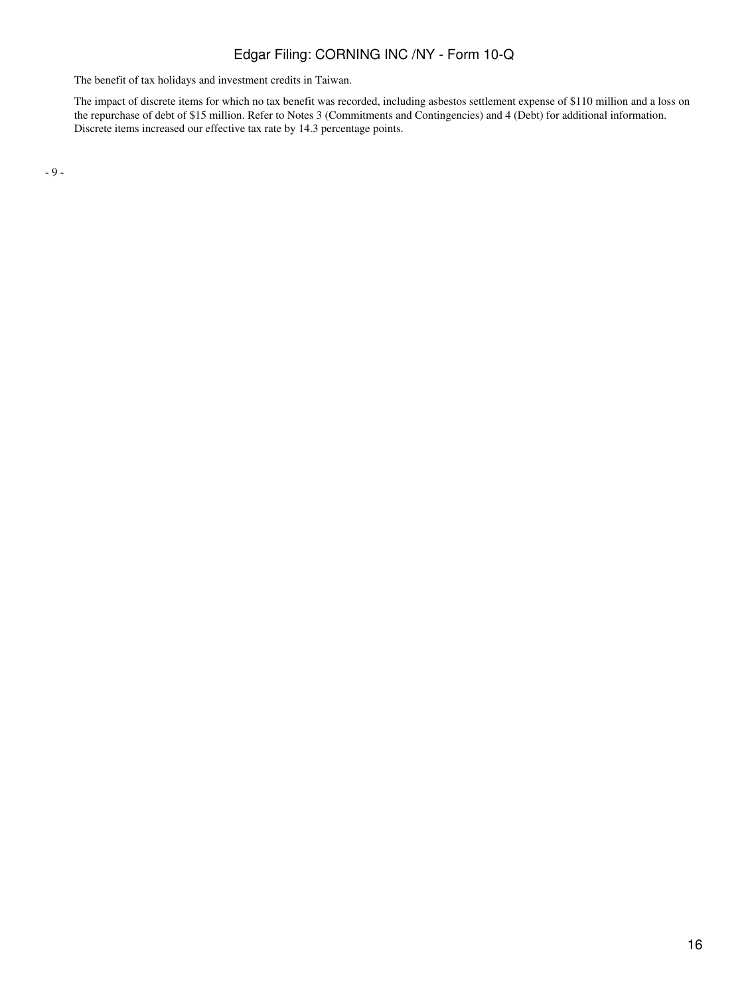The benefit of tax holidays and investment credits in Taiwan.

The impact of discrete items for which no tax benefit was recorded, including asbestos settlement expense of \$110 million and a loss on the repurchase of debt of \$15 million. Refer to Notes 3 (Commitments and Contingencies) and 4 (Debt) for additional information. Discrete items increased our effective tax rate by 14.3 percentage points.

- 9 -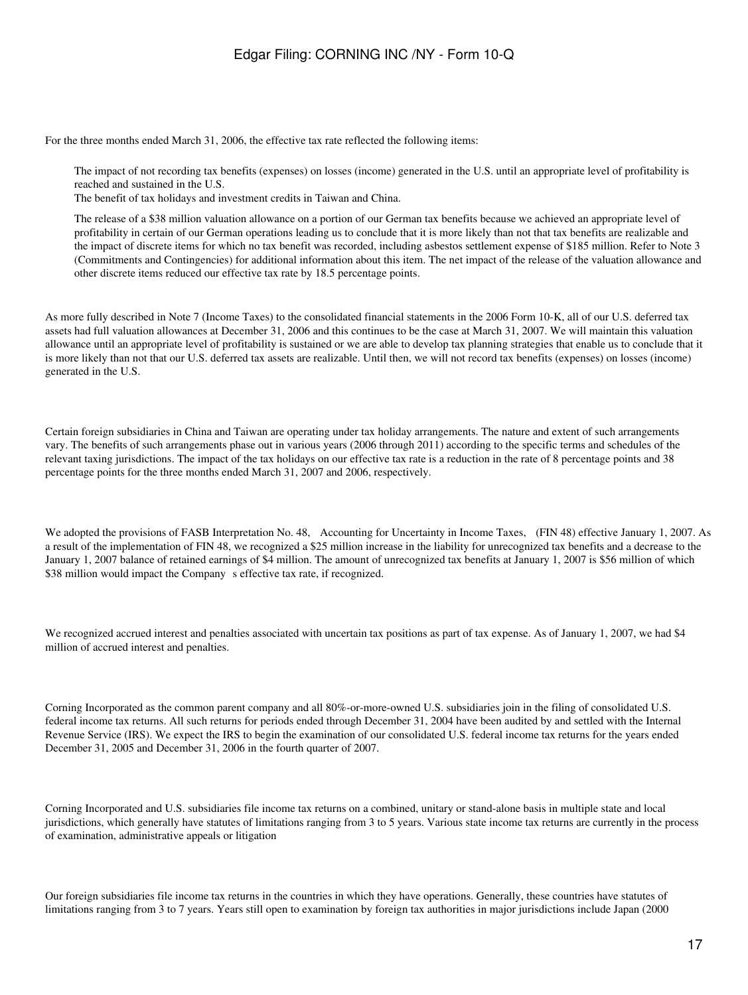For the three months ended March 31, 2006, the effective tax rate reflected the following items:

The impact of not recording tax benefits (expenses) on losses (income) generated in the U.S. until an appropriate level of profitability is reached and sustained in the U.S.

The benefit of tax holidays and investment credits in Taiwan and China.

The release of a \$38 million valuation allowance on a portion of our German tax benefits because we achieved an appropriate level of profitability in certain of our German operations leading us to conclude that it is more likely than not that tax benefits are realizable and the impact of discrete items for which no tax benefit was recorded, including asbestos settlement expense of \$185 million. Refer to Note 3 (Commitments and Contingencies) for additional information about this item. The net impact of the release of the valuation allowance and other discrete items reduced our effective tax rate by 18.5 percentage points.

As more fully described in Note 7 (Income Taxes) to the consolidated financial statements in the 2006 Form 10-K, all of our U.S. deferred tax assets had full valuation allowances at December 31, 2006 and this continues to be the case at March 31, 2007. We will maintain this valuation allowance until an appropriate level of profitability is sustained or we are able to develop tax planning strategies that enable us to conclude that it is more likely than not that our U.S. deferred tax assets are realizable. Until then, we will not record tax benefits (expenses) on losses (income) generated in the U.S.

Certain foreign subsidiaries in China and Taiwan are operating under tax holiday arrangements. The nature and extent of such arrangements vary. The benefits of such arrangements phase out in various years (2006 through 2011) according to the specific terms and schedules of the relevant taxing jurisdictions. The impact of the tax holidays on our effective tax rate is a reduction in the rate of 8 percentage points and 38 percentage points for the three months ended March 31, 2007 and 2006, respectively.

We adopted the provisions of FASB Interpretation No. 48, Accounting for Uncertainty in Income Taxes, (FIN 48) effective January 1, 2007. As a result of the implementation of FIN 48, we recognized a \$25 million increase in the liability for unrecognized tax benefits and a decrease to the January 1, 2007 balance of retained earnings of \$4 million. The amount of unrecognized tax benefits at January 1, 2007 is \$56 million of which \$38 million would impact the Company s effective tax rate, if recognized.

We recognized accrued interest and penalties associated with uncertain tax positions as part of tax expense. As of January 1, 2007, we had \$4 million of accrued interest and penalties.

Corning Incorporated as the common parent company and all 80%-or-more-owned U.S. subsidiaries join in the filing of consolidated U.S. federal income tax returns. All such returns for periods ended through December 31, 2004 have been audited by and settled with the Internal Revenue Service (IRS). We expect the IRS to begin the examination of our consolidated U.S. federal income tax returns for the years ended December 31, 2005 and December 31, 2006 in the fourth quarter of 2007.

Corning Incorporated and U.S. subsidiaries file income tax returns on a combined, unitary or stand-alone basis in multiple state and local jurisdictions, which generally have statutes of limitations ranging from 3 to 5 years. Various state income tax returns are currently in the process of examination, administrative appeals or litigation

Our foreign subsidiaries file income tax returns in the countries in which they have operations. Generally, these countries have statutes of limitations ranging from 3 to 7 years. Years still open to examination by foreign tax authorities in major jurisdictions include Japan (2000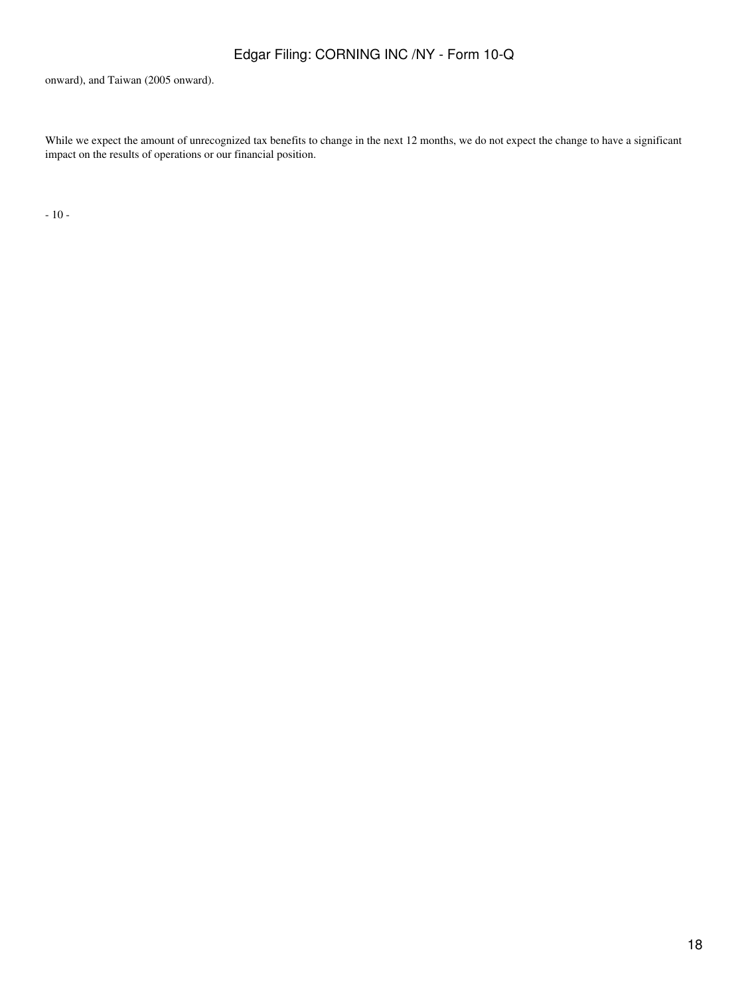onward), and Taiwan (2005 onward).

While we expect the amount of unrecognized tax benefits to change in the next 12 months, we do not expect the change to have a significant impact on the results of operations or our financial position.

- 10 -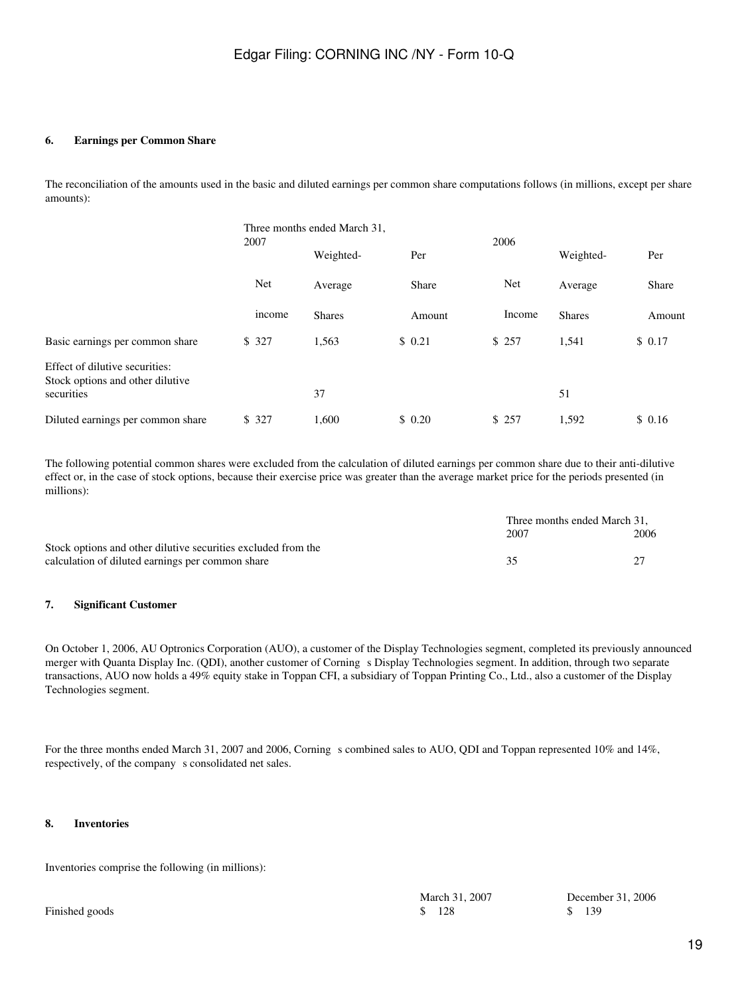#### **6. Earnings per Common Share**

The reconciliation of the amounts used in the basic and diluted earnings per common share computations follows (in millions, except per share amounts):

|                                                                    | Three months ended March 31,<br>2007 |               |              | 2006   |               |        |  |
|--------------------------------------------------------------------|--------------------------------------|---------------|--------------|--------|---------------|--------|--|
|                                                                    |                                      | Weighted-     | Per          |        | Weighted-     | Per    |  |
|                                                                    | Net                                  | Average       | <b>Share</b> | Net    | Average       | Share  |  |
|                                                                    | income                               | <b>Shares</b> | Amount       | Income | <b>Shares</b> | Amount |  |
| Basic earnings per common share                                    | \$327                                | 1,563         | \$0.21       | \$257  | 1,541         | \$0.17 |  |
| Effect of dilutive securities:<br>Stock options and other dilutive |                                      |               |              |        |               |        |  |
| securities                                                         |                                      | 37            |              |        | 51            |        |  |
| Diluted earnings per common share                                  | \$327                                | 1,600         | \$0.20       | \$ 257 | 1,592         | \$0.16 |  |

The following potential common shares were excluded from the calculation of diluted earnings per common share due to their anti-dilutive effect or, in the case of stock options, because their exercise price was greater than the average market price for the periods presented (in millions):

|                                                               | Three months ended March 31. |      |  |
|---------------------------------------------------------------|------------------------------|------|--|
|                                                               | 2007                         | 2006 |  |
| Stock options and other dilutive securities excluded from the |                              |      |  |
| calculation of diluted earnings per common share              |                              |      |  |

#### **7. Significant Customer**

On October 1, 2006, AU Optronics Corporation (AUO), a customer of the Display Technologies segment, completed its previously announced merger with Quanta Display Inc. (QDI), another customer of Cornings Display Technologies segment. In addition, through two separate transactions, AUO now holds a 49% equity stake in Toppan CFI, a subsidiary of Toppan Printing Co., Ltd., also a customer of the Display Technologies segment.

For the three months ended March 31, 2007 and 2006, Corning s combined sales to AUO, QDI and Toppan represented 10% and 14%, respectively, of the company s consolidated net sales.

#### **8. Inventories**

Inventories comprise the following (in millions):

March 31, 2007 December 31, 2006 Finished goods \$ 128 \$ 139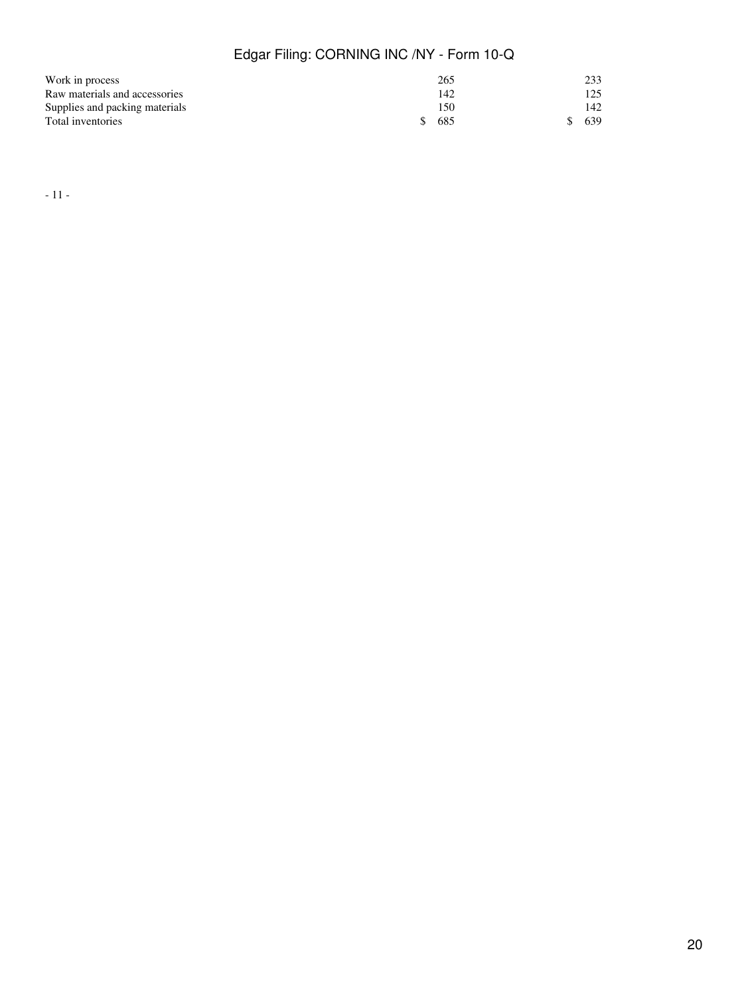| Work in process                | 265    | 233   |
|--------------------------------|--------|-------|
| Raw materials and accessories  | 142    | 125   |
| Supplies and packing materials | 150.   | 142   |
| Total inventories              | \$ 685 | \$639 |

- 11 -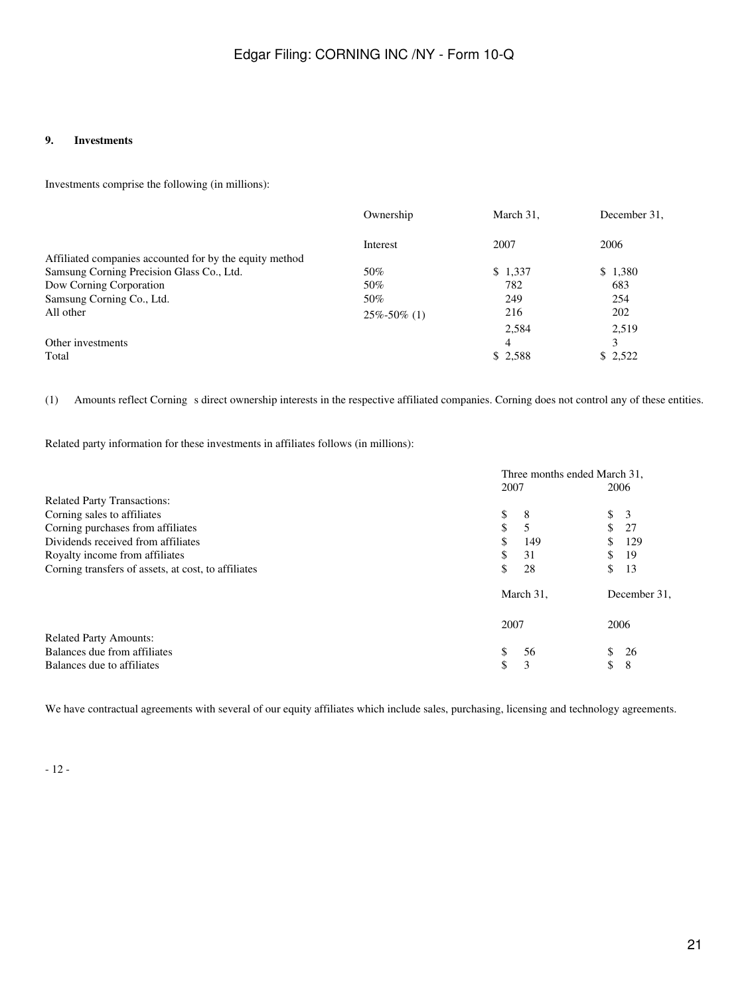### **9. Investments**

Investments comprise the following (in millions):

|                                                         | Ownership         | March 31,      | December 31. |
|---------------------------------------------------------|-------------------|----------------|--------------|
|                                                         | Interest          | 2007           | 2006         |
| Affiliated companies accounted for by the equity method |                   |                |              |
| Samsung Corning Precision Glass Co., Ltd.               | 50%               | \$1,337        | \$1,380      |
| Dow Corning Corporation                                 | 50%               | 782            | 683          |
| Samsung Corning Co., Ltd.                               | 50%               | 249            | 254          |
| All other                                               | $25\% - 50\%$ (1) | 216            | 202          |
|                                                         |                   | 2,584          | 2,519        |
| Other investments                                       |                   | $\overline{4}$ | 3            |
| Total                                                   |                   | \$2,588        | \$2,522      |

(1) Amounts reflect Corning s direct ownership interests in the respective affiliated companies. Corning does not control any of these entities.

Related party information for these investments in affiliates follows (in millions):

|                                                     | Three months ended March 31, |              |  |
|-----------------------------------------------------|------------------------------|--------------|--|
|                                                     | 2007                         | 2006         |  |
| <b>Related Party Transactions:</b>                  |                              |              |  |
| Corning sales to affiliates                         | \$<br>8                      | \$<br>-3     |  |
| Corning purchases from affiliates                   | \$<br>5                      | \$<br>-27    |  |
| Dividends received from affiliates                  | \$<br>149                    | S<br>129     |  |
| Royalty income from affiliates                      | \$<br>31                     | \$<br>-19    |  |
| Corning transfers of assets, at cost, to affiliates | \$<br>28                     | \$<br>13     |  |
|                                                     | March 31,                    | December 31. |  |
|                                                     | 2007                         | 2006         |  |
| <b>Related Party Amounts:</b>                       |                              |              |  |
| Balances due from affiliates                        | \$<br>56                     | \$<br>26     |  |
| Balances due to affiliates                          | \$<br>3                      | \$<br>8      |  |

We have contractual agreements with several of our equity affiliates which include sales, purchasing, licensing and technology agreements.

- 12 -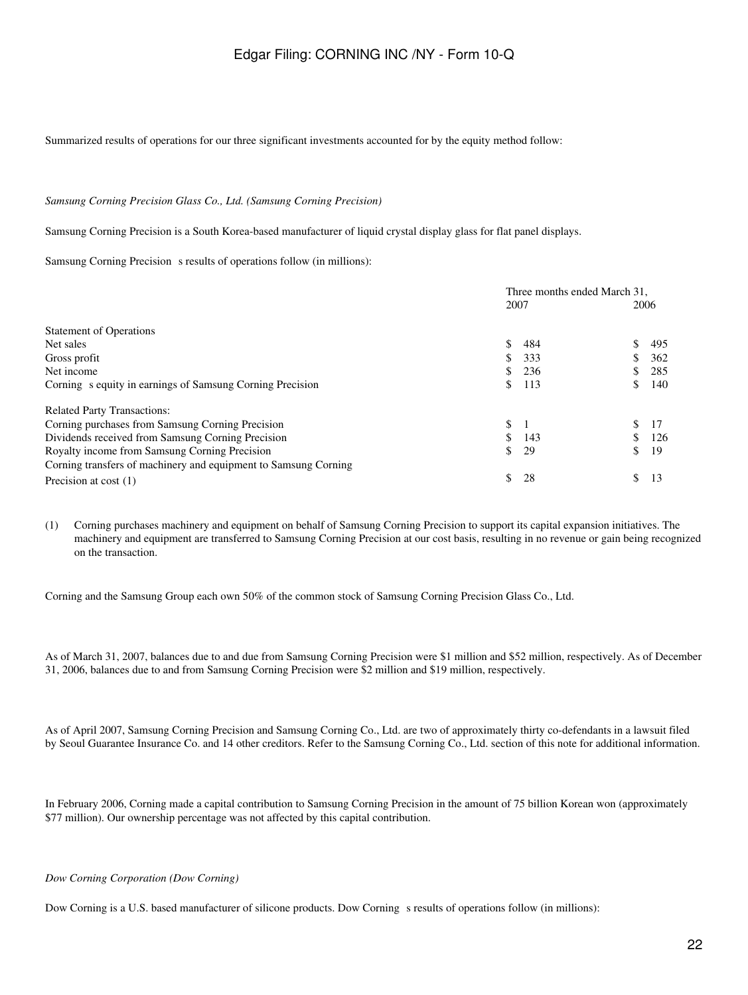Summarized results of operations for our three significant investments accounted for by the equity method follow:

#### *Samsung Corning Precision Glass Co., Ltd. (Samsung Corning Precision)*

Samsung Corning Precision is a South Korea-based manufacturer of liquid crystal display glass for flat panel displays.

Samsung Corning Precision s results of operations follow (in millions):

|                                                                 | Three months ended March 31, |     |      |     |
|-----------------------------------------------------------------|------------------------------|-----|------|-----|
|                                                                 | 2007                         |     | 2006 |     |
| <b>Statement of Operations</b>                                  |                              |     |      |     |
| Net sales                                                       | \$                           | 484 |      | 495 |
| Gross profit                                                    |                              | 333 |      | 362 |
| Net income                                                      | \$.                          | 236 |      | 285 |
| Corning s equity in earnings of Samsung Corning Precision       | S                            | 113 |      | 140 |
| <b>Related Party Transactions:</b>                              |                              |     |      |     |
| Corning purchases from Samsung Corning Precision                | \$                           |     | \$   | 17  |
| Dividends received from Samsung Corning Precision               | \$.                          | 143 |      | 126 |
| Royalty income from Samsung Corning Precision                   | \$.                          | -29 | \$.  | 19  |
| Corning transfers of machinery and equipment to Samsung Corning |                              |     |      |     |
| Precision at cost (1)                                           | \$                           | 28  |      | 13  |

(1) Corning purchases machinery and equipment on behalf of Samsung Corning Precision to support its capital expansion initiatives. The machinery and equipment are transferred to Samsung Corning Precision at our cost basis, resulting in no revenue or gain being recognized on the transaction.

Corning and the Samsung Group each own 50% of the common stock of Samsung Corning Precision Glass Co., Ltd.

As of March 31, 2007, balances due to and due from Samsung Corning Precision were \$1 million and \$52 million, respectively. As of December 31, 2006, balances due to and from Samsung Corning Precision were \$2 million and \$19 million, respectively.

As of April 2007, Samsung Corning Precision and Samsung Corning Co., Ltd. are two of approximately thirty co-defendants in a lawsuit filed by Seoul Guarantee Insurance Co. and 14 other creditors. Refer to the Samsung Corning Co., Ltd. section of this note for additional information.

In February 2006, Corning made a capital contribution to Samsung Corning Precision in the amount of 75 billion Korean won (approximately \$77 million). Our ownership percentage was not affected by this capital contribution.

#### *Dow Corning Corporation (Dow Corning)*

Dow Corning is a U.S. based manufacturer of silicone products. Dow Corning s results of operations follow (in millions):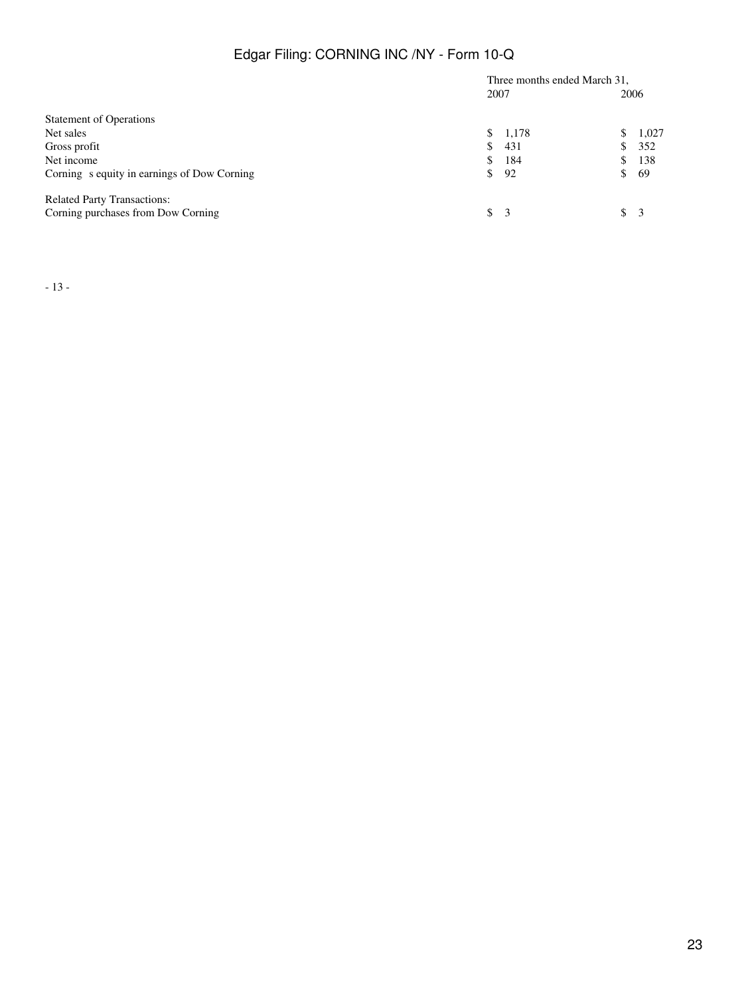|                                             | Three months ended March 31,<br>2007 |               | 2006 |               |  |
|---------------------------------------------|--------------------------------------|---------------|------|---------------|--|
| <b>Statement of Operations</b>              |                                      |               |      |               |  |
| Net sales                                   |                                      | \$1,178       | \$.  | 1,027         |  |
| Gross profit                                | \$                                   | 431           | \$.  | 352           |  |
| Net income                                  | \$                                   | 184           | \$.  | 138           |  |
| Corning s equity in earnings of Dow Corning | \$                                   | 92            | \$   | -69           |  |
| <b>Related Party Transactions:</b>          |                                      |               |      |               |  |
| Corning purchases from Dow Corning          |                                      | $\frac{1}{2}$ |      | $\frac{1}{2}$ |  |

- 13 -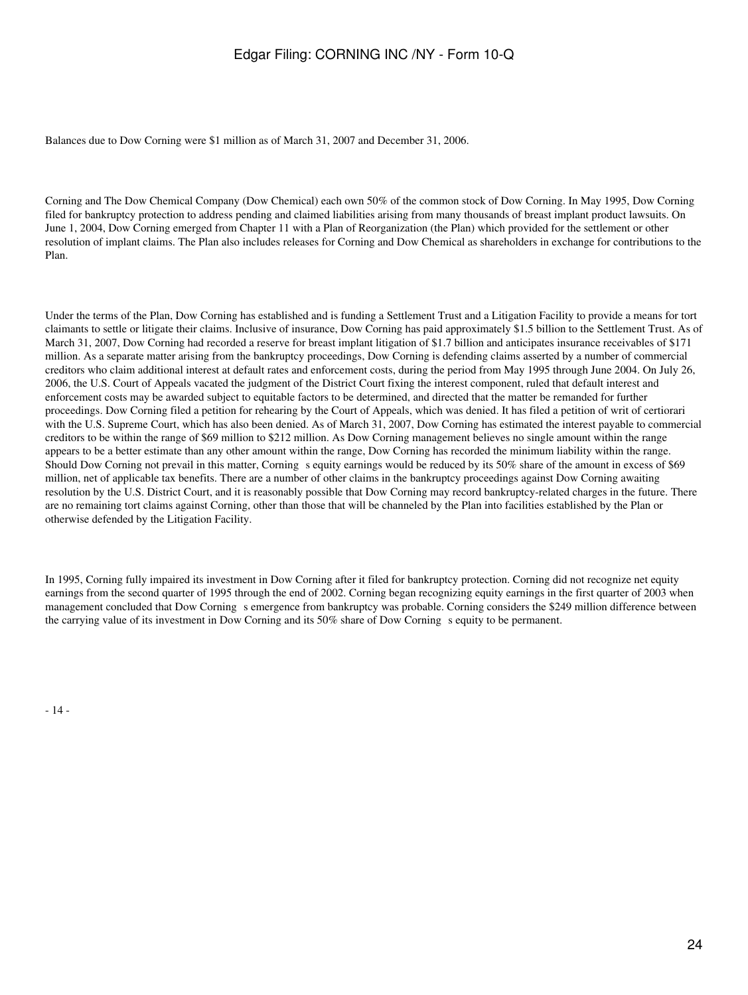Balances due to Dow Corning were \$1 million as of March 31, 2007 and December 31, 2006.

Corning and The Dow Chemical Company (Dow Chemical) each own 50% of the common stock of Dow Corning. In May 1995, Dow Corning filed for bankruptcy protection to address pending and claimed liabilities arising from many thousands of breast implant product lawsuits. On June 1, 2004, Dow Corning emerged from Chapter 11 with a Plan of Reorganization (the Plan) which provided for the settlement or other resolution of implant claims. The Plan also includes releases for Corning and Dow Chemical as shareholders in exchange for contributions to the Plan.

Under the terms of the Plan, Dow Corning has established and is funding a Settlement Trust and a Litigation Facility to provide a means for tort claimants to settle or litigate their claims. Inclusive of insurance, Dow Corning has paid approximately \$1.5 billion to the Settlement Trust. As of March 31, 2007, Dow Corning had recorded a reserve for breast implant litigation of \$1.7 billion and anticipates insurance receivables of \$171 million. As a separate matter arising from the bankruptcy proceedings, Dow Corning is defending claims asserted by a number of commercial creditors who claim additional interest at default rates and enforcement costs, during the period from May 1995 through June 2004. On July 26, 2006, the U.S. Court of Appeals vacated the judgment of the District Court fixing the interest component, ruled that default interest and enforcement costs may be awarded subject to equitable factors to be determined, and directed that the matter be remanded for further proceedings. Dow Corning filed a petition for rehearing by the Court of Appeals, which was denied. It has filed a petition of writ of certiorari with the U.S. Supreme Court, which has also been denied. As of March 31, 2007, Dow Corning has estimated the interest payable to commercial creditors to be within the range of \$69 million to \$212 million. As Dow Corning management believes no single amount within the range appears to be a better estimate than any other amount within the range, Dow Corning has recorded the minimum liability within the range. Should Dow Corning not prevail in this matter, Corning sequity earnings would be reduced by its 50% share of the amount in excess of \$69 million, net of applicable tax benefits. There are a number of other claims in the bankruptcy proceedings against Dow Corning awaiting resolution by the U.S. District Court, and it is reasonably possible that Dow Corning may record bankruptcy-related charges in the future. There are no remaining tort claims against Corning, other than those that will be channeled by the Plan into facilities established by the Plan or otherwise defended by the Litigation Facility.

In 1995, Corning fully impaired its investment in Dow Corning after it filed for bankruptcy protection. Corning did not recognize net equity earnings from the second quarter of 1995 through the end of 2002. Corning began recognizing equity earnings in the first quarter of 2003 when management concluded that Dow Corning s emergence from bankruptcy was probable. Corning considers the \$249 million difference between the carrying value of its investment in Dow Corning and its 50% share of Dow Corning s equity to be permanent.

- 14 -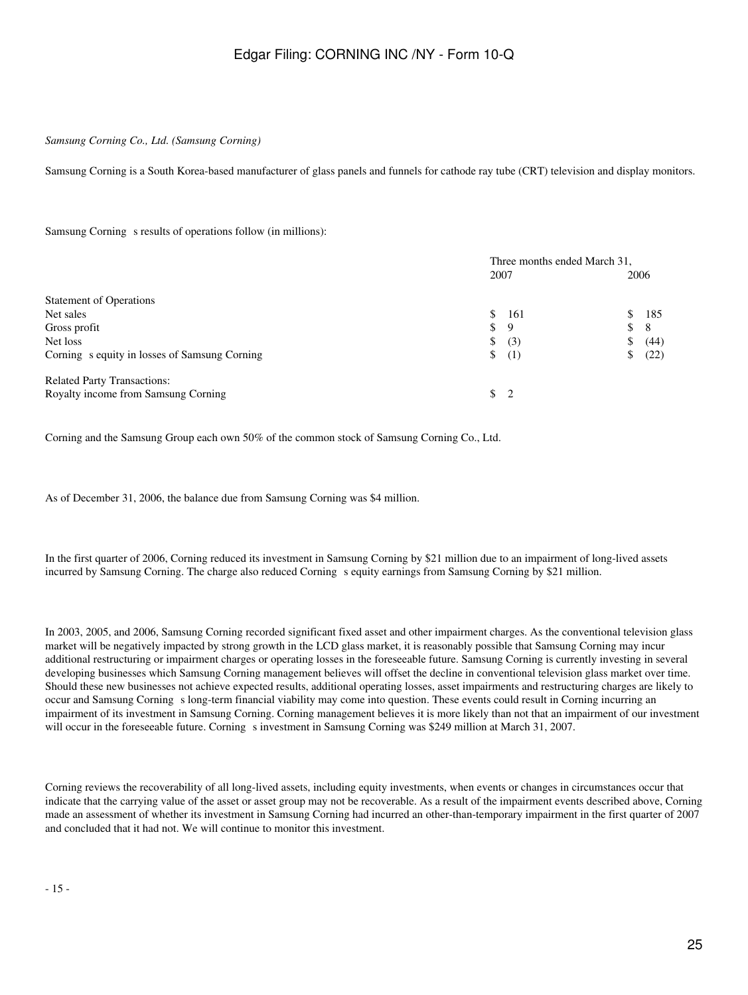#### *Samsung Corning Co., Ltd. (Samsung Corning)*

Samsung Corning is a South Korea-based manufacturer of glass panels and funnels for cathode ray tube (CRT) television and display monitors.

#### Samsung Corning s results of operations follow (in millions):

|                                               | Three months ended March 31, |     |     |      |
|-----------------------------------------------|------------------------------|-----|-----|------|
|                                               | 2007                         |     |     | 2006 |
| <b>Statement of Operations</b>                |                              |     |     |      |
| Net sales                                     | \$.                          | 161 | \$. | 185  |
| Gross profit                                  | \$                           | 9   | \$  | -8   |
| Net loss                                      | \$                           | (3) |     | (44) |
| Corning s equity in losses of Samsung Corning | \$                           | (1) |     | (22) |
| <b>Related Party Transactions:</b>            |                              |     |     |      |
| Royalty income from Samsung Corning           | $\frac{1}{2}$                |     |     |      |

Corning and the Samsung Group each own 50% of the common stock of Samsung Corning Co., Ltd.

As of December 31, 2006, the balance due from Samsung Corning was \$4 million.

In the first quarter of 2006, Corning reduced its investment in Samsung Corning by \$21 million due to an impairment of long-lived assets incurred by Samsung Corning. The charge also reduced Corning s equity earnings from Samsung Corning by \$21 million.

In 2003, 2005, and 2006, Samsung Corning recorded significant fixed asset and other impairment charges. As the conventional television glass market will be negatively impacted by strong growth in the LCD glass market, it is reasonably possible that Samsung Corning may incur additional restructuring or impairment charges or operating losses in the foreseeable future. Samsung Corning is currently investing in several developing businesses which Samsung Corning management believes will offset the decline in conventional television glass market over time. Should these new businesses not achieve expected results, additional operating losses, asset impairments and restructuring charges are likely to occur and Samsung Corning s long-term financial viability may come into question. These events could result in Corning incurring an impairment of its investment in Samsung Corning. Corning management believes it is more likely than not that an impairment of our investment will occur in the foreseeable future. Corning s investment in Samsung Corning was \$249 million at March 31, 2007.

Corning reviews the recoverability of all long-lived assets, including equity investments, when events or changes in circumstances occur that indicate that the carrying value of the asset or asset group may not be recoverable. As a result of the impairment events described above, Corning made an assessment of whether its investment in Samsung Corning had incurred an other-than-temporary impairment in the first quarter of 2007 and concluded that it had not. We will continue to monitor this investment.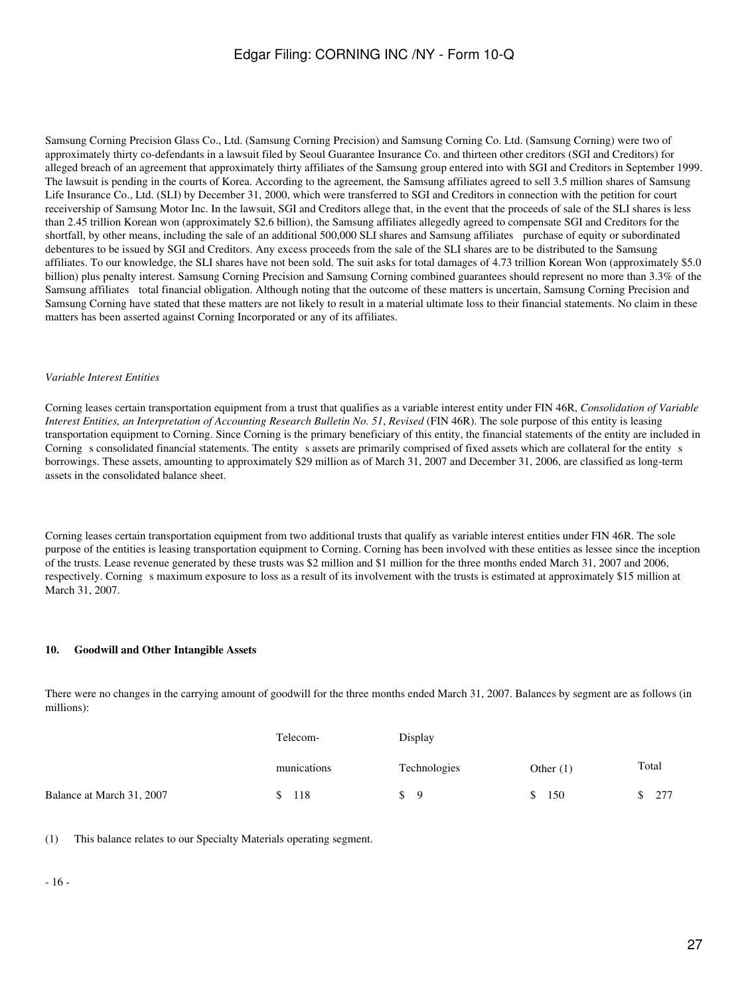Samsung Corning Precision Glass Co., Ltd. (Samsung Corning Precision) and Samsung Corning Co. Ltd. (Samsung Corning) were two of approximately thirty co-defendants in a lawsuit filed by Seoul Guarantee Insurance Co. and thirteen other creditors (SGI and Creditors) for alleged breach of an agreement that approximately thirty affiliates of the Samsung group entered into with SGI and Creditors in September 1999. The lawsuit is pending in the courts of Korea. According to the agreement, the Samsung affiliates agreed to sell 3.5 million shares of Samsung Life Insurance Co., Ltd. (SLI) by December 31, 2000, which were transferred to SGI and Creditors in connection with the petition for court receivership of Samsung Motor Inc. In the lawsuit, SGI and Creditors allege that, in the event that the proceeds of sale of the SLI shares is less than 2.45 trillion Korean won (approximately \$2.6 billion), the Samsung affiliates allegedly agreed to compensate SGI and Creditors for the shortfall, by other means, including the sale of an additional 500,000 SLI shares and Samsung affiliates purchase of equity or subordinated debentures to be issued by SGI and Creditors. Any excess proceeds from the sale of the SLI shares are to be distributed to the Samsung affiliates. To our knowledge, the SLI shares have not been sold. The suit asks for total damages of 4.73 trillion Korean Won (approximately \$5.0 billion) plus penalty interest. Samsung Corning Precision and Samsung Corning combined guarantees should represent no more than 3.3% of the Samsung affiliates total financial obligation. Although noting that the outcome of these matters is uncertain, Samsung Corning Precision and Samsung Corning have stated that these matters are not likely to result in a material ultimate loss to their financial statements. No claim in these matters has been asserted against Corning Incorporated or any of its affiliates.

#### *Variable Interest Entities*

Corning leases certain transportation equipment from a trust that qualifies as a variable interest entity under FIN 46R, *Consolidation of Variable Interest Entities, an Interpretation of Accounting Research Bulletin No. 51*, *Revised* (FIN 46R). The sole purpose of this entity is leasing transportation equipment to Corning. Since Corning is the primary beneficiary of this entity, the financial statements of the entity are included in Corning s consolidated financial statements. The entity s assets are primarily comprised of fixed assets which are collateral for the entity s borrowings. These assets, amounting to approximately \$29 million as of March 31, 2007 and December 31, 2006, are classified as long-term assets in the consolidated balance sheet.

Corning leases certain transportation equipment from two additional trusts that qualify as variable interest entities under FIN 46R. The sole purpose of the entities is leasing transportation equipment to Corning. Corning has been involved with these entities as lessee since the inception of the trusts. Lease revenue generated by these trusts was \$2 million and \$1 million for the three months ended March 31, 2007 and 2006, respectively. Corning s maximum exposure to loss as a result of its involvement with the trusts is estimated at approximately \$15 million at March 31, 2007.

#### **10. Goodwill and Other Intangible Assets**

There were no changes in the carrying amount of goodwill for the three months ended March 31, 2007. Balances by segment are as follows (in millions):

|                           | Telecom-    | Display      |             |       |
|---------------------------|-------------|--------------|-------------|-------|
|                           | munications | Technologies | Other $(1)$ | Total |
| Balance at March 31, 2007 | \$118       | -9<br>\$.    | 150<br>S.   | 277   |

(1) This balance relates to our Specialty Materials operating segment.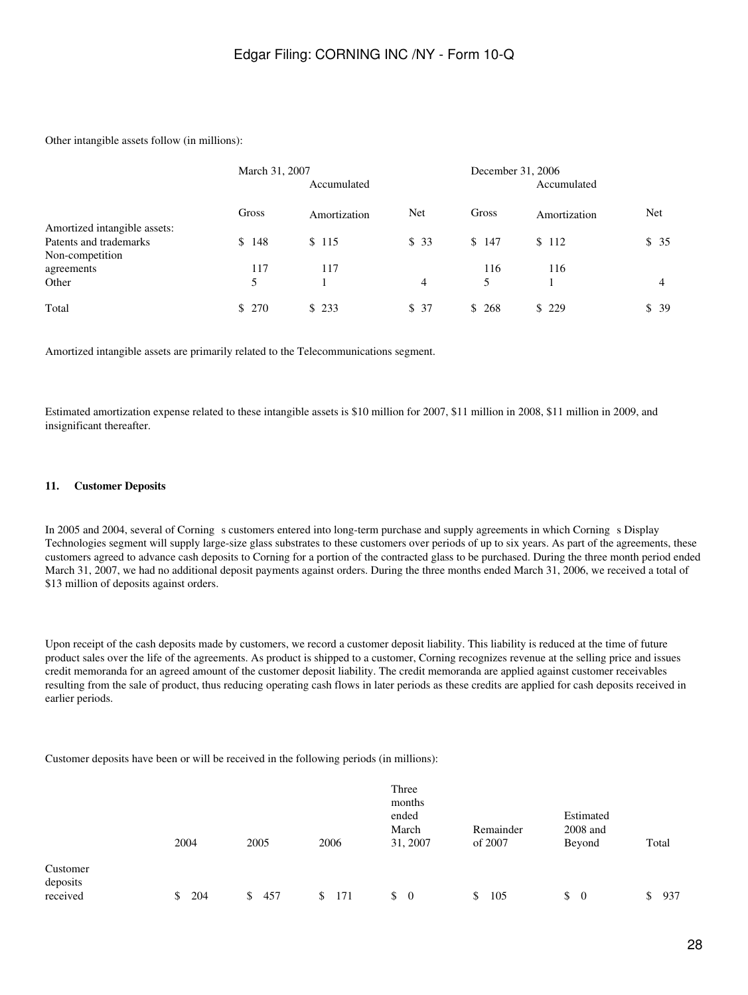#### Other intangible assets follow (in millions):

|                              | March 31, 2007<br>Accumulated |              |       | December 31, 2006 |              |      |
|------------------------------|-------------------------------|--------------|-------|-------------------|--------------|------|
|                              | Gross                         | Amortization | Net   | Gross             | Amortization | Net  |
| Amortized intangible assets: |                               |              |       |                   |              |      |
| Patents and trademarks       | \$148                         | \$115        | \$33  | \$147             | \$ 112       | \$35 |
| Non-competition              |                               |              |       |                   |              |      |
| agreements                   | 117                           | 117          |       | 116               | 116          |      |
| Other                        | 5                             |              | 4     | 5                 |              | 4    |
| Total                        | \$270                         | \$233        | \$ 37 | \$268             | \$ 229       | \$39 |

Amortized intangible assets are primarily related to the Telecommunications segment.

Estimated amortization expense related to these intangible assets is \$10 million for 2007, \$11 million in 2008, \$11 million in 2009, and insignificant thereafter.

#### **11. Customer Deposits**

In 2005 and 2004, several of Corning s customers entered into long-term purchase and supply agreements in which Corning s Display Technologies segment will supply large-size glass substrates to these customers over periods of up to six years. As part of the agreements, these customers agreed to advance cash deposits to Corning for a portion of the contracted glass to be purchased. During the three month period ended March 31, 2007, we had no additional deposit payments against orders. During the three months ended March 31, 2006, we received a total of \$13 million of deposits against orders.

Upon receipt of the cash deposits made by customers, we record a customer deposit liability. This liability is reduced at the time of future product sales over the life of the agreements. As product is shipped to a customer, Corning recognizes revenue at the selling price and issues credit memoranda for an agreed amount of the customer deposit liability. The credit memoranda are applied against customer receivables resulting from the sale of product, thus reducing operating cash flows in later periods as these credits are applied for cash deposits received in earlier periods.

Customer deposits have been or will be received in the following periods (in millions):

|                                  | 2004      | 2005       | 2006 | Three<br>months<br>ended<br>March<br>31, 2007 | Remainder<br>of 2007 | Estimated<br>2008 and<br>Beyond | Total |
|----------------------------------|-----------|------------|------|-----------------------------------------------|----------------------|---------------------------------|-------|
| Customer<br>deposits<br>received | 204<br>S. | 457<br>\$. | 171  | $\frac{1}{2}$                                 | 105<br>\$            | $\mathbb{S}$<br>$\overline{0}$  | 937   |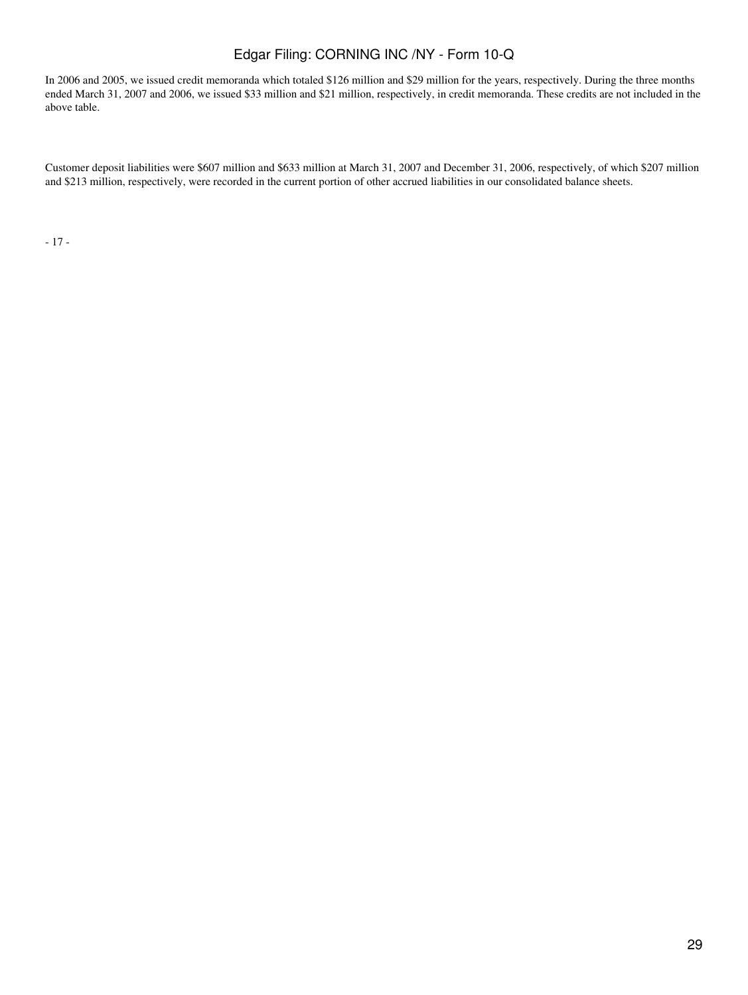In 2006 and 2005, we issued credit memoranda which totaled \$126 million and \$29 million for the years, respectively. During the three months ended March 31, 2007 and 2006, we issued \$33 million and \$21 million, respectively, in credit memoranda. These credits are not included in the above table.

Customer deposit liabilities were \$607 million and \$633 million at March 31, 2007 and December 31, 2006, respectively, of which \$207 million and \$213 million, respectively, were recorded in the current portion of other accrued liabilities in our consolidated balance sheets.

- 17 -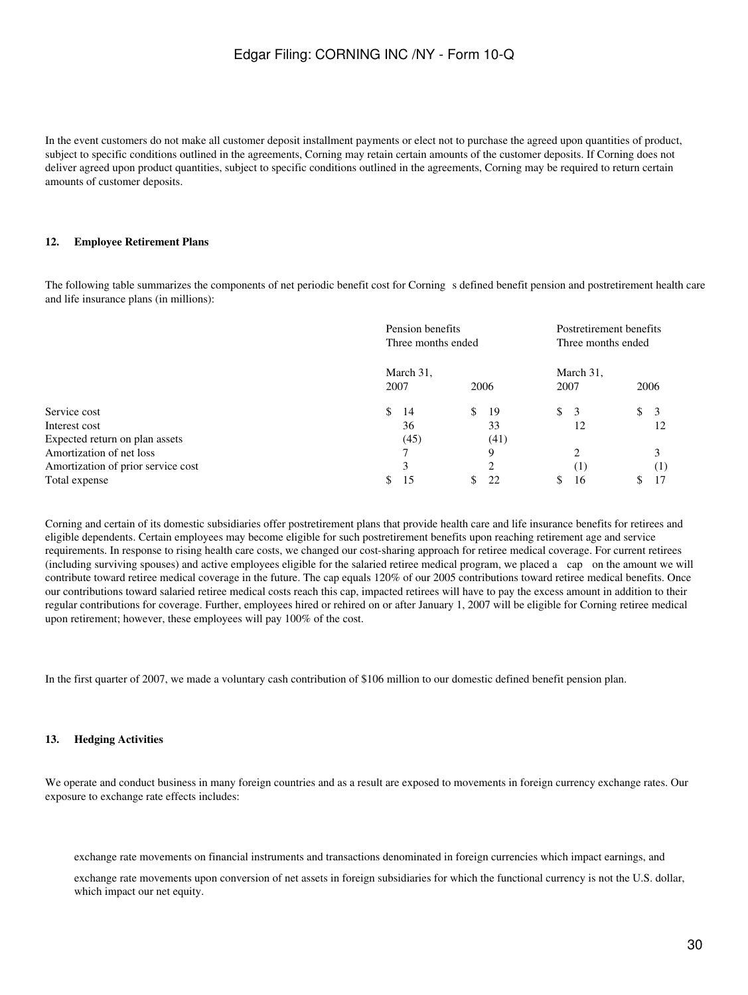In the event customers do not make all customer deposit installment payments or elect not to purchase the agreed upon quantities of product, subject to specific conditions outlined in the agreements, Corning may retain certain amounts of the customer deposits. If Corning does not deliver agreed upon product quantities, subject to specific conditions outlined in the agreements, Corning may be required to return certain amounts of customer deposits.

#### **12. Employee Retirement Plans**

The following table summarizes the components of net periodic benefit cost for Corning s defined benefit pension and postretirement health care and life insurance plans (in millions):

|                                    | Pension benefits<br>Three months ended |      |     |           | Postretirement benefits<br>Three months ended |     |               |                  |  |
|------------------------------------|----------------------------------------|------|-----|-----------|-----------------------------------------------|-----|---------------|------------------|--|
|                                    | March 31,                              |      |     | March 31, |                                               |     |               |                  |  |
|                                    | 2007                                   |      |     | 2006      | 2007                                          |     | 2006          |                  |  |
| Service cost                       | \$                                     | 14   | \$. | 19        | \$                                            | 3   | $\frac{1}{2}$ |                  |  |
| Interest cost                      |                                        | 36   |     | 33        |                                               | 12  |               | 12               |  |
| Expected return on plan assets     |                                        | (45) |     | (41)      |                                               |     |               |                  |  |
| Amortization of net loss           |                                        | ⇁    |     | 9         |                                               | 2   |               | 3                |  |
| Amortization of prior service cost |                                        | 3    |     | 2         |                                               | (1) |               | $\left(1\right)$ |  |
| Total expense                      |                                        | 15   |     | 22        | \$                                            | 16  | S             | 17               |  |

Corning and certain of its domestic subsidiaries offer postretirement plans that provide health care and life insurance benefits for retirees and eligible dependents. Certain employees may become eligible for such postretirement benefits upon reaching retirement age and service requirements. In response to rising health care costs, we changed our cost-sharing approach for retiree medical coverage. For current retirees (including surviving spouses) and active employees eligible for the salaried retiree medical program, we placed a cap on the amount we will contribute toward retiree medical coverage in the future. The cap equals 120% of our 2005 contributions toward retiree medical benefits. Once our contributions toward salaried retiree medical costs reach this cap, impacted retirees will have to pay the excess amount in addition to their regular contributions for coverage. Further, employees hired or rehired on or after January 1, 2007 will be eligible for Corning retiree medical upon retirement; however, these employees will pay 100% of the cost.

In the first quarter of 2007, we made a voluntary cash contribution of \$106 million to our domestic defined benefit pension plan.

#### **13. Hedging Activities**

We operate and conduct business in many foreign countries and as a result are exposed to movements in foreign currency exchange rates. Our exposure to exchange rate effects includes:

exchange rate movements on financial instruments and transactions denominated in foreign currencies which impact earnings, and

exchange rate movements upon conversion of net assets in foreign subsidiaries for which the functional currency is not the U.S. dollar, which impact our net equity.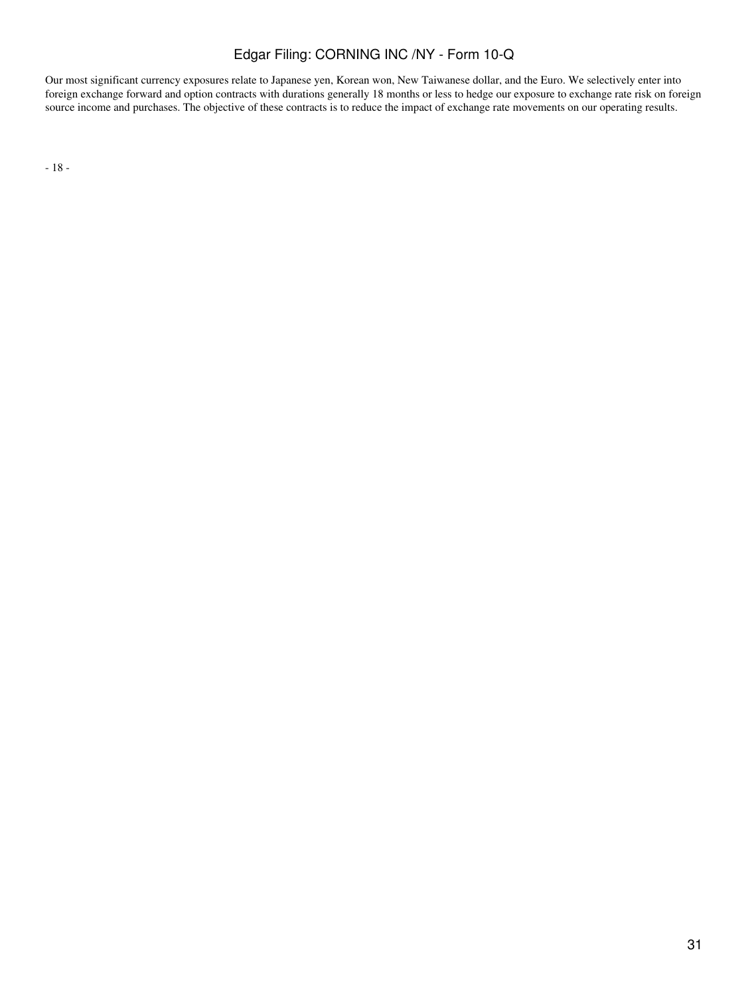Our most significant currency exposures relate to Japanese yen, Korean won, New Taiwanese dollar, and the Euro. We selectively enter into foreign exchange forward and option contracts with durations generally 18 months or less to hedge our exposure to exchange rate risk on foreign source income and purchases. The objective of these contracts is to reduce the impact of exchange rate movements on our operating results.

- 18 -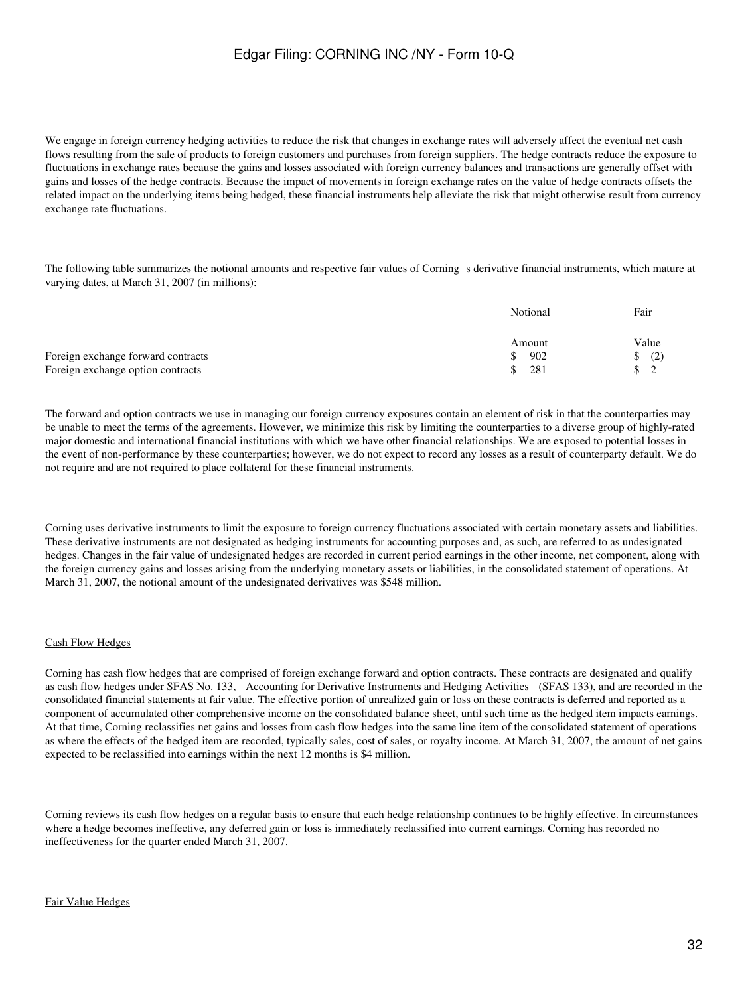We engage in foreign currency hedging activities to reduce the risk that changes in exchange rates will adversely affect the eventual net cash flows resulting from the sale of products to foreign customers and purchases from foreign suppliers. The hedge contracts reduce the exposure to fluctuations in exchange rates because the gains and losses associated with foreign currency balances and transactions are generally offset with gains and losses of the hedge contracts. Because the impact of movements in foreign exchange rates on the value of hedge contracts offsets the related impact on the underlying items being hedged, these financial instruments help alleviate the risk that might otherwise result from currency exchange rate fluctuations.

The following table summarizes the notional amounts and respective fair values of Corning s derivative financial instruments, which mature at varying dates, at March 31, 2007 (in millions):

|                                    | Notional | Fair  |
|------------------------------------|----------|-------|
|                                    | Amount   | Value |
| Foreign exchange forward contracts | 902      | (2)   |
| Foreign exchange option contracts  | 281      | S.    |

The forward and option contracts we use in managing our foreign currency exposures contain an element of risk in that the counterparties may be unable to meet the terms of the agreements. However, we minimize this risk by limiting the counterparties to a diverse group of highly-rated major domestic and international financial institutions with which we have other financial relationships. We are exposed to potential losses in the event of non-performance by these counterparties; however, we do not expect to record any losses as a result of counterparty default. We do not require and are not required to place collateral for these financial instruments.

Corning uses derivative instruments to limit the exposure to foreign currency fluctuations associated with certain monetary assets and liabilities. These derivative instruments are not designated as hedging instruments for accounting purposes and, as such, are referred to as undesignated hedges. Changes in the fair value of undesignated hedges are recorded in current period earnings in the other income, net component, along with the foreign currency gains and losses arising from the underlying monetary assets or liabilities, in the consolidated statement of operations. At March 31, 2007, the notional amount of the undesignated derivatives was \$548 million.

#### Cash Flow Hedges

Corning has cash flow hedges that are comprised of foreign exchange forward and option contracts. These contracts are designated and qualify as cash flow hedges under SFAS No. 133, Accounting for Derivative Instruments and Hedging Activities (SFAS 133), and are recorded in the consolidated financial statements at fair value. The effective portion of unrealized gain or loss on these contracts is deferred and reported as a component of accumulated other comprehensive income on the consolidated balance sheet, until such time as the hedged item impacts earnings. At that time, Corning reclassifies net gains and losses from cash flow hedges into the same line item of the consolidated statement of operations as where the effects of the hedged item are recorded, typically sales, cost of sales, or royalty income. At March 31, 2007, the amount of net gains expected to be reclassified into earnings within the next 12 months is \$4 million.

Corning reviews its cash flow hedges on a regular basis to ensure that each hedge relationship continues to be highly effective. In circumstances where a hedge becomes ineffective, any deferred gain or loss is immediately reclassified into current earnings. Corning has recorded no ineffectiveness for the quarter ended March 31, 2007.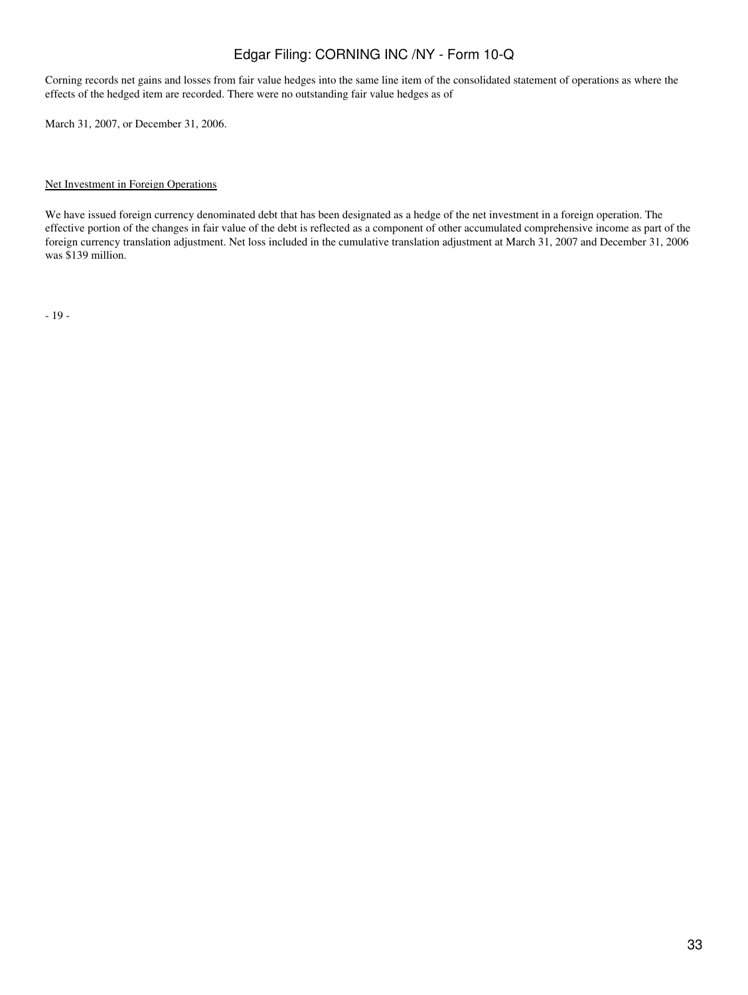Corning records net gains and losses from fair value hedges into the same line item of the consolidated statement of operations as where the effects of the hedged item are recorded. There were no outstanding fair value hedges as of

March 31, 2007, or December 31, 2006.

#### Net Investment in Foreign Operations

We have issued foreign currency denominated debt that has been designated as a hedge of the net investment in a foreign operation. The effective portion of the changes in fair value of the debt is reflected as a component of other accumulated comprehensive income as part of the foreign currency translation adjustment. Net loss included in the cumulative translation adjustment at March 31, 2007 and December 31, 2006 was \$139 million.

- 19 -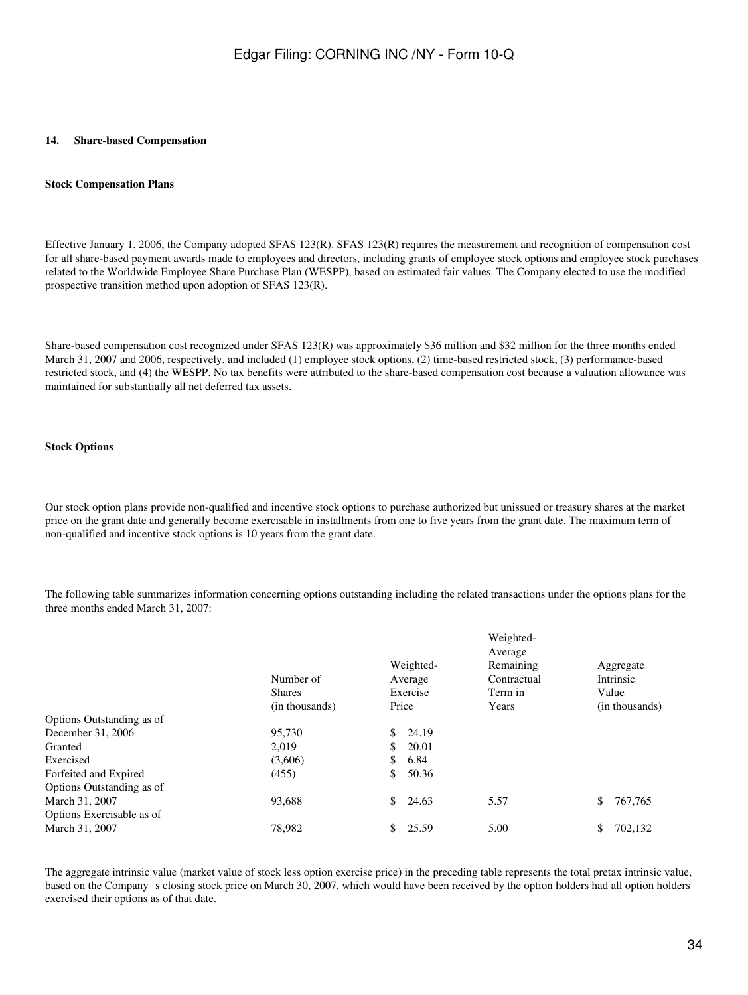#### **14. Share-based Compensation**

#### **Stock Compensation Plans**

Effective January 1, 2006, the Company adopted SFAS 123(R). SFAS 123(R) requires the measurement and recognition of compensation cost for all share-based payment awards made to employees and directors, including grants of employee stock options and employee stock purchases related to the Worldwide Employee Share Purchase Plan (WESPP), based on estimated fair values. The Company elected to use the modified prospective transition method upon adoption of SFAS 123(R).

Share-based compensation cost recognized under SFAS 123(R) was approximately \$36 million and \$32 million for the three months ended March 31, 2007 and 2006, respectively, and included (1) employee stock options, (2) time-based restricted stock, (3) performance-based restricted stock, and (4) the WESPP. No tax benefits were attributed to the share-based compensation cost because a valuation allowance was maintained for substantially all net deferred tax assets.

#### **Stock Options**

Our stock option plans provide non-qualified and incentive stock options to purchase authorized but unissued or treasury shares at the market price on the grant date and generally become exercisable in installments from one to five years from the grant date. The maximum term of non-qualified and incentive stock options is 10 years from the grant date.

The following table summarizes information concerning options outstanding including the related transactions under the options plans for the three months ended March 31, 2007:

|         |                                              | Weighted-<br>Average                      |                                              |
|---------|----------------------------------------------|-------------------------------------------|----------------------------------------------|
|         |                                              |                                           | Aggregate<br>Intrinsic                       |
|         |                                              |                                           |                                              |
|         |                                              |                                           | Value                                        |
|         |                                              |                                           | (in thousands)                               |
|         |                                              |                                           |                                              |
| 95,730  | 24.19<br>\$.                                 |                                           |                                              |
| 2.019   | 20.01                                        |                                           |                                              |
| (3,606) | \$<br>6.84                                   |                                           |                                              |
| (455)   | 50.36<br>\$                                  |                                           |                                              |
|         |                                              |                                           |                                              |
| 93,688  | 24.63<br>\$.                                 | 5.57                                      | 767,765                                      |
|         |                                              |                                           |                                              |
| 78,982  | 25.59                                        | 5.00                                      | 702,132                                      |
|         | Number of<br><b>Shares</b><br>(in thousands) | Weighted-<br>Average<br>Exercise<br>Price | Remaining<br>Contractual<br>Term in<br>Years |

The aggregate intrinsic value (market value of stock less option exercise price) in the preceding table represents the total pretax intrinsic value, based on the Company s closing stock price on March 30, 2007, which would have been received by the option holders had all option holders exercised their options as of that date.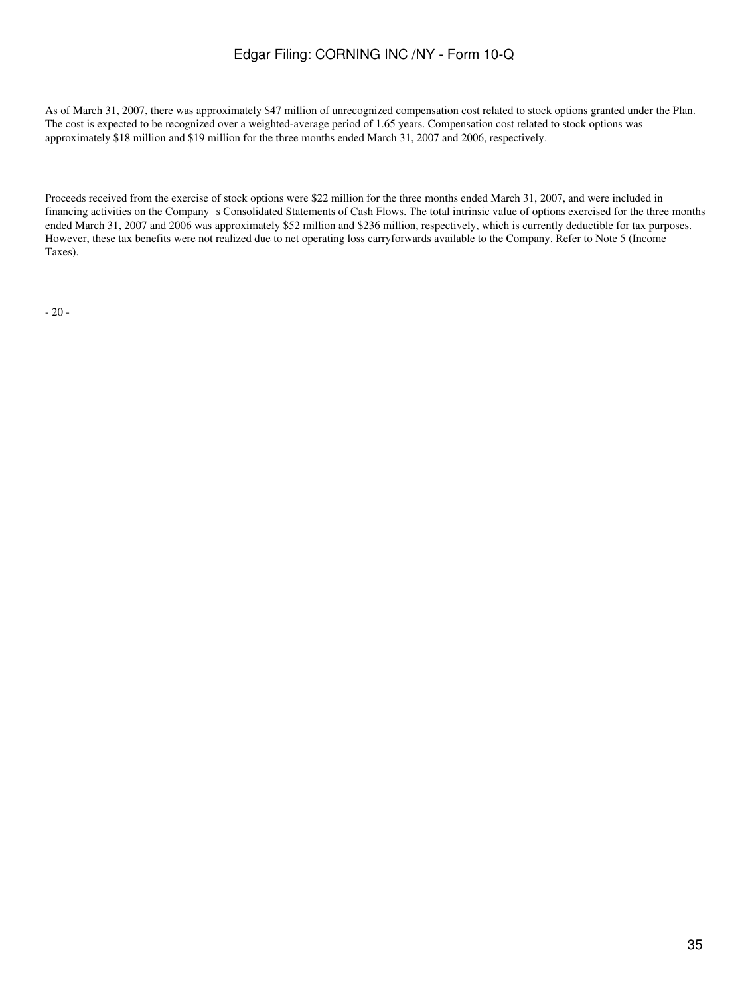As of March 31, 2007, there was approximately \$47 million of unrecognized compensation cost related to stock options granted under the Plan. The cost is expected to be recognized over a weighted-average period of 1.65 years. Compensation cost related to stock options was approximately \$18 million and \$19 million for the three months ended March 31, 2007 and 2006, respectively.

Proceeds received from the exercise of stock options were \$22 million for the three months ended March 31, 2007, and were included in financing activities on the Companys Consolidated Statements of Cash Flows. The total intrinsic value of options exercised for the three months ended March 31, 2007 and 2006 was approximately \$52 million and \$236 million, respectively, which is currently deductible for tax purposes. However, these tax benefits were not realized due to net operating loss carryforwards available to the Company. Refer to Note 5 (Income Taxes).

- 20 -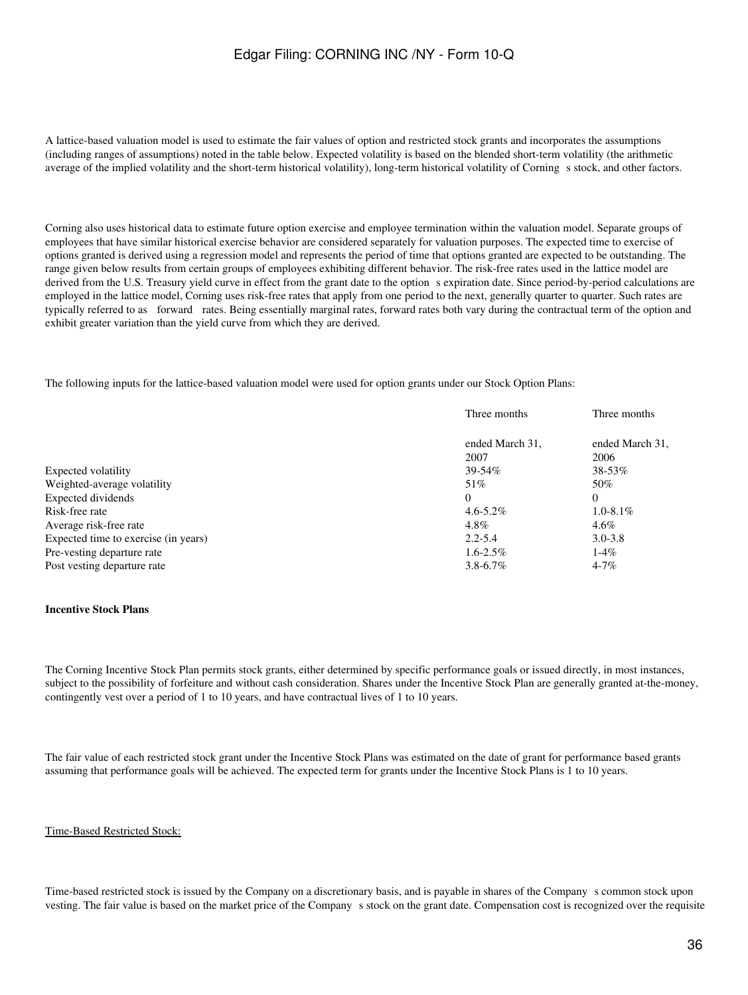A lattice-based valuation model is used to estimate the fair values of option and restricted stock grants and incorporates the assumptions (including ranges of assumptions) noted in the table below. Expected volatility is based on the blended short-term volatility (the arithmetic average of the implied volatility and the short-term historical volatility), long-term historical volatility of Cornings stock, and other factors.

Corning also uses historical data to estimate future option exercise and employee termination within the valuation model. Separate groups of employees that have similar historical exercise behavior are considered separately for valuation purposes. The expected time to exercise of options granted is derived using a regression model and represents the period of time that options granted are expected to be outstanding. The range given below results from certain groups of employees exhibiting different behavior. The risk-free rates used in the lattice model are derived from the U.S. Treasury yield curve in effect from the grant date to the option s expiration date. Since period-by-period calculations are employed in the lattice model, Corning uses risk-free rates that apply from one period to the next, generally quarter to quarter. Such rates are typically referred to as forward rates. Being essentially marginal rates, forward rates both vary during the contractual term of the option and exhibit greater variation than the yield curve from which they are derived.

The following inputs for the lattice-based valuation model were used for option grants under our Stock Option Plans:

|                                      | Three months            | Three months            |
|--------------------------------------|-------------------------|-------------------------|
|                                      | ended March 31,<br>2007 | ended March 31,<br>2006 |
| Expected volatility                  | $39 - 54\%$             | 38-53%                  |
| Weighted-average volatility          | 51%                     | 50%                     |
| Expected dividends                   | $\theta$                | $\Omega$                |
| Risk-free rate                       | $4.6 - 5.2\%$           | $1.0 - 8.1\%$           |
| Average risk-free rate               | $4.8\%$                 | $4.6\%$                 |
| Expected time to exercise (in years) | $2.2 - 5.4$             | $3.0 - 3.8$             |
| Pre-vesting departure rate           | $1.6 - 2.5\%$           | $1-4%$                  |
| Post vesting departure rate          | $3.8 - 6.7\%$           | $4 - 7\%$               |

#### **Incentive Stock Plans**

The Corning Incentive Stock Plan permits stock grants, either determined by specific performance goals or issued directly, in most instances, subject to the possibility of forfeiture and without cash consideration. Shares under the Incentive Stock Plan are generally granted at-the-money, contingently vest over a period of 1 to 10 years, and have contractual lives of 1 to 10 years.

The fair value of each restricted stock grant under the Incentive Stock Plans was estimated on the date of grant for performance based grants assuming that performance goals will be achieved. The expected term for grants under the Incentive Stock Plans is 1 to 10 years.

#### Time-Based Restricted Stock:

Time-based restricted stock is issued by the Company on a discretionary basis, and is payable in shares of the Company s common stock upon vesting. The fair value is based on the market price of the Companys stock on the grant date. Compensation cost is recognized over the requisite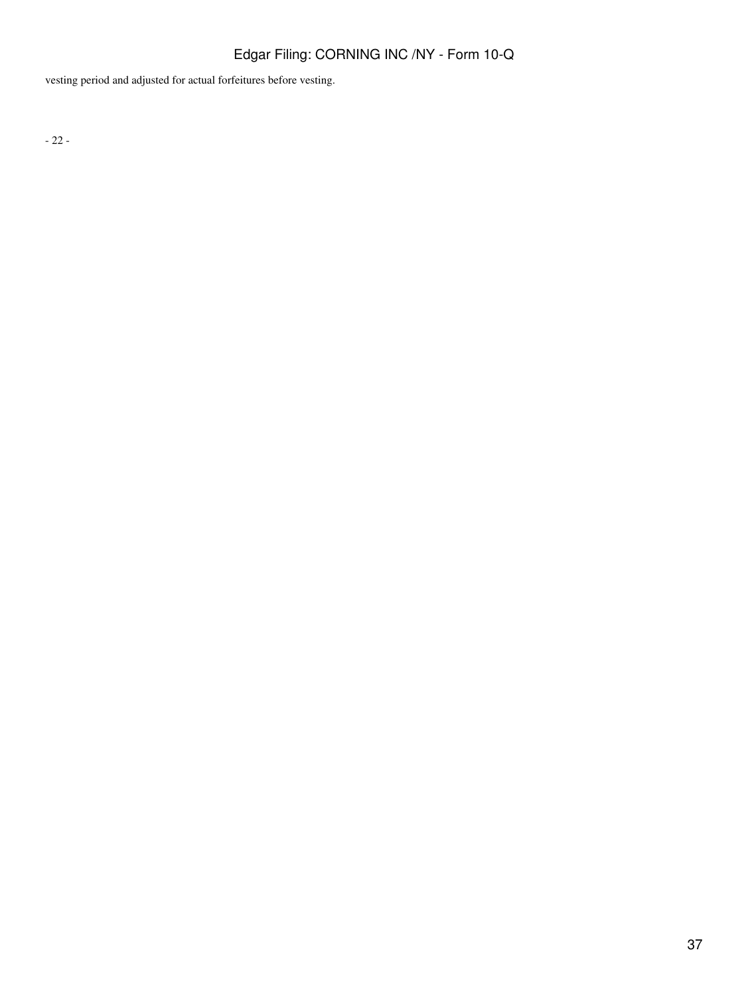vesting period and adjusted for actual forfeitures before vesting.

- 22 -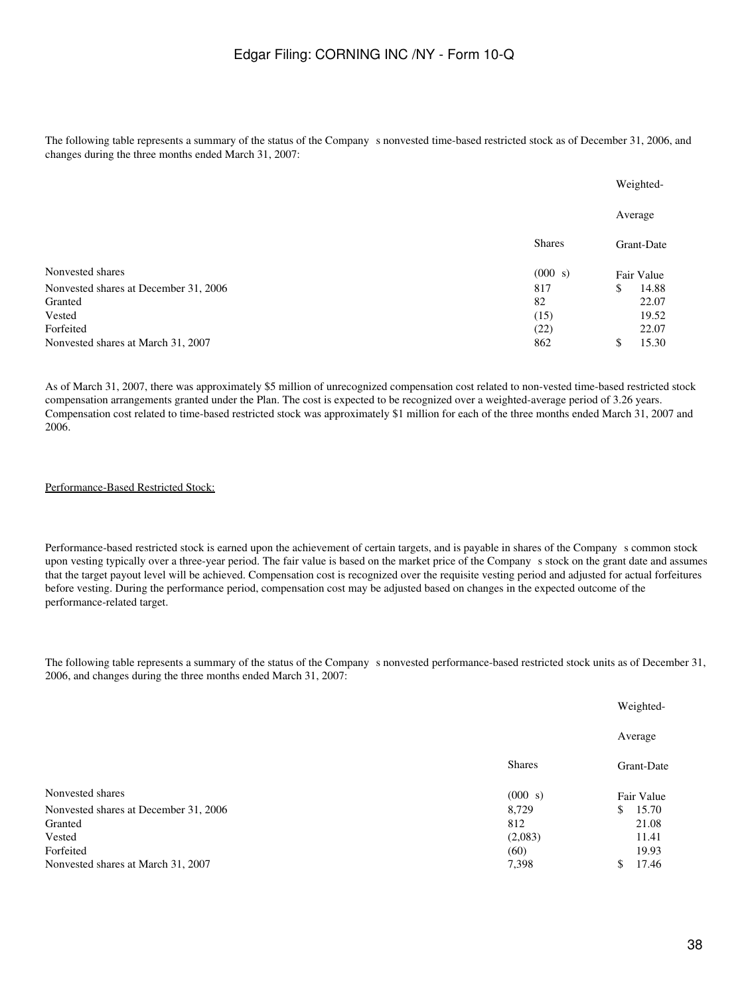The following table represents a summary of the status of the Company s nonvested time-based restricted stock as of December 31, 2006, and changes during the three months ended March 31, 2007:

|               |         | Weighted-  |
|---------------|---------|------------|
|               | Average |            |
| <b>Shares</b> |         | Grant-Date |
| (000 s)       |         | Fair Value |
| 817           | \$      | 14.88      |
| 82            |         | 22.07      |
| (15)          |         | 19.52      |
| (22)          |         | 22.07      |
| 862           | S       | 15.30      |
|               |         |            |

As of March 31, 2007, there was approximately \$5 million of unrecognized compensation cost related to non-vested time-based restricted stock compensation arrangements granted under the Plan. The cost is expected to be recognized over a weighted-average period of 3.26 years. Compensation cost related to time-based restricted stock was approximately \$1 million for each of the three months ended March 31, 2007 and 2006.

### Performance-Based Restricted Stock:

Performance-based restricted stock is earned upon the achievement of certain targets, and is payable in shares of the Company s common stock upon vesting typically over a three-year period. The fair value is based on the market price of the Company s stock on the grant date and assumes that the target payout level will be achieved. Compensation cost is recognized over the requisite vesting period and adjusted for actual forfeitures before vesting. During the performance period, compensation cost may be adjusted based on changes in the expected outcome of the performance-related target.

The following table represents a summary of the status of the Company s nonvested performance-based restricted stock units as of December 31, 2006, and changes during the three months ended March 31, 2007:

|                                       |               | Weighted-   |
|---------------------------------------|---------------|-------------|
|                                       |               | Average     |
|                                       | <b>Shares</b> | Grant-Date  |
| Nonvested shares                      | (000 s)       | Fair Value  |
| Nonvested shares at December 31, 2006 | 8,729         | 15.70<br>\$ |
| Granted                               | 812           | 21.08       |
| Vested                                | (2,083)       | 11.41       |
| Forfeited                             | (60)          | 19.93       |
| Nonvested shares at March 31, 2007    | 7,398         | 17.46<br>\$ |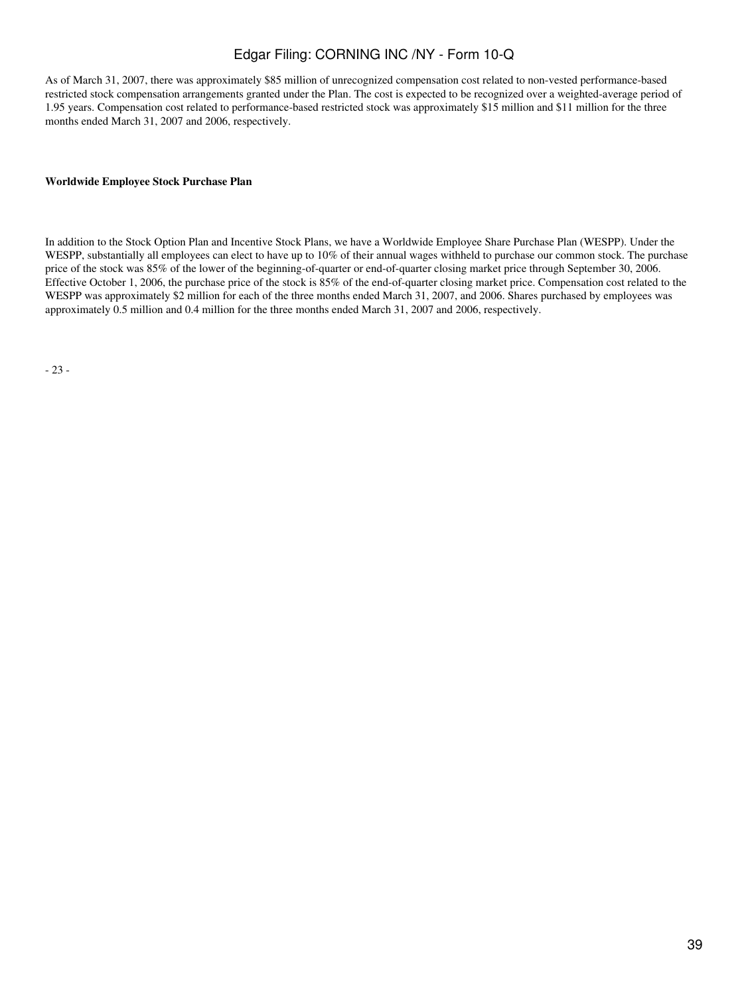As of March 31, 2007, there was approximately \$85 million of unrecognized compensation cost related to non-vested performance-based restricted stock compensation arrangements granted under the Plan. The cost is expected to be recognized over a weighted-average period of 1.95 years. Compensation cost related to performance-based restricted stock was approximately \$15 million and \$11 million for the three months ended March 31, 2007 and 2006, respectively.

### **Worldwide Employee Stock Purchase Plan**

In addition to the Stock Option Plan and Incentive Stock Plans, we have a Worldwide Employee Share Purchase Plan (WESPP). Under the WESPP, substantially all employees can elect to have up to 10% of their annual wages withheld to purchase our common stock. The purchase price of the stock was 85% of the lower of the beginning-of-quarter or end-of-quarter closing market price through September 30, 2006. Effective October 1, 2006, the purchase price of the stock is 85% of the end-of-quarter closing market price. Compensation cost related to the WESPP was approximately \$2 million for each of the three months ended March 31, 2007, and 2006. Shares purchased by employees was approximately 0.5 million and 0.4 million for the three months ended March 31, 2007 and 2006, respectively.

- 23 -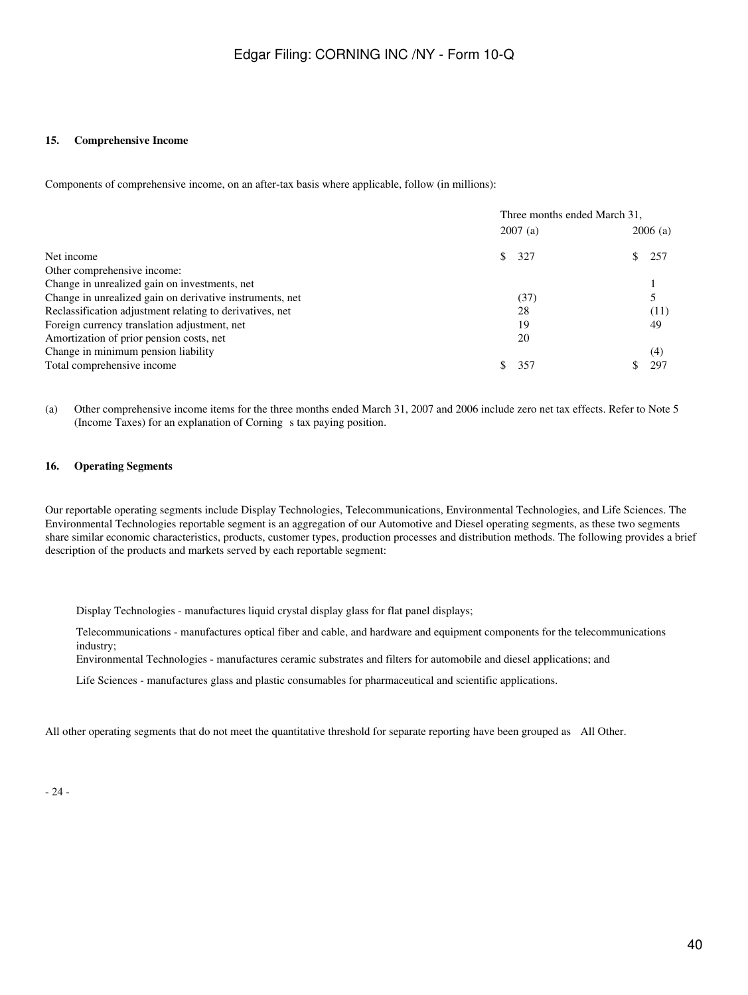## **15. Comprehensive Income**

Components of comprehensive income, on an after-tax basis where applicable, follow (in millions):

|                                                          | Three months ended March 31, |                   |  |  |         |  |  |
|----------------------------------------------------------|------------------------------|-------------------|--|--|---------|--|--|
|                                                          |                              | 2007(a)           |  |  | 2006(a) |  |  |
| Net income                                               |                              | $\frac{1}{2}$ 327 |  |  | 257     |  |  |
| Other comprehensive income:                              |                              |                   |  |  |         |  |  |
| Change in unrealized gain on investments, net            |                              |                   |  |  |         |  |  |
| Change in unrealized gain on derivative instruments, net |                              | (37)              |  |  |         |  |  |
| Reclassification adjustment relating to derivatives, net |                              | 28                |  |  | (11)    |  |  |
| Foreign currency translation adjustment, net             |                              | 19                |  |  | 49      |  |  |
| Amortization of prior pension costs, net                 |                              | 20                |  |  |         |  |  |
| Change in minimum pension liability                      |                              |                   |  |  | (4)     |  |  |
| Total comprehensive income                               |                              | 357               |  |  | 297     |  |  |

(a) Other comprehensive income items for the three months ended March 31, 2007 and 2006 include zero net tax effects. Refer to Note 5 (Income Taxes) for an explanation of Corning s tax paying position.

### **16. Operating Segments**

Our reportable operating segments include Display Technologies, Telecommunications, Environmental Technologies, and Life Sciences. The Environmental Technologies reportable segment is an aggregation of our Automotive and Diesel operating segments, as these two segments share similar economic characteristics, products, customer types, production processes and distribution methods. The following provides a brief description of the products and markets served by each reportable segment:

Display Technologies - manufactures liquid crystal display glass for flat panel displays;

Telecommunications - manufactures optical fiber and cable, and hardware and equipment components for the telecommunications industry;

Environmental Technologies - manufactures ceramic substrates and filters for automobile and diesel applications; and

Life Sciences - manufactures glass and plastic consumables for pharmaceutical and scientific applications.

All other operating segments that do not meet the quantitative threshold for separate reporting have been grouped as All Other.

- 24 -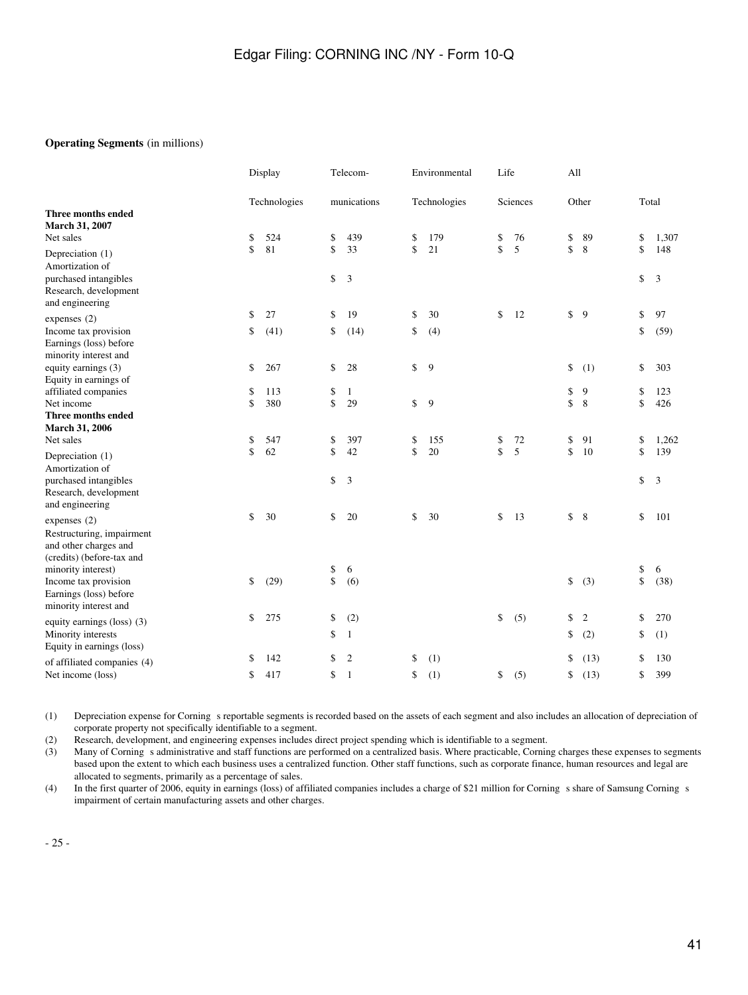## **Operating Segments** (in millions)

|                                              | Display      |          | Telecom-       | Environmental | Life |          | All |                |          |           |
|----------------------------------------------|--------------|----------|----------------|---------------|------|----------|-----|----------------|----------|-----------|
|                                              | Technologies |          | munications    | Technologies  |      | Sciences |     | Other          |          | Total     |
| Three months ended<br>March 31, 2007         |              |          |                |               |      |          |     |                |          |           |
| Net sales                                    | \$<br>524    | \$       | 439            | \$<br>179     | \$   | 76       | \$  | 89             | \$       | 1,307     |
| Depreciation (1)                             | \$<br>81     | \$       | 33             | \$<br>21      | \$   | 5        | \$  | 8              | \$       | 148       |
| Amortization of                              |              |          |                |               |      |          |     |                |          |           |
| purchased intangibles                        |              | \$       | $\mathfrak{Z}$ |               |      |          |     |                | \$       | 3         |
| Research, development                        |              |          |                |               |      |          |     |                |          |           |
| and engineering                              |              |          |                |               |      |          |     |                |          |           |
| expenses $(2)$                               | \$<br>27     | \$       | 19             | \$<br>30      | \$   | 12       | \$  | 9              | \$       | 97        |
| Income tax provision                         | \$<br>(41)   | \$       | (14)           | \$<br>(4)     |      |          |     |                | \$       | (59)      |
| Earnings (loss) before                       |              |          |                |               |      |          |     |                |          |           |
| minority interest and                        |              |          |                |               |      |          |     |                |          |           |
| equity earnings (3)<br>Equity in earnings of | \$<br>267    | \$       | 28             | \$<br>9       |      |          | \$  | (1)            | \$       | 303       |
| affiliated companies                         | \$<br>113    | \$       | $\mathbf{1}$   |               |      |          | \$  | 9              | \$       | 123       |
| Net income                                   | \$<br>380    | \$       | 29             | \$<br>9       |      |          | \$  | 8              | \$       | 426       |
| Three months ended                           |              |          |                |               |      |          |     |                |          |           |
| <b>March 31, 2006</b>                        |              |          |                |               |      |          |     |                |          |           |
| Net sales                                    | \$<br>547    | \$       | 397            | \$<br>155     | \$   | 72       | \$  | 91             | \$       | 1,262     |
| Depreciation (1)                             | \$<br>62     | \$       | 42             | \$<br>20      | \$   | 5        | \$  | 10             | \$       | 139       |
| Amortization of                              |              |          |                |               |      |          |     |                |          |           |
| purchased intangibles                        |              | \$       | 3              |               |      |          |     |                | \$       | 3         |
| Research, development                        |              |          |                |               |      |          |     |                |          |           |
| and engineering                              |              |          |                |               |      |          |     |                |          |           |
| expenses (2)                                 | \$<br>30     | \$       | 20             | \$<br>30      | \$   | 13       | \$  | 8              | \$       | 101       |
| Restructuring, impairment                    |              |          |                |               |      |          |     |                |          |           |
| and other charges and                        |              |          |                |               |      |          |     |                |          |           |
| (credits) (before-tax and                    |              |          |                |               |      |          |     |                |          |           |
| minority interest)<br>Income tax provision   | \$<br>(29)   | \$<br>\$ | 6<br>(6)       |               |      |          | \$  | (3)            | \$<br>\$ | 6<br>(38) |
| Earnings (loss) before                       |              |          |                |               |      |          |     |                |          |           |
| minority interest and                        |              |          |                |               |      |          |     |                |          |           |
| equity earnings (loss) (3)                   | \$<br>275    | \$       | (2)            |               | \$   | (5)      | \$  | $\overline{c}$ | \$       | 270       |
| Minority interests                           |              | \$       | $\mathbf{1}$   |               |      |          | \$  | (2)            | \$       | (1)       |
| Equity in earnings (loss)                    |              |          |                |               |      |          |     |                |          |           |
| of affiliated companies (4)                  | \$<br>142    | \$       | $\overline{c}$ | \$<br>(1)     |      |          | \$  | (13)           | \$       | 130       |
| Net income (loss)                            | \$<br>417    | \$       | 1              | \$<br>(1)     | \$   | (5)      | \$  | (13)           | \$       | 399       |
|                                              |              |          |                |               |      |          |     |                |          |           |

(1) Depreciation expense for Corning s reportable segments is recorded based on the assets of each segment and also includes an allocation of depreciation of corporate property not specifically identifiable to a segment.

(2) Research, development, and engineering expenses includes direct project spending which is identifiable to a segment.

(3) Many of Corning s administrative and staff functions are performed on a centralized basis. Where practicable, Corning charges these expenses to segments based upon the extent to which each business uses a centralized function. Other staff functions, such as corporate finance, human resources and legal are allocated to segments, primarily as a percentage of sales.

(4) In the first quarter of 2006, equity in earnings (loss) of affiliated companies includes a charge of \$21 million for Corning s share of Samsung Corning s impairment of certain manufacturing assets and other charges.

- 25 -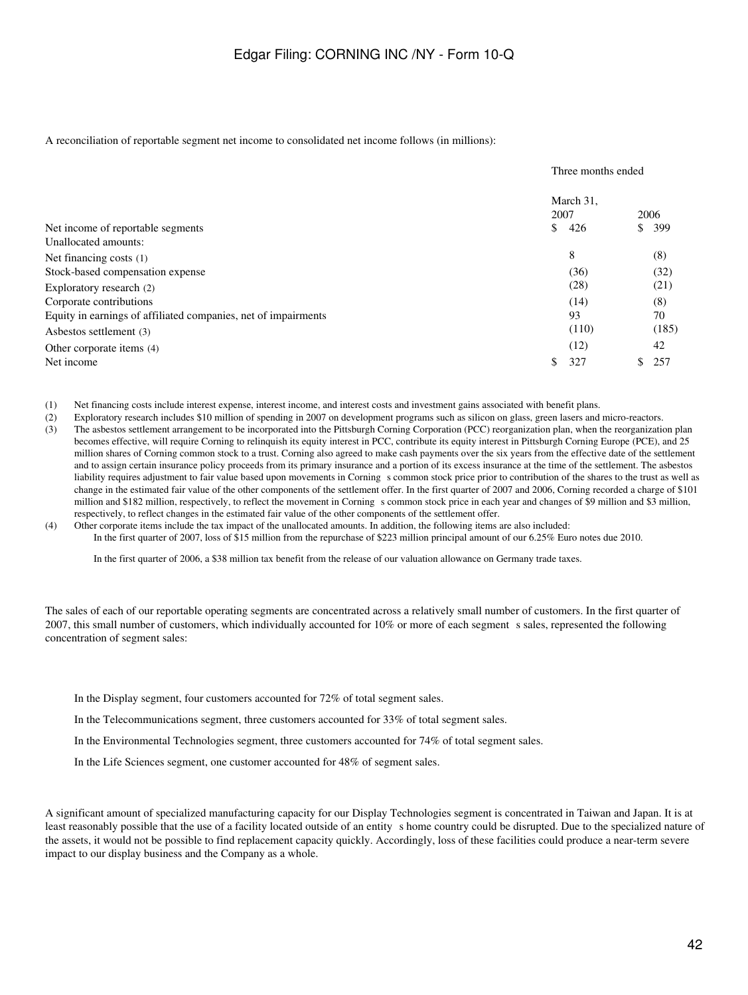A reconciliation of reportable segment net income to consolidated net income follows (in millions):

|                                                                | Three months ended |       |    |       |  |  |
|----------------------------------------------------------------|--------------------|-------|----|-------|--|--|
|                                                                | March 31,          |       |    |       |  |  |
|                                                                | 2007               |       |    | 2006  |  |  |
| Net income of reportable segments                              | \$                 | 426   | \$ | 399   |  |  |
| Unallocated amounts:                                           |                    |       |    |       |  |  |
| Net financing costs (1)                                        |                    | 8     |    | (8)   |  |  |
| Stock-based compensation expense                               |                    | (36)  |    | (32)  |  |  |
| Exploratory research (2)                                       |                    | (28)  |    | (21)  |  |  |
| Corporate contributions                                        |                    | (14)  |    | (8)   |  |  |
| Equity in earnings of affiliated companies, net of impairments |                    | 93    |    | 70    |  |  |
| Asbestos settlement (3)                                        |                    | (110) |    | (185) |  |  |
| Other corporate items (4)                                      |                    | (12)  |    | 42    |  |  |
| Net income                                                     | S.                 | 327   | S. | 257   |  |  |

- (1) Net financing costs include interest expense, interest income, and interest costs and investment gains associated with benefit plans.
- (2) Exploratory research includes \$10 million of spending in 2007 on development programs such as silicon on glass, green lasers and micro-reactors.
- (3) The asbestos settlement arrangement to be incorporated into the Pittsburgh Corning Corporation (PCC) reorganization plan, when the reorganization plan becomes effective, will require Corning to relinquish its equity interest in PCC, contribute its equity interest in Pittsburgh Corning Europe (PCE), and 25 million shares of Corning common stock to a trust. Corning also agreed to make cash payments over the six years from the effective date of the settlement and to assign certain insurance policy proceeds from its primary insurance and a portion of its excess insurance at the time of the settlement. The asbestos liability requires adjustment to fair value based upon movements in Corning s common stock price prior to contribution of the shares to the trust as well as change in the estimated fair value of the other components of the settlement offer. In the first quarter of 2007 and 2006, Corning recorded a charge of \$101 million and \$182 million, respectively, to reflect the movement in Corning s common stock price in each year and changes of \$9 million and \$3 million, respectively, to reflect changes in the estimated fair value of the other components of the settlement offer.
- (4) Other corporate items include the tax impact of the unallocated amounts. In addition, the following items are also included: In the first quarter of 2007, loss of \$15 million from the repurchase of \$223 million principal amount of our 6.25% Euro notes due 2010.

In the first quarter of 2006, a \$38 million tax benefit from the release of our valuation allowance on Germany trade taxes.

The sales of each of our reportable operating segments are concentrated across a relatively small number of customers. In the first quarter of 2007, this small number of customers, which individually accounted for 10% or more of each segment s sales, represented the following concentration of segment sales:

- In the Display segment, four customers accounted for 72% of total segment sales.
- In the Telecommunications segment, three customers accounted for 33% of total segment sales.
- In the Environmental Technologies segment, three customers accounted for 74% of total segment sales.

In the Life Sciences segment, one customer accounted for 48% of segment sales.

A significant amount of specialized manufacturing capacity for our Display Technologies segment is concentrated in Taiwan and Japan. It is at least reasonably possible that the use of a facility located outside of an entity s home country could be disrupted. Due to the specialized nature of the assets, it would not be possible to find replacement capacity quickly. Accordingly, loss of these facilities could produce a near-term severe impact to our display business and the Company as a whole.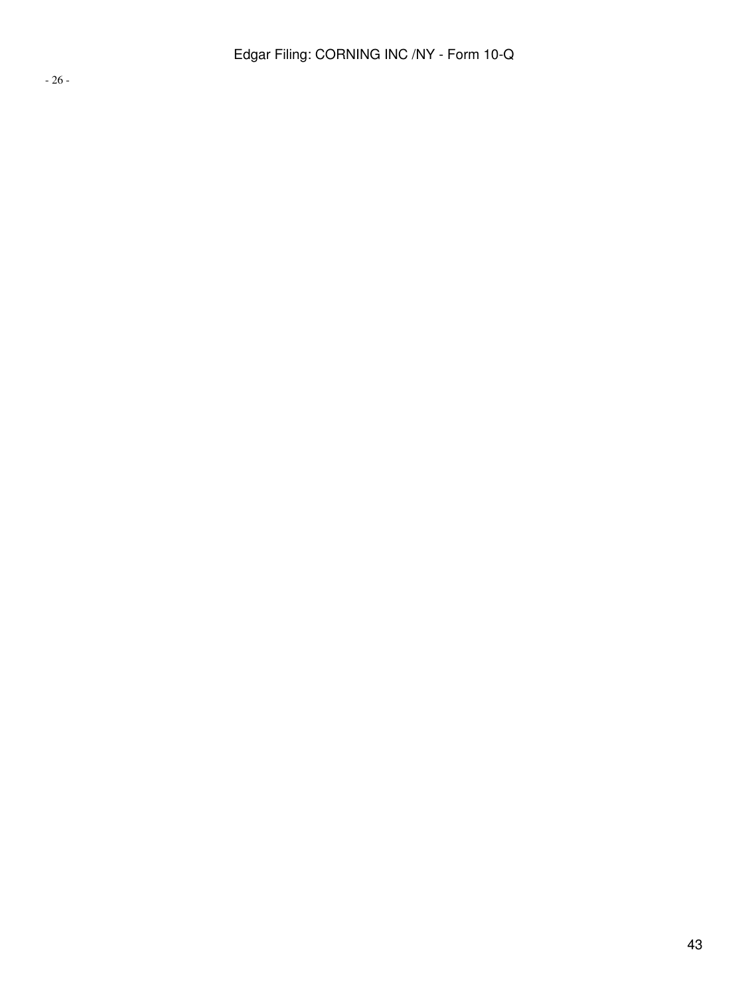- 26 -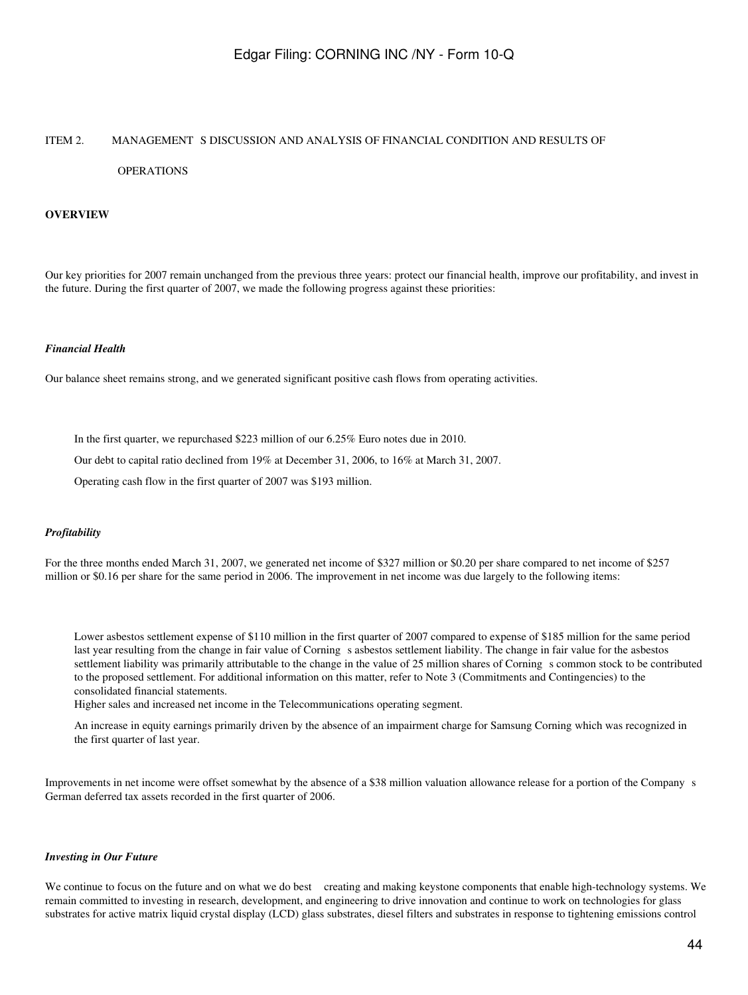### ITEM 2. MANAGEMENT S DISCUSSION AND ANALYSIS OF FINANCIAL CONDITION AND RESULTS OF

### OPERATIONS

### **OVERVIEW**

Our key priorities for 2007 remain unchanged from the previous three years: protect our financial health, improve our profitability, and invest in the future. During the first quarter of 2007, we made the following progress against these priorities:

### *Financial Health*

Our balance sheet remains strong, and we generated significant positive cash flows from operating activities.

In the first quarter, we repurchased \$223 million of our 6.25% Euro notes due in 2010.

Our debt to capital ratio declined from 19% at December 31, 2006, to 16% at March 31, 2007.

Operating cash flow in the first quarter of 2007 was \$193 million.

### *Profitability*

For the three months ended March 31, 2007, we generated net income of \$327 million or \$0.20 per share compared to net income of \$257 million or \$0.16 per share for the same period in 2006. The improvement in net income was due largely to the following items:

Lower asbestos settlement expense of \$110 million in the first quarter of 2007 compared to expense of \$185 million for the same period last year resulting from the change in fair value of Corning s asbestos settlement liability. The change in fair value for the asbestos settlement liability was primarily attributable to the change in the value of 25 million shares of Corning s common stock to be contributed to the proposed settlement. For additional information on this matter, refer to Note 3 (Commitments and Contingencies) to the consolidated financial statements.

Higher sales and increased net income in the Telecommunications operating segment.

An increase in equity earnings primarily driven by the absence of an impairment charge for Samsung Corning which was recognized in the first quarter of last year.

Improvements in net income were offset somewhat by the absence of a \$38 million valuation allowance release for a portion of the Companys German deferred tax assets recorded in the first quarter of 2006.

### *Investing in Our Future*

We continue to focus on the future and on what we do best creating and making keystone components that enable high-technology systems. We remain committed to investing in research, development, and engineering to drive innovation and continue to work on technologies for glass substrates for active matrix liquid crystal display (LCD) glass substrates, diesel filters and substrates in response to tightening emissions control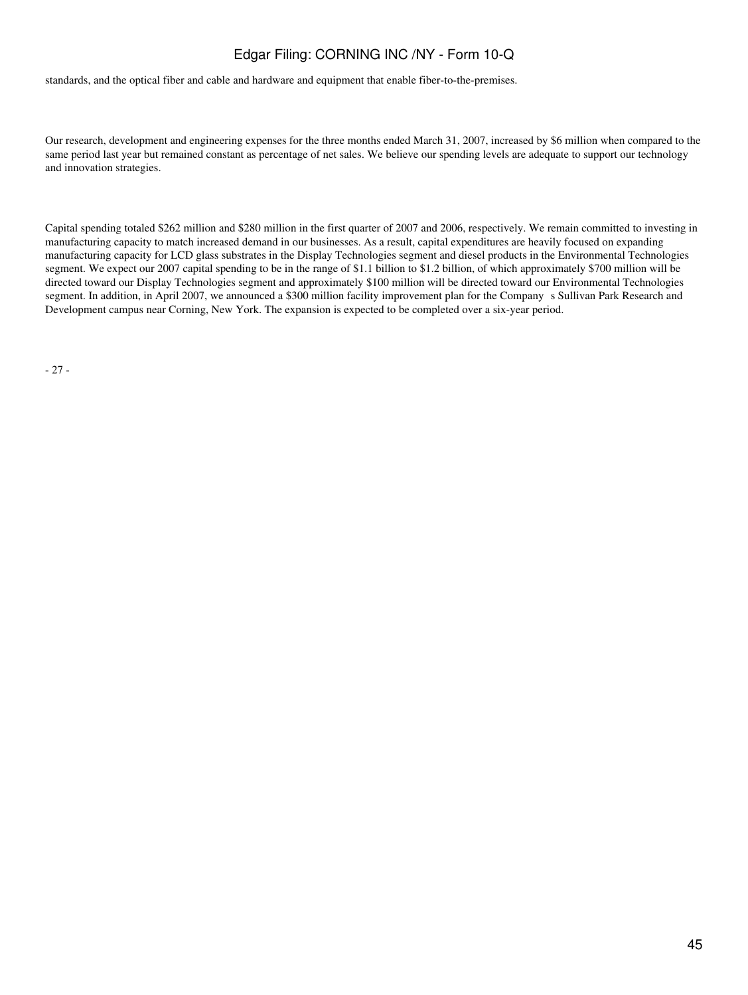standards, and the optical fiber and cable and hardware and equipment that enable fiber-to-the-premises.

Our research, development and engineering expenses for the three months ended March 31, 2007, increased by \$6 million when compared to the same period last year but remained constant as percentage of net sales. We believe our spending levels are adequate to support our technology and innovation strategies.

Capital spending totaled \$262 million and \$280 million in the first quarter of 2007 and 2006, respectively. We remain committed to investing in manufacturing capacity to match increased demand in our businesses. As a result, capital expenditures are heavily focused on expanding manufacturing capacity for LCD glass substrates in the Display Technologies segment and diesel products in the Environmental Technologies segment. We expect our 2007 capital spending to be in the range of \$1.1 billion to \$1.2 billion, of which approximately \$700 million will be directed toward our Display Technologies segment and approximately \$100 million will be directed toward our Environmental Technologies segment. In addition, in April 2007, we announced a \$300 million facility improvement plan for the Company s Sullivan Park Research and Development campus near Corning, New York. The expansion is expected to be completed over a six-year period.

- 27 -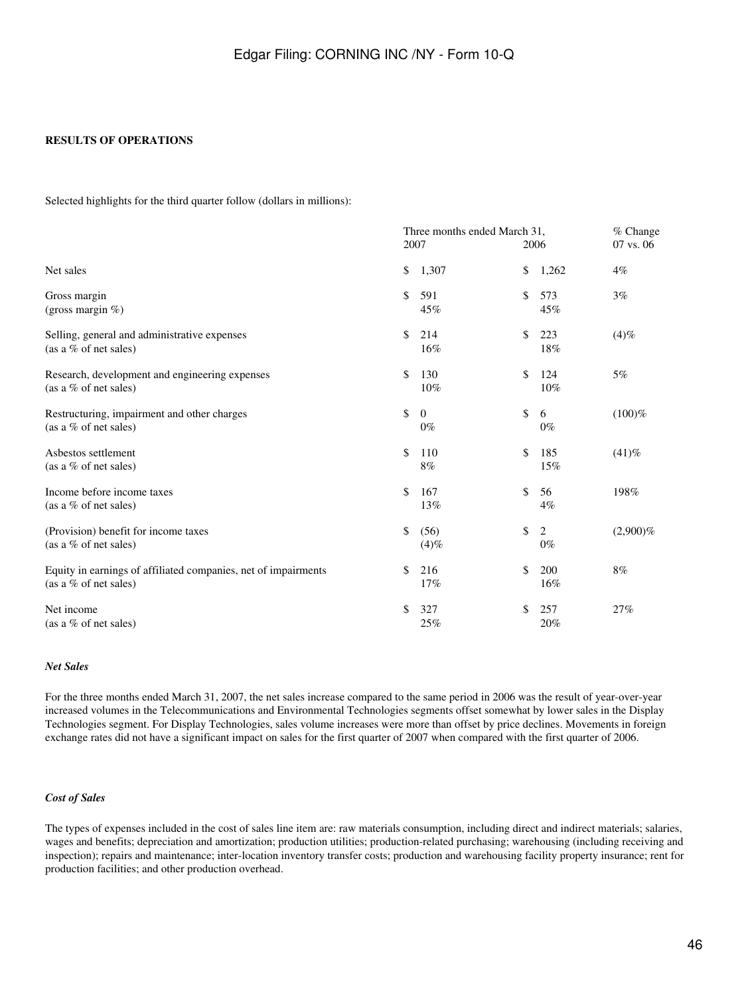## **RESULTS OF OPERATIONS**

Selected highlights for the third quarter follow (dollars in millions):

|                                                                                            | Three months ended March 31, |                         |    | % Change    |               |
|--------------------------------------------------------------------------------------------|------------------------------|-------------------------|----|-------------|---------------|
|                                                                                            |                              | 2007                    |    | 2006        | $07$ vs. $06$ |
| Net sales                                                                                  | \$                           | 1,307                   | \$ | 1,262       | $4\%$         |
| Gross margin<br>(gross margin %)                                                           | \$                           | 591<br>45%              | \$ | 573<br>45%  | 3%            |
| Selling, general and administrative expenses<br>(as a $%$ of net sales)                    | \$                           | 214<br>16%              | \$ | 223<br>18%  | $(4)$ %       |
| Research, development and engineering expenses<br>(as a $%$ of net sales)                  | \$                           | 130<br>$10\%$           | \$ | 124<br>10%  | $5\%$         |
| Restructuring, impairment and other charges<br>(as a $\%$ of net sales)                    | \$                           | $\overline{0}$<br>$0\%$ | \$ | 6<br>$0\%$  | $(100)\%$     |
| Asbestos settlement<br>(as a $\%$ of net sales)                                            | \$                           | 110<br>8%               | \$ | 185<br>15%  | (41)%         |
| Income before income taxes<br>(as a $\%$ of net sales)                                     | \$                           | 167<br>13%              | \$ | 56<br>$4\%$ | 198%          |
| (Provision) benefit for income taxes<br>(as a % of net sales)                              | \$                           | (56)<br>(4)%            | \$ | 2<br>$0\%$  | $(2,900)\%$   |
| Equity in earnings of affiliated companies, net of impairments<br>(as a $\%$ of net sales) | \$                           | 216<br>17%              | \$ | 200<br>16%  | 8%            |
| Net income<br>(as a $%$ of net sales)                                                      | \$                           | 327<br>25%              | \$ | 257<br>20%  | 27%           |

## *Net Sales*

For the three months ended March 31, 2007, the net sales increase compared to the same period in 2006 was the result of year-over-year increased volumes in the Telecommunications and Environmental Technologies segments offset somewhat by lower sales in the Display Technologies segment. For Display Technologies, sales volume increases were more than offset by price declines. Movements in foreign exchange rates did not have a significant impact on sales for the first quarter of 2007 when compared with the first quarter of 2006.

### *Cost of Sales*

The types of expenses included in the cost of sales line item are: raw materials consumption, including direct and indirect materials; salaries, wages and benefits; depreciation and amortization; production utilities; production-related purchasing; warehousing (including receiving and inspection); repairs and maintenance; inter-location inventory transfer costs; production and warehousing facility property insurance; rent for production facilities; and other production overhead.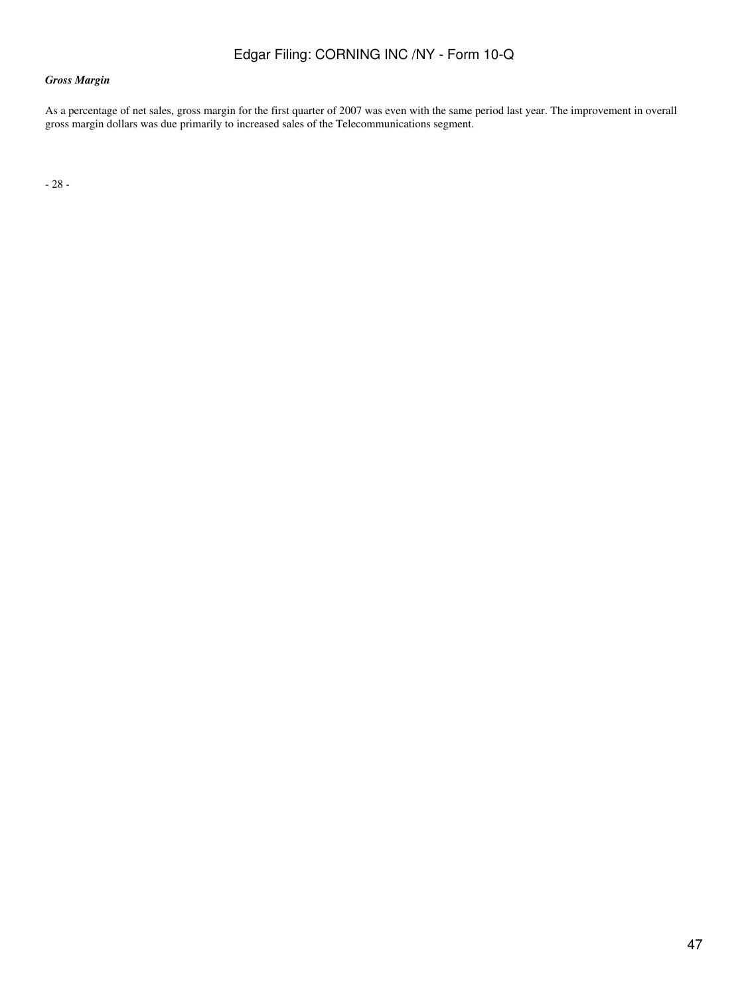## *Gross Margin*

As a percentage of net sales, gross margin for the first quarter of 2007 was even with the same period last year. The improvement in overall gross margin dollars was due primarily to increased sales of the Telecommunications segment.

- 28 -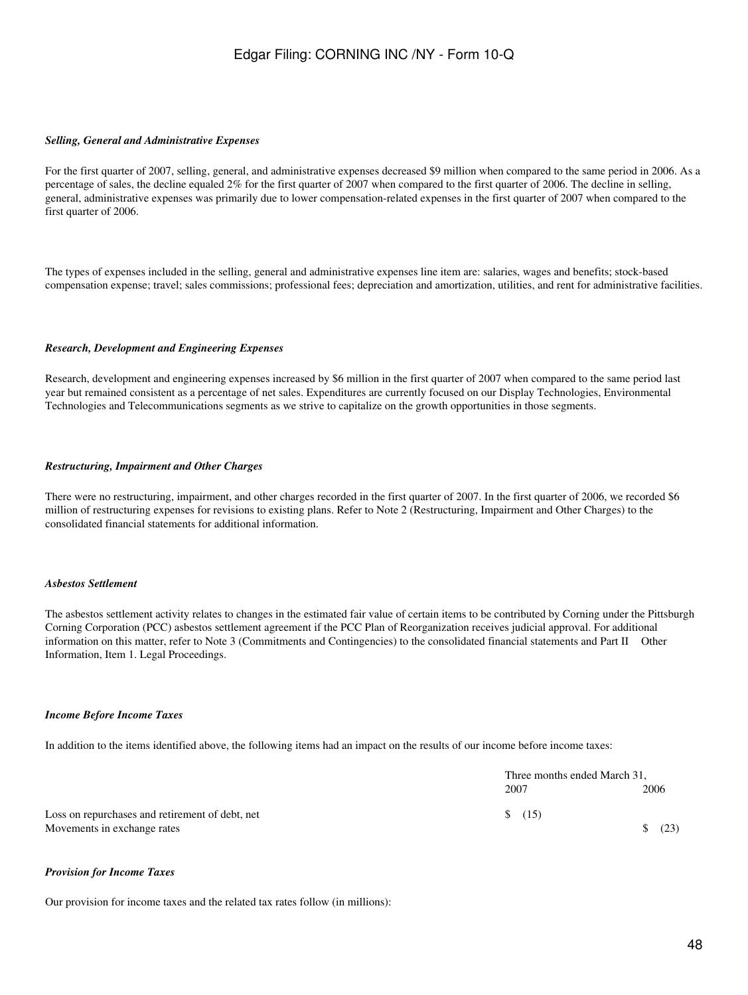### *Selling, General and Administrative Expenses*

For the first quarter of 2007, selling, general, and administrative expenses decreased \$9 million when compared to the same period in 2006. As a percentage of sales, the decline equaled 2% for the first quarter of 2007 when compared to the first quarter of 2006. The decline in selling, general, administrative expenses was primarily due to lower compensation-related expenses in the first quarter of 2007 when compared to the first quarter of 2006.

The types of expenses included in the selling, general and administrative expenses line item are: salaries, wages and benefits; stock-based compensation expense; travel; sales commissions; professional fees; depreciation and amortization, utilities, and rent for administrative facilities.

#### *Research, Development and Engineering Expenses*

Research, development and engineering expenses increased by \$6 million in the first quarter of 2007 when compared to the same period last year but remained consistent as a percentage of net sales. Expenditures are currently focused on our Display Technologies, Environmental Technologies and Telecommunications segments as we strive to capitalize on the growth opportunities in those segments.

### *Restructuring, Impairment and Other Charges*

There were no restructuring, impairment, and other charges recorded in the first quarter of 2007. In the first quarter of 2006, we recorded \$6 million of restructuring expenses for revisions to existing plans. Refer to Note 2 (Restructuring, Impairment and Other Charges) to the consolidated financial statements for additional information.

#### *Asbestos Settlement*

The asbestos settlement activity relates to changes in the estimated fair value of certain items to be contributed by Corning under the Pittsburgh Corning Corporation (PCC) asbestos settlement agreement if the PCC Plan of Reorganization receives judicial approval. For additional information on this matter, refer to Note 3 (Commitments and Contingencies) to the consolidated financial statements and Part II Other Information, Item 1. Legal Proceedings.

#### *Income Before Income Taxes*

In addition to the items identified above, the following items had an impact on the results of our income before income taxes:

|                                                 | Three months ended March 31, |      |  |
|-------------------------------------------------|------------------------------|------|--|
|                                                 | 2007                         | 2006 |  |
| Loss on repurchases and retirement of debt, net | $\frac{(15)}{2}$             |      |  |
| Movements in exchange rates                     |                              | (23) |  |

### *Provision for Income Taxes*

Our provision for income taxes and the related tax rates follow (in millions):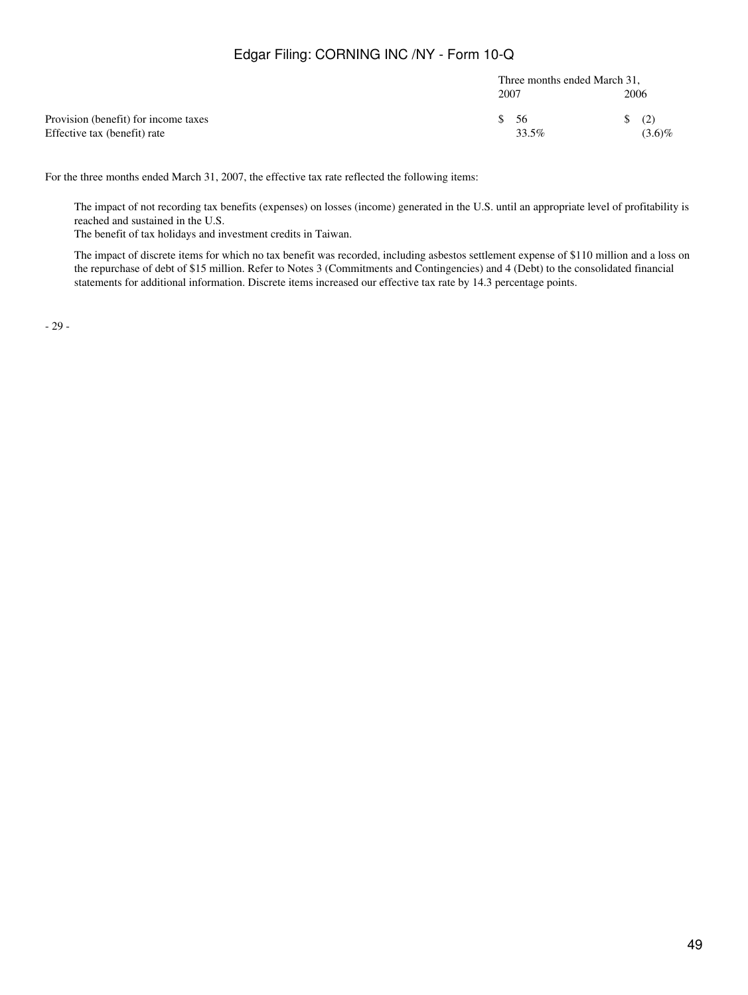|                                      |              | Three months ended March 31, |      |                   |  |
|--------------------------------------|--------------|------------------------------|------|-------------------|--|
|                                      | 2007         |                              | 2006 |                   |  |
| Provision (benefit) for income taxes | <sup>S</sup> | -56                          |      | $\frac{1}{2}$ (2) |  |
| Effective tax (benefit) rate         |              | 33.5%                        |      | $(3.6)\%$         |  |

For the three months ended March 31, 2007, the effective tax rate reflected the following items:

The impact of not recording tax benefits (expenses) on losses (income) generated in the U.S. until an appropriate level of profitability is reached and sustained in the U.S.

The benefit of tax holidays and investment credits in Taiwan.

The impact of discrete items for which no tax benefit was recorded, including asbestos settlement expense of \$110 million and a loss on the repurchase of debt of \$15 million. Refer to Notes 3 (Commitments and Contingencies) and 4 (Debt) to the consolidated financial statements for additional information. Discrete items increased our effective tax rate by 14.3 percentage points.

- 29 -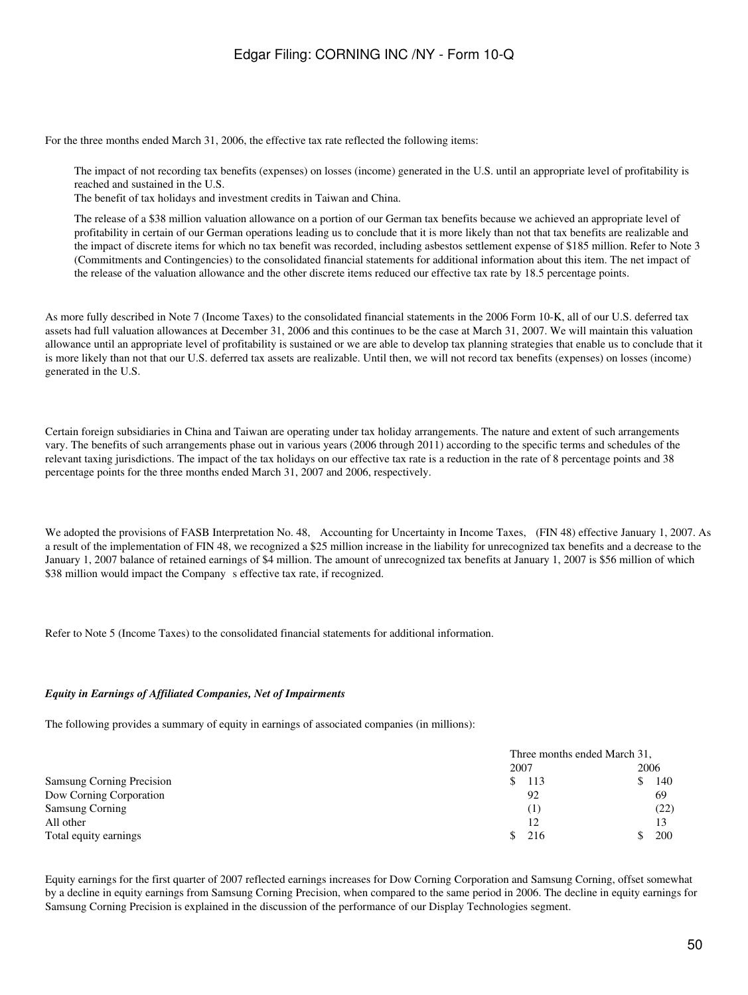For the three months ended March 31, 2006, the effective tax rate reflected the following items:

The impact of not recording tax benefits (expenses) on losses (income) generated in the U.S. until an appropriate level of profitability is reached and sustained in the U.S.

The benefit of tax holidays and investment credits in Taiwan and China.

The release of a \$38 million valuation allowance on a portion of our German tax benefits because we achieved an appropriate level of profitability in certain of our German operations leading us to conclude that it is more likely than not that tax benefits are realizable and the impact of discrete items for which no tax benefit was recorded, including asbestos settlement expense of \$185 million. Refer to Note 3 (Commitments and Contingencies) to the consolidated financial statements for additional information about this item. The net impact of the release of the valuation allowance and the other discrete items reduced our effective tax rate by 18.5 percentage points.

As more fully described in Note 7 (Income Taxes) to the consolidated financial statements in the 2006 Form 10-K, all of our U.S. deferred tax assets had full valuation allowances at December 31, 2006 and this continues to be the case at March 31, 2007. We will maintain this valuation allowance until an appropriate level of profitability is sustained or we are able to develop tax planning strategies that enable us to conclude that it is more likely than not that our U.S. deferred tax assets are realizable. Until then, we will not record tax benefits (expenses) on losses (income) generated in the U.S.

Certain foreign subsidiaries in China and Taiwan are operating under tax holiday arrangements. The nature and extent of such arrangements vary. The benefits of such arrangements phase out in various years (2006 through 2011) according to the specific terms and schedules of the relevant taxing jurisdictions. The impact of the tax holidays on our effective tax rate is a reduction in the rate of 8 percentage points and 38 percentage points for the three months ended March 31, 2007 and 2006, respectively.

We adopted the provisions of FASB Interpretation No. 48, Accounting for Uncertainty in Income Taxes, (FIN 48) effective January 1, 2007. As a result of the implementation of FIN 48, we recognized a \$25 million increase in the liability for unrecognized tax benefits and a decrease to the January 1, 2007 balance of retained earnings of \$4 million. The amount of unrecognized tax benefits at January 1, 2007 is \$56 million of which \$38 million would impact the Company s effective tax rate, if recognized.

Refer to Note 5 (Income Taxes) to the consolidated financial statements for additional information.

### *Equity in Earnings of Affiliated Companies, Net of Impairments*

The following provides a summary of equity in earnings of associated companies (in millions):

|                           | Three months ended March 31, |      |  |      |
|---------------------------|------------------------------|------|--|------|
|                           | 2007                         |      |  | 2006 |
| Samsung Corning Precision |                              | -113 |  | 140  |
| Dow Corning Corporation   |                              | 92   |  | 69   |
| <b>Samsung Corning</b>    |                              | (1)  |  | (22) |
| All other                 |                              | 12   |  |      |
| Total equity earnings     |                              | -216 |  | 200  |

Equity earnings for the first quarter of 2007 reflected earnings increases for Dow Corning Corporation and Samsung Corning, offset somewhat by a decline in equity earnings from Samsung Corning Precision, when compared to the same period in 2006. The decline in equity earnings for Samsung Corning Precision is explained in the discussion of the performance of our Display Technologies segment.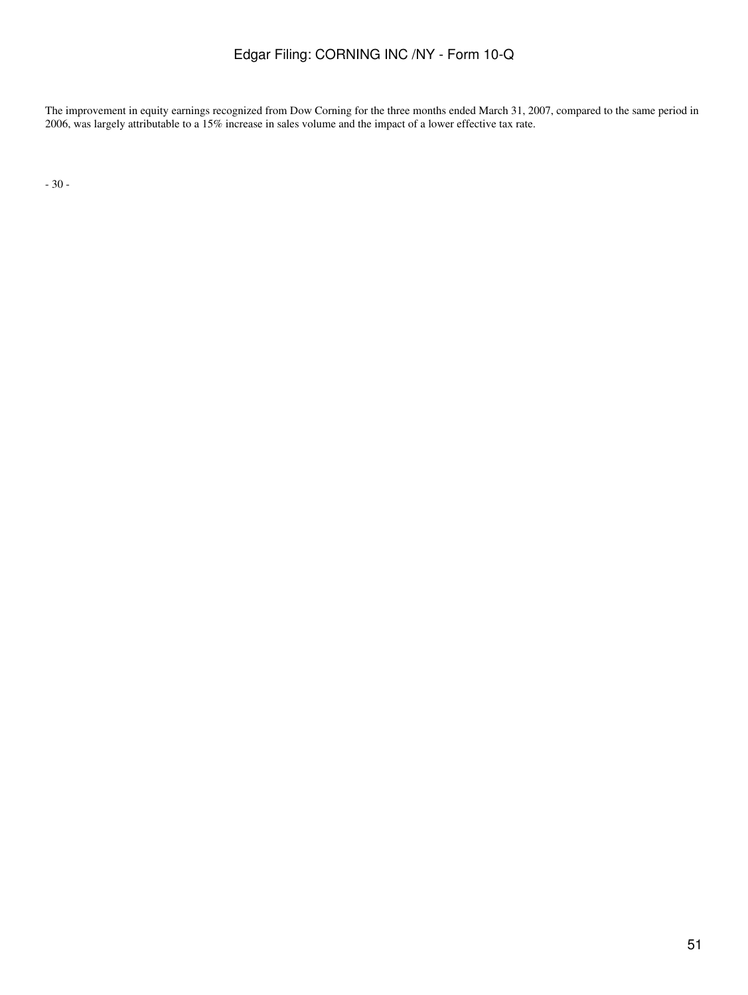The improvement in equity earnings recognized from Dow Corning for the three months ended March 31, 2007, compared to the same period in 2006, was largely attributable to a 15% increase in sales volume and the impact of a lower effective tax rate.

- 30 -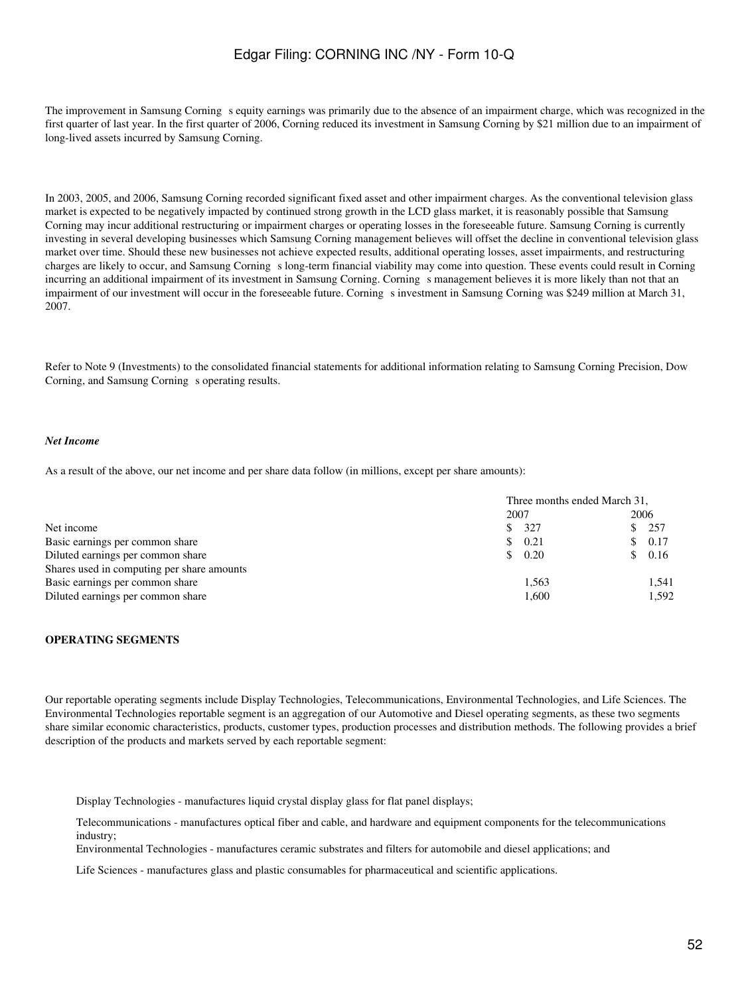The improvement in Samsung Corning sequity earnings was primarily due to the absence of an impairment charge, which was recognized in the first quarter of last year. In the first quarter of 2006, Corning reduced its investment in Samsung Corning by \$21 million due to an impairment of long-lived assets incurred by Samsung Corning.

In 2003, 2005, and 2006, Samsung Corning recorded significant fixed asset and other impairment charges. As the conventional television glass market is expected to be negatively impacted by continued strong growth in the LCD glass market, it is reasonably possible that Samsung Corning may incur additional restructuring or impairment charges or operating losses in the foreseeable future. Samsung Corning is currently investing in several developing businesses which Samsung Corning management believes will offset the decline in conventional television glass market over time. Should these new businesses not achieve expected results, additional operating losses, asset impairments, and restructuring charges are likely to occur, and Samsung Corning s long-term financial viability may come into question. These events could result in Corning incurring an additional impairment of its investment in Samsung Corning. Corning s management believes it is more likely than not that an impairment of our investment will occur in the foreseeable future. Corning s investment in Samsung Corning was \$249 million at March 31, 2007.

Refer to Note 9 (Investments) to the consolidated financial statements for additional information relating to Samsung Corning Precision, Dow Corning, and Samsung Corning s operating results.

### *Net Income*

As a result of the above, our net income and per share data follow (in millions, except per share amounts):

|                                            | Three months ended March 31, |                    |  |        |  |
|--------------------------------------------|------------------------------|--------------------|--|--------|--|
|                                            |                              | 2007               |  | 2006   |  |
| Net income                                 | S.                           | - 327              |  | \$ 257 |  |
| Basic earnings per common share            | S.                           | 0.21               |  | \$0.17 |  |
| Diluted earnings per common share          |                              | $\frac{1}{2}$ 0.20 |  | \$0.16 |  |
| Shares used in computing per share amounts |                              |                    |  |        |  |
| Basic earnings per common share            |                              | 1.563              |  | 1.541  |  |
| Diluted earnings per common share          |                              | 1,600              |  | 1.592  |  |

### **OPERATING SEGMENTS**

Our reportable operating segments include Display Technologies, Telecommunications, Environmental Technologies, and Life Sciences. The Environmental Technologies reportable segment is an aggregation of our Automotive and Diesel operating segments, as these two segments share similar economic characteristics, products, customer types, production processes and distribution methods. The following provides a brief description of the products and markets served by each reportable segment:

Display Technologies - manufactures liquid crystal display glass for flat panel displays;

Telecommunications - manufactures optical fiber and cable, and hardware and equipment components for the telecommunications industry;

Environmental Technologies - manufactures ceramic substrates and filters for automobile and diesel applications; and

Life Sciences - manufactures glass and plastic consumables for pharmaceutical and scientific applications.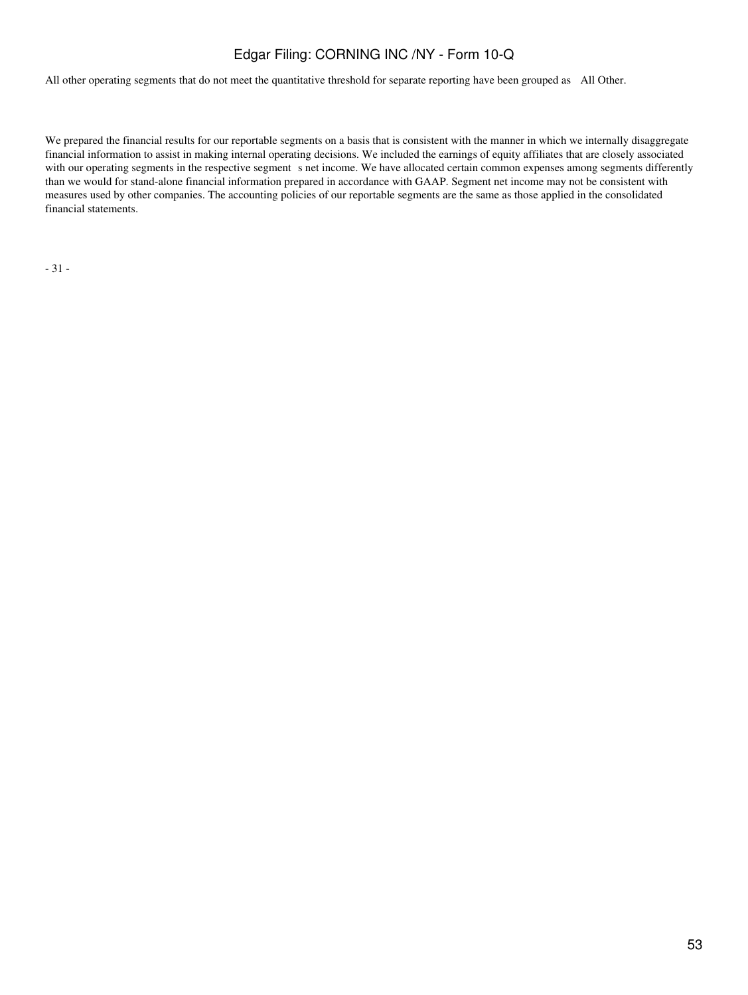All other operating segments that do not meet the quantitative threshold for separate reporting have been grouped as All Other.

We prepared the financial results for our reportable segments on a basis that is consistent with the manner in which we internally disaggregate financial information to assist in making internal operating decisions. We included the earnings of equity affiliates that are closely associated with our operating segments in the respective segment s net income. We have allocated certain common expenses among segments differently than we would for stand-alone financial information prepared in accordance with GAAP. Segment net income may not be consistent with measures used by other companies. The accounting policies of our reportable segments are the same as those applied in the consolidated financial statements.

- 31 -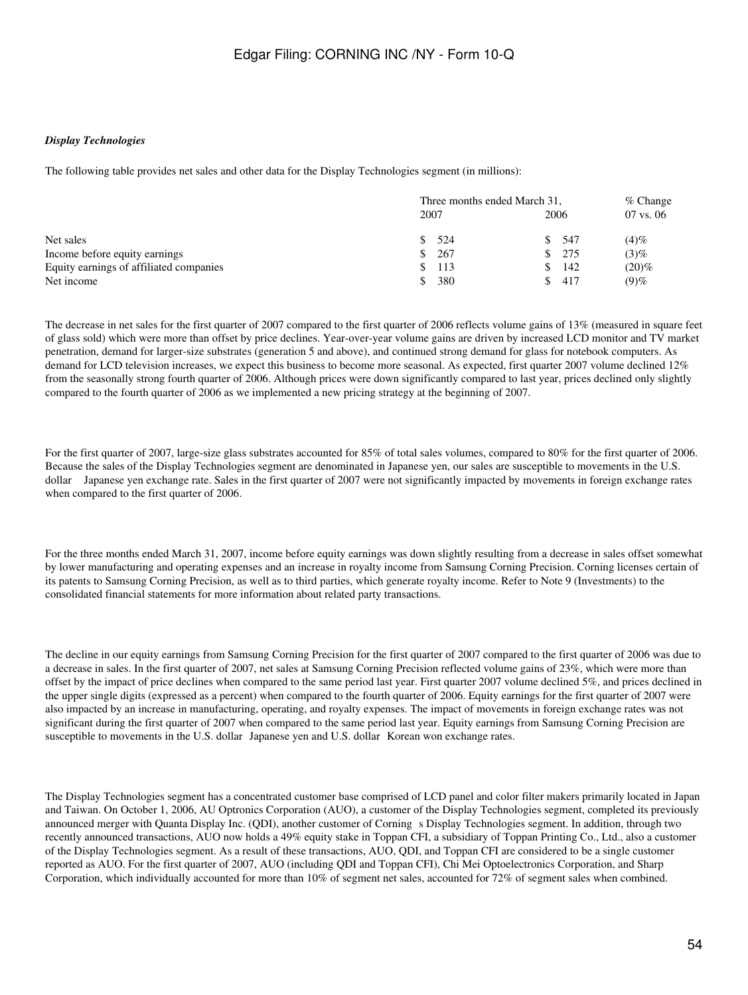## *Display Technologies*

The following table provides net sales and other data for the Display Technologies segment (in millions):

|                                         | Three months ended March 31, | % Change   |                      |
|-----------------------------------------|------------------------------|------------|----------------------|
|                                         | 2007                         | 2006       | $07 \text{ vs. } 06$ |
| Net sales                               | \$524                        | -547<br>S. | $(4)\%$              |
| Income before equity earnings           | 267<br>SS.                   | 275<br>SS. | $(3)\%$              |
| Equity earnings of affiliated companies | 113                          | 142        | $(20)\%$             |
| Net income                              | 380                          | 417        | $(9)$ %              |

The decrease in net sales for the first quarter of 2007 compared to the first quarter of 2006 reflects volume gains of 13% (measured in square feet of glass sold) which were more than offset by price declines. Year-over-year volume gains are driven by increased LCD monitor and TV market penetration, demand for larger-size substrates (generation 5 and above), and continued strong demand for glass for notebook computers. As demand for LCD television increases, we expect this business to become more seasonal. As expected, first quarter 2007 volume declined 12% from the seasonally strong fourth quarter of 2006. Although prices were down significantly compared to last year, prices declined only slightly compared to the fourth quarter of 2006 as we implemented a new pricing strategy at the beginning of 2007.

For the first quarter of 2007, large-size glass substrates accounted for 85% of total sales volumes, compared to 80% for the first quarter of 2006. Because the sales of the Display Technologies segment are denominated in Japanese yen, our sales are susceptible to movements in the U.S. dollar Japanese yen exchange rate. Sales in the first quarter of 2007 were not significantly impacted by movements in foreign exchange rates when compared to the first quarter of 2006.

For the three months ended March 31, 2007, income before equity earnings was down slightly resulting from a decrease in sales offset somewhat by lower manufacturing and operating expenses and an increase in royalty income from Samsung Corning Precision. Corning licenses certain of its patents to Samsung Corning Precision, as well as to third parties, which generate royalty income. Refer to Note 9 (Investments) to the consolidated financial statements for more information about related party transactions.

The decline in our equity earnings from Samsung Corning Precision for the first quarter of 2007 compared to the first quarter of 2006 was due to a decrease in sales. In the first quarter of 2007, net sales at Samsung Corning Precision reflected volume gains of 23%, which were more than offset by the impact of price declines when compared to the same period last year. First quarter 2007 volume declined 5%, and prices declined in the upper single digits (expressed as a percent) when compared to the fourth quarter of 2006. Equity earnings for the first quarter of 2007 were also impacted by an increase in manufacturing, operating, and royalty expenses. The impact of movements in foreign exchange rates was not significant during the first quarter of 2007 when compared to the same period last year. Equity earnings from Samsung Corning Precision are susceptible to movements in the U.S. dollar Japanese yen and U.S. dollar Korean won exchange rates.

The Display Technologies segment has a concentrated customer base comprised of LCD panel and color filter makers primarily located in Japan and Taiwan. On October 1, 2006, AU Optronics Corporation (AUO), a customer of the Display Technologies segment, completed its previously announced merger with Quanta Display Inc. (QDI), another customer of Corning s Display Technologies segment. In addition, through two recently announced transactions, AUO now holds a 49% equity stake in Toppan CFI, a subsidiary of Toppan Printing Co., Ltd., also a customer of the Display Technologies segment. As a result of these transactions, AUO, QDI, and Toppan CFI are considered to be a single customer reported as AUO. For the first quarter of 2007, AUO (including QDI and Toppan CFI), Chi Mei Optoelectronics Corporation, and Sharp Corporation, which individually accounted for more than 10% of segment net sales, accounted for 72% of segment sales when combined.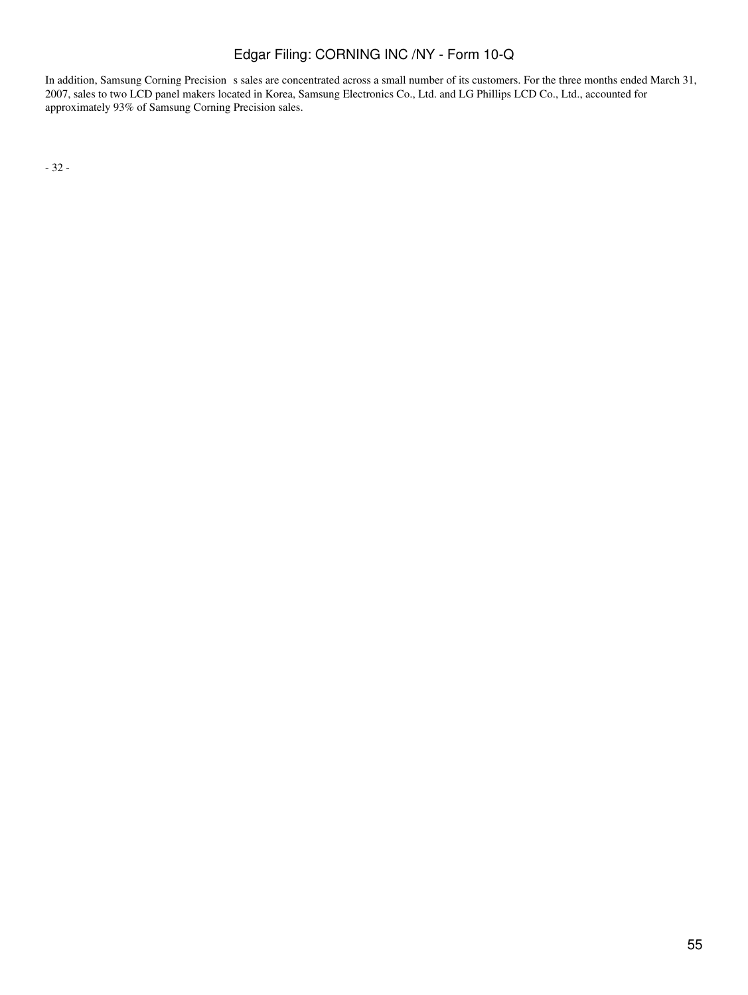In addition, Samsung Corning Precision s sales are concentrated across a small number of its customers. For the three months ended March 31, 2007, sales to two LCD panel makers located in Korea, Samsung Electronics Co., Ltd. and LG Phillips LCD Co., Ltd., accounted for approximately 93% of Samsung Corning Precision sales.

- 32 -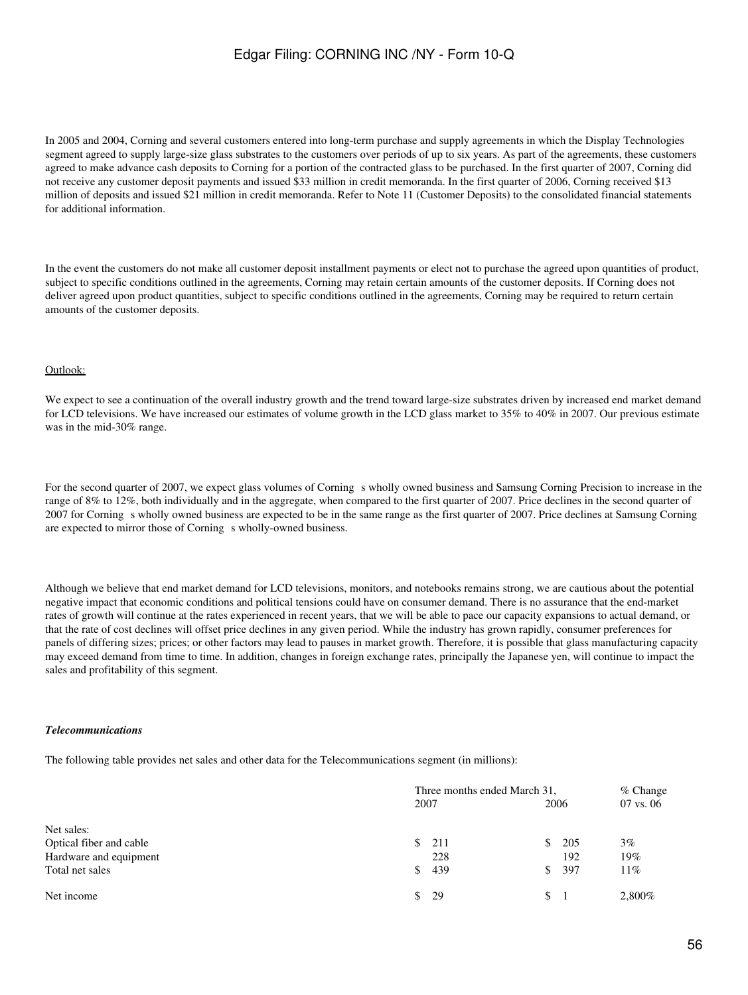In 2005 and 2004, Corning and several customers entered into long-term purchase and supply agreements in which the Display Technologies segment agreed to supply large-size glass substrates to the customers over periods of up to six years. As part of the agreements, these customers agreed to make advance cash deposits to Corning for a portion of the contracted glass to be purchased. In the first quarter of 2007, Corning did not receive any customer deposit payments and issued \$33 million in credit memoranda. In the first quarter of 2006, Corning received \$13 million of deposits and issued \$21 million in credit memoranda. Refer to Note 11 (Customer Deposits) to the consolidated financial statements for additional information.

In the event the customers do not make all customer deposit installment payments or elect not to purchase the agreed upon quantities of product, subject to specific conditions outlined in the agreements, Corning may retain certain amounts of the customer deposits. If Corning does not deliver agreed upon product quantities, subject to specific conditions outlined in the agreements, Corning may be required to return certain amounts of the customer deposits.

### Outlook:

We expect to see a continuation of the overall industry growth and the trend toward large-size substrates driven by increased end market demand for LCD televisions. We have increased our estimates of volume growth in the LCD glass market to 35% to 40% in 2007. Our previous estimate was in the mid-30% range.

For the second quarter of 2007, we expect glass volumes of Corning s wholly owned business and Samsung Corning Precision to increase in the range of 8% to 12%, both individually and in the aggregate, when compared to the first quarter of 2007. Price declines in the second quarter of 2007 for Corning s wholly owned business are expected to be in the same range as the first quarter of 2007. Price declines at Samsung Corning are expected to mirror those of Corning s wholly-owned business.

Although we believe that end market demand for LCD televisions, monitors, and notebooks remains strong, we are cautious about the potential negative impact that economic conditions and political tensions could have on consumer demand. There is no assurance that the end-market rates of growth will continue at the rates experienced in recent years, that we will be able to pace our capacity expansions to actual demand, or that the rate of cost declines will offset price declines in any given period. While the industry has grown rapidly, consumer preferences for panels of differing sizes; prices; or other factors may lead to pauses in market growth. Therefore, it is possible that glass manufacturing capacity may exceed demand from time to time. In addition, changes in foreign exchange rates, principally the Japanese yen, will continue to impact the sales and profitability of this segment.

#### *Telecommunications*

The following table provides net sales and other data for the Telecommunications segment (in millions):

|                         | 2007                | Three months ended March 31, | 2006 | % Change<br>$07 \text{ vs. } 06$ |
|-------------------------|---------------------|------------------------------|------|----------------------------------|
| Net sales:              |                     |                              |      |                                  |
| Optical fiber and cable | \$211               | S                            | 205  | 3%                               |
| Hardware and equipment  | 228                 |                              | 192  | 19%                              |
| Total net sales         | 439<br>S.           | \$.                          | 397  | 11%                              |
| Net income              | <sup>\$</sup><br>29 | S.                           |      | 2.800%                           |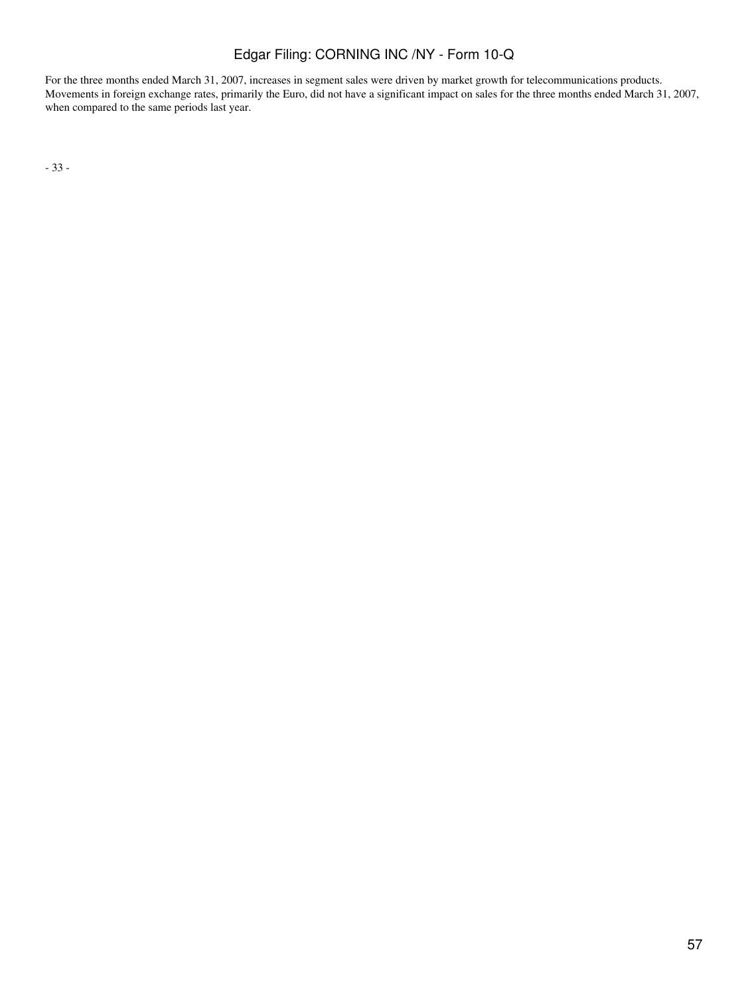For the three months ended March 31, 2007, increases in segment sales were driven by market growth for telecommunications products. Movements in foreign exchange rates, primarily the Euro, did not have a significant impact on sales for the three months ended March 31, 2007, when compared to the same periods last year.

- 33 -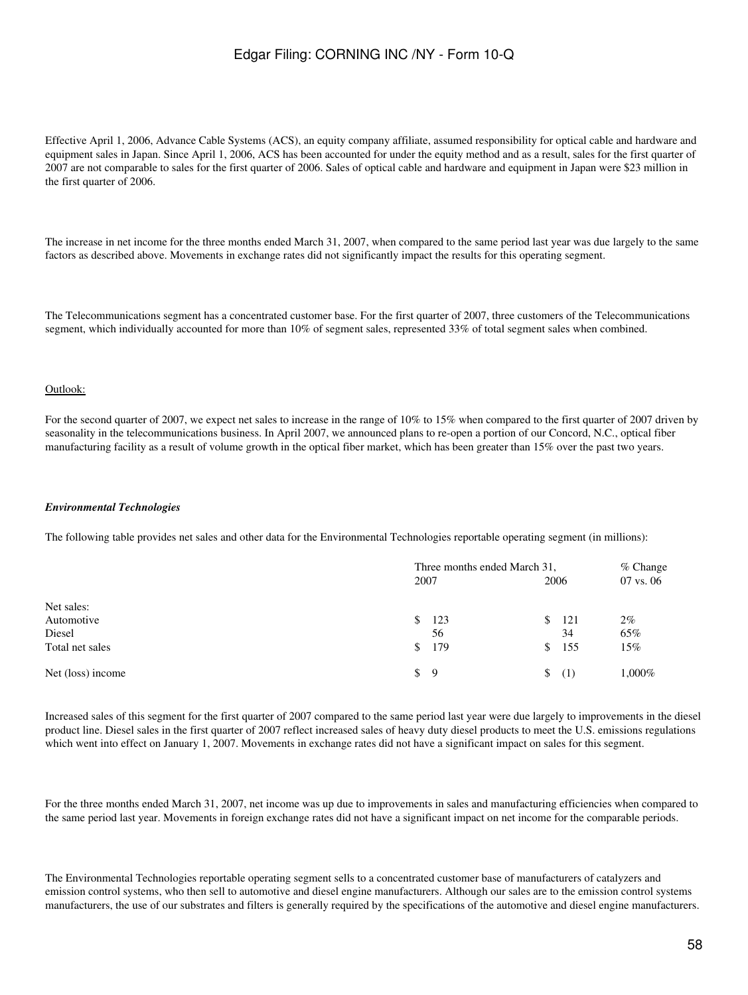Effective April 1, 2006, Advance Cable Systems (ACS), an equity company affiliate, assumed responsibility for optical cable and hardware and equipment sales in Japan. Since April 1, 2006, ACS has been accounted for under the equity method and as a result, sales for the first quarter of 2007 are not comparable to sales for the first quarter of 2006. Sales of optical cable and hardware and equipment in Japan were \$23 million in the first quarter of 2006.

The increase in net income for the three months ended March 31, 2007, when compared to the same period last year was due largely to the same factors as described above. Movements in exchange rates did not significantly impact the results for this operating segment.

The Telecommunications segment has a concentrated customer base. For the first quarter of 2007, three customers of the Telecommunications segment, which individually accounted for more than 10% of segment sales, represented 33% of total segment sales when combined.

### Outlook:

For the second quarter of 2007, we expect net sales to increase in the range of 10% to 15% when compared to the first quarter of 2007 driven by seasonality in the telecommunications business. In April 2007, we announced plans to re-open a portion of our Concord, N.C., optical fiber manufacturing facility as a result of volume growth in the optical fiber market, which has been greater than 15% over the past two years.

#### *Environmental Technologies*

The following table provides net sales and other data for the Environmental Technologies reportable operating segment (in millions):

| Three months ended March 31, |     |      |     | $%$ Change |  |  |
|------------------------------|-----|------|-----|------------|--|--|
| 2007                         |     | 2006 |     | 07 vs. 06  |  |  |
|                              |     |      |     |            |  |  |
| \$                           | 123 | \$.  | 121 | $2\%$      |  |  |
|                              | 56  |      | 34  | 65%        |  |  |
| \$                           | 179 |      | 155 | $15\%$     |  |  |
| \$                           | - 9 | \$   | (1) | 1,000%     |  |  |
|                              |     |      |     | \$         |  |  |

Increased sales of this segment for the first quarter of 2007 compared to the same period last year were due largely to improvements in the diesel product line. Diesel sales in the first quarter of 2007 reflect increased sales of heavy duty diesel products to meet the U.S. emissions regulations which went into effect on January 1, 2007. Movements in exchange rates did not have a significant impact on sales for this segment.

For the three months ended March 31, 2007, net income was up due to improvements in sales and manufacturing efficiencies when compared to the same period last year. Movements in foreign exchange rates did not have a significant impact on net income for the comparable periods.

The Environmental Technologies reportable operating segment sells to a concentrated customer base of manufacturers of catalyzers and emission control systems, who then sell to automotive and diesel engine manufacturers. Although our sales are to the emission control systems manufacturers, the use of our substrates and filters is generally required by the specifications of the automotive and diesel engine manufacturers.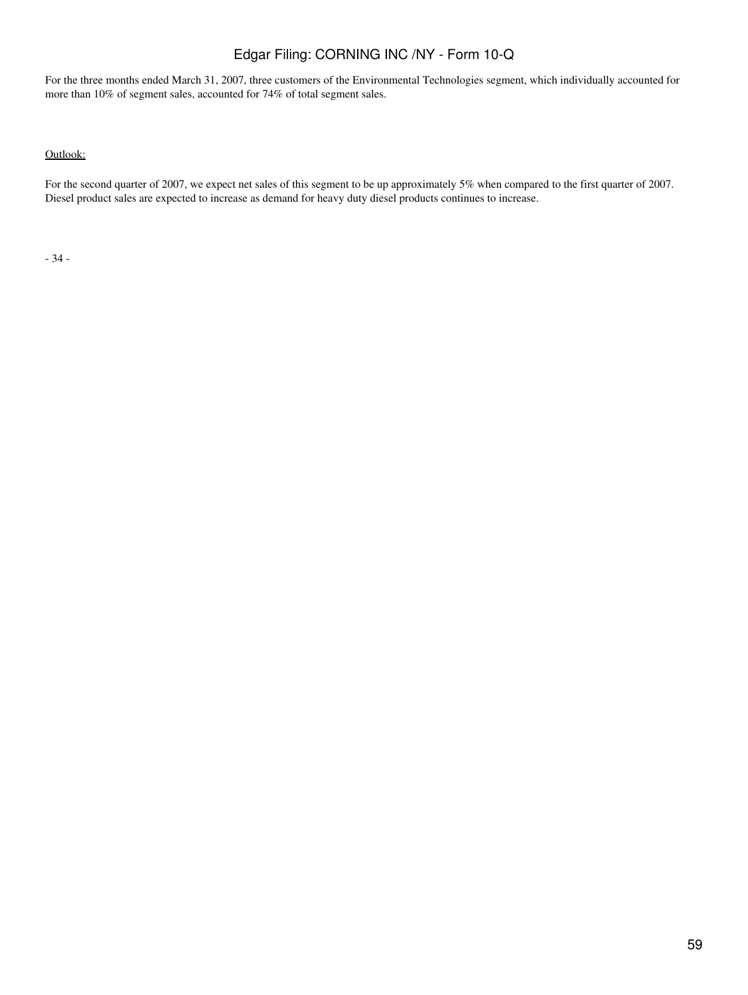For the three months ended March 31, 2007, three customers of the Environmental Technologies segment, which individually accounted for more than 10% of segment sales, accounted for 74% of total segment sales.

## Outlook:

For the second quarter of 2007, we expect net sales of this segment to be up approximately 5% when compared to the first quarter of 2007. Diesel product sales are expected to increase as demand for heavy duty diesel products continues to increase.

- 34 -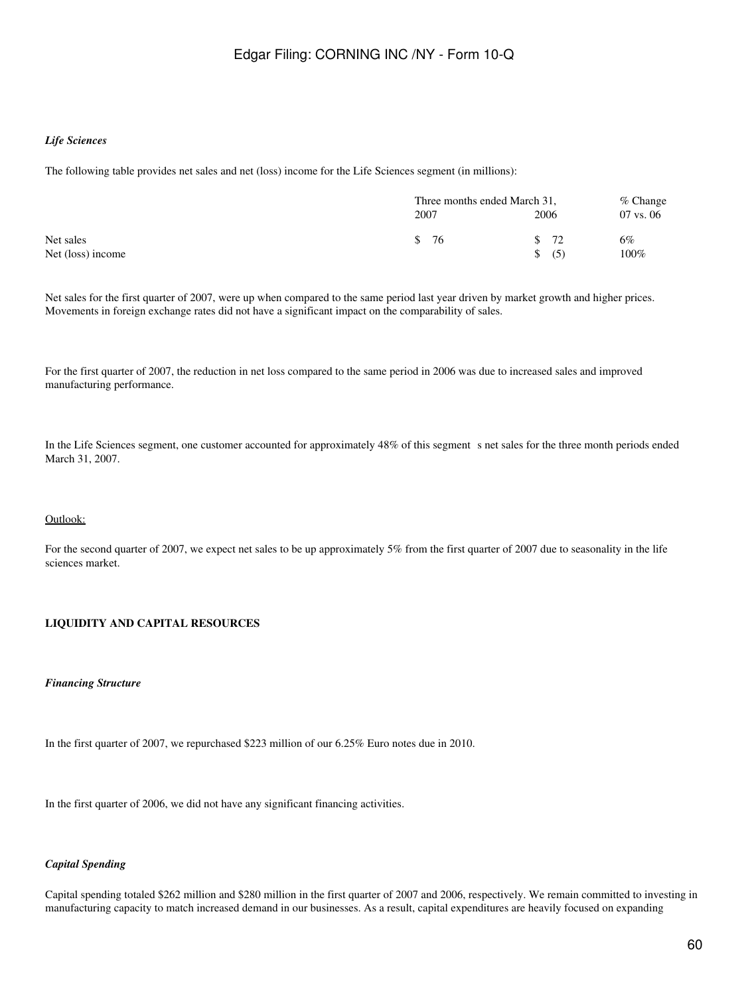## *Life Sciences*

The following table provides net sales and net (loss) income for the Life Sciences segment (in millions):

|                   |       | Three months ended March 31, |                      |  |  |
|-------------------|-------|------------------------------|----------------------|--|--|
|                   | 2007  | 2006                         | $07 \text{ vs. } 06$ |  |  |
| Net sales         | \$ 76 | $\frac{1}{2}$                | 6%                   |  |  |
| Net (loss) income |       | (5)                          | 100%                 |  |  |

Net sales for the first quarter of 2007, were up when compared to the same period last year driven by market growth and higher prices. Movements in foreign exchange rates did not have a significant impact on the comparability of sales.

For the first quarter of 2007, the reduction in net loss compared to the same period in 2006 was due to increased sales and improved manufacturing performance.

In the Life Sciences segment, one customer accounted for approximately 48% of this segment s net sales for the three month periods ended March 31, 2007.

## Outlook:

For the second quarter of 2007, we expect net sales to be up approximately 5% from the first quarter of 2007 due to seasonality in the life sciences market.

### **LIQUIDITY AND CAPITAL RESOURCES**

### *Financing Structure*

In the first quarter of 2007, we repurchased \$223 million of our 6.25% Euro notes due in 2010.

In the first quarter of 2006, we did not have any significant financing activities.

### *Capital Spending*

Capital spending totaled \$262 million and \$280 million in the first quarter of 2007 and 2006, respectively. We remain committed to investing in manufacturing capacity to match increased demand in our businesses. As a result, capital expenditures are heavily focused on expanding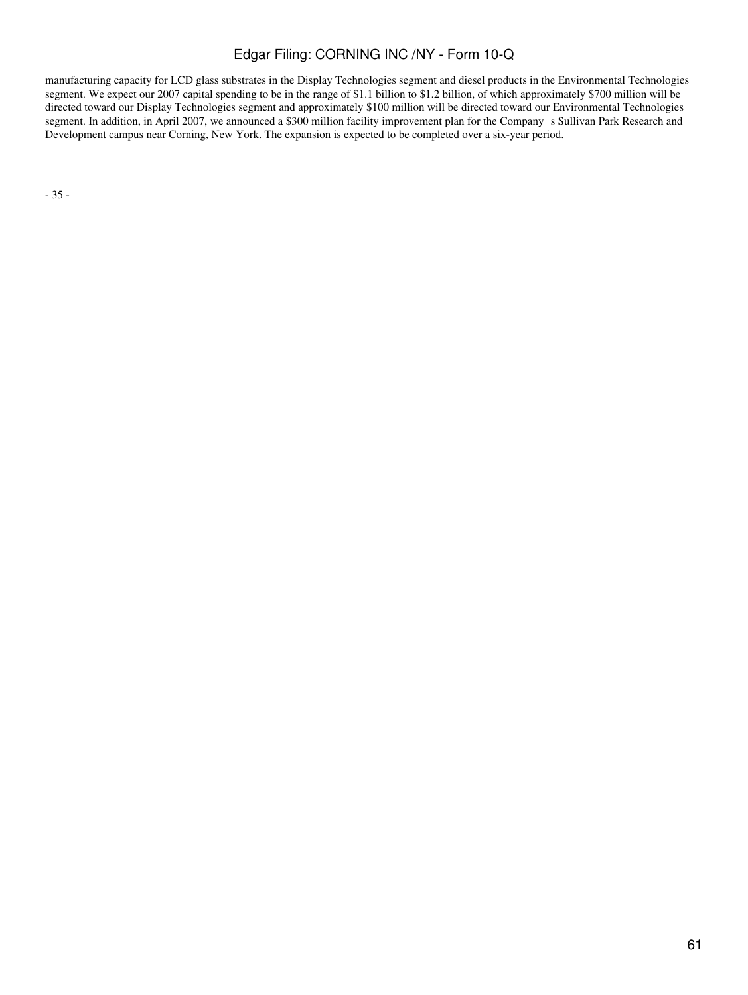manufacturing capacity for LCD glass substrates in the Display Technologies segment and diesel products in the Environmental Technologies segment. We expect our 2007 capital spending to be in the range of \$1.1 billion to \$1.2 billion, of which approximately \$700 million will be directed toward our Display Technologies segment and approximately \$100 million will be directed toward our Environmental Technologies segment. In addition, in April 2007, we announced a \$300 million facility improvement plan for the Company s Sullivan Park Research and Development campus near Corning, New York. The expansion is expected to be completed over a six-year period.

- 35 -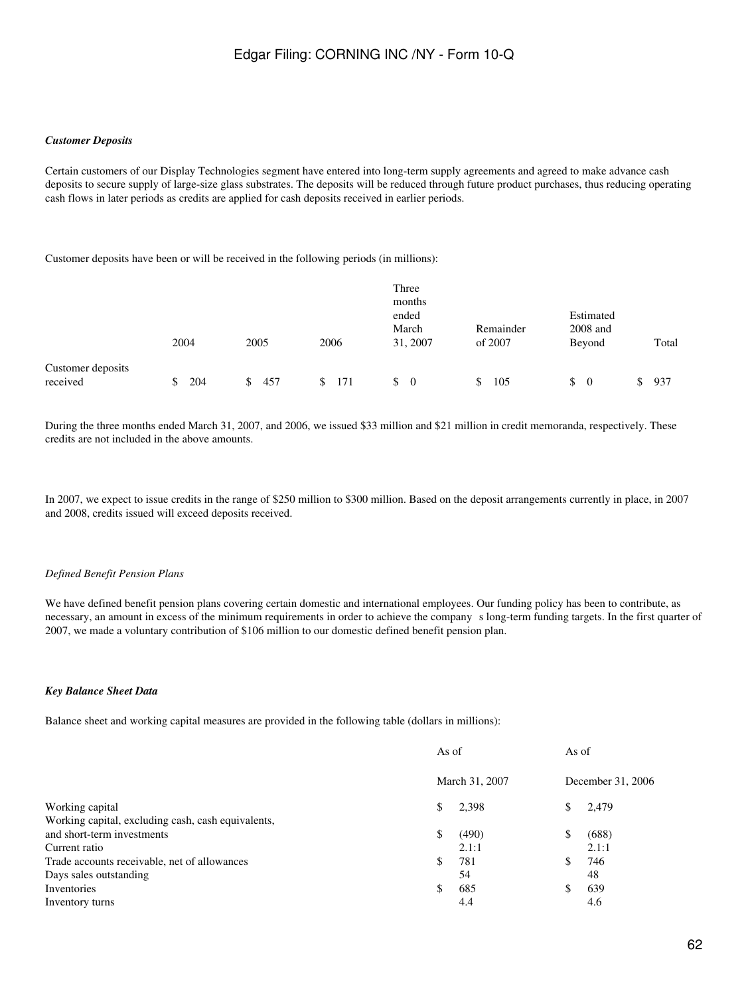### *Customer Deposits*

Certain customers of our Display Technologies segment have entered into long-term supply agreements and agreed to make advance cash deposits to secure supply of large-size glass substrates. The deposits will be reduced through future product purchases, thus reducing operating cash flows in later periods as credits are applied for cash deposits received in earlier periods.

Customer deposits have been or will be received in the following periods (in millions):

|                   |            |      |      | Three<br>months             |         |                       |       |
|-------------------|------------|------|------|-----------------------------|---------|-----------------------|-------|
|                   |            |      |      | ended<br>March<br>Remainder |         | Estimated<br>2008 and |       |
|                   | 2004       | 2005 | 2006 | 31, 2007                    | of 2007 | Beyond                | Total |
| Customer deposits |            |      |      |                             |         |                       |       |
| received          | 204<br>\$. | 457  | 171  | \$<br>$\overline{0}$        | 105     | \$.<br>$\overline{0}$ | 937   |

During the three months ended March 31, 2007, and 2006, we issued \$33 million and \$21 million in credit memoranda, respectively. These credits are not included in the above amounts.

In 2007, we expect to issue credits in the range of \$250 million to \$300 million. Based on the deposit arrangements currently in place, in 2007 and 2008, credits issued will exceed deposits received.

### *Defined Benefit Pension Plans*

We have defined benefit pension plans covering certain domestic and international employees. Our funding policy has been to contribute, as necessary, an amount in excess of the minimum requirements in order to achieve the companys long-term funding targets. In the first quarter of 2007, we made a voluntary contribution of \$106 million to our domestic defined benefit pension plan.

## *Key Balance Sheet Data*

Balance sheet and working capital measures are provided in the following table (dollars in millions):

|                                                    | As of          |       | As of             |       |  |
|----------------------------------------------------|----------------|-------|-------------------|-------|--|
|                                                    | March 31, 2007 |       | December 31, 2006 |       |  |
| Working capital                                    | \$             | 2,398 | \$                | 2,479 |  |
| Working capital, excluding cash, cash equivalents, |                |       |                   |       |  |
| and short-term investments                         | \$             | (490) | \$                | (688) |  |
| Current ratio                                      |                | 2.1:1 |                   | 2.1:1 |  |
| Trade accounts receivable, net of allowances       | \$             | 781   | \$                | 746   |  |
| Days sales outstanding                             |                | 54    |                   | 48    |  |
| Inventories                                        | \$             | 685   | \$                | 639   |  |
| Inventory turns                                    |                | 4.4   |                   | 4.6   |  |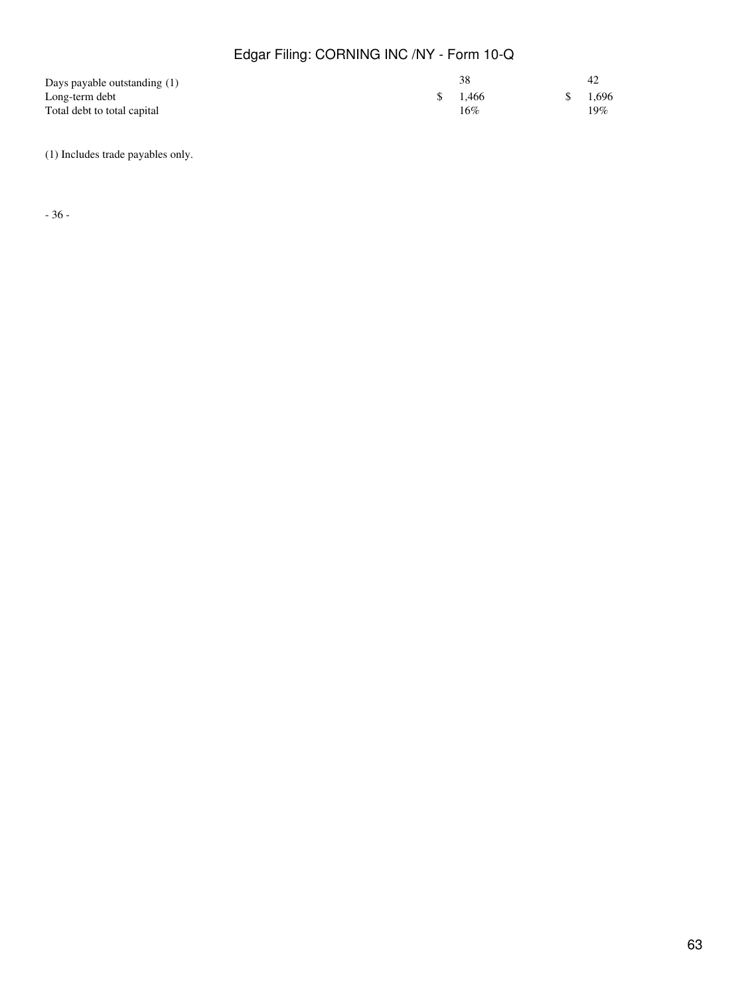| Days payable outstanding (1) | 38                 | 42     |
|------------------------------|--------------------|--------|
| Long-term debt               | $\frac{\$}{1.466}$ | 1,696  |
| Total debt to total capital  | 16%                | $19\%$ |

(1) Includes trade payables only.

- 36 -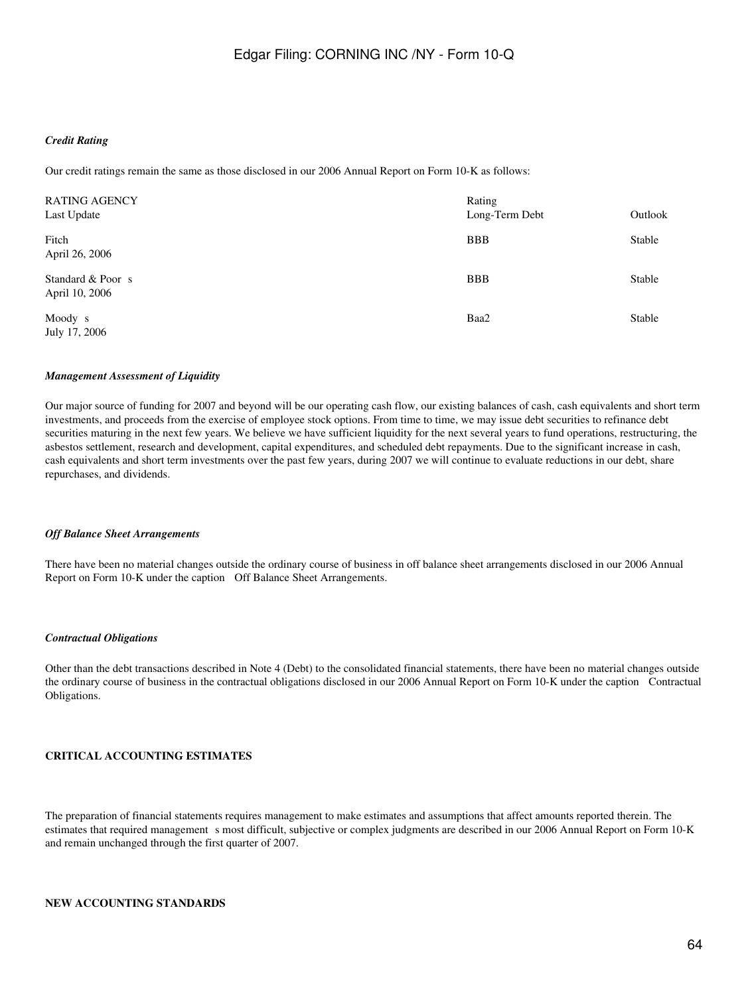## *Credit Rating*

Our credit ratings remain the same as those disclosed in our 2006 Annual Report on Form 10-K as follows:

| <b>RATING AGENCY</b><br>Last Update | Rating<br>Long-Term Debt | Outlook |
|-------------------------------------|--------------------------|---------|
| Fitch<br>April 26, 2006             | <b>BBB</b>               | Stable  |
| Standard & Poor s<br>April 10, 2006 | <b>BBB</b>               | Stable  |
| Moody s<br>July 17, 2006            | Baa2                     | Stable  |

### *Management Assessment of Liquidity*

Our major source of funding for 2007 and beyond will be our operating cash flow, our existing balances of cash, cash equivalents and short term investments, and proceeds from the exercise of employee stock options. From time to time, we may issue debt securities to refinance debt securities maturing in the next few years. We believe we have sufficient liquidity for the next several years to fund operations, restructuring, the asbestos settlement, research and development, capital expenditures, and scheduled debt repayments. Due to the significant increase in cash, cash equivalents and short term investments over the past few years, during 2007 we will continue to evaluate reductions in our debt, share repurchases, and dividends.

### *Off Balance Sheet Arrangements*

There have been no material changes outside the ordinary course of business in off balance sheet arrangements disclosed in our 2006 Annual Report on Form 10-K under the caption Off Balance Sheet Arrangements.

### *Contractual Obligations*

Other than the debt transactions described in Note 4 (Debt) to the consolidated financial statements, there have been no material changes outside the ordinary course of business in the contractual obligations disclosed in our 2006 Annual Report on Form 10-K under the caption Contractual Obligations.

### **CRITICAL ACCOUNTING ESTIMATES**

The preparation of financial statements requires management to make estimates and assumptions that affect amounts reported therein. The estimates that required management s most difficult, subjective or complex judgments are described in our 2006 Annual Report on Form 10-K and remain unchanged through the first quarter of 2007.

### **NEW ACCOUNTING STANDARDS**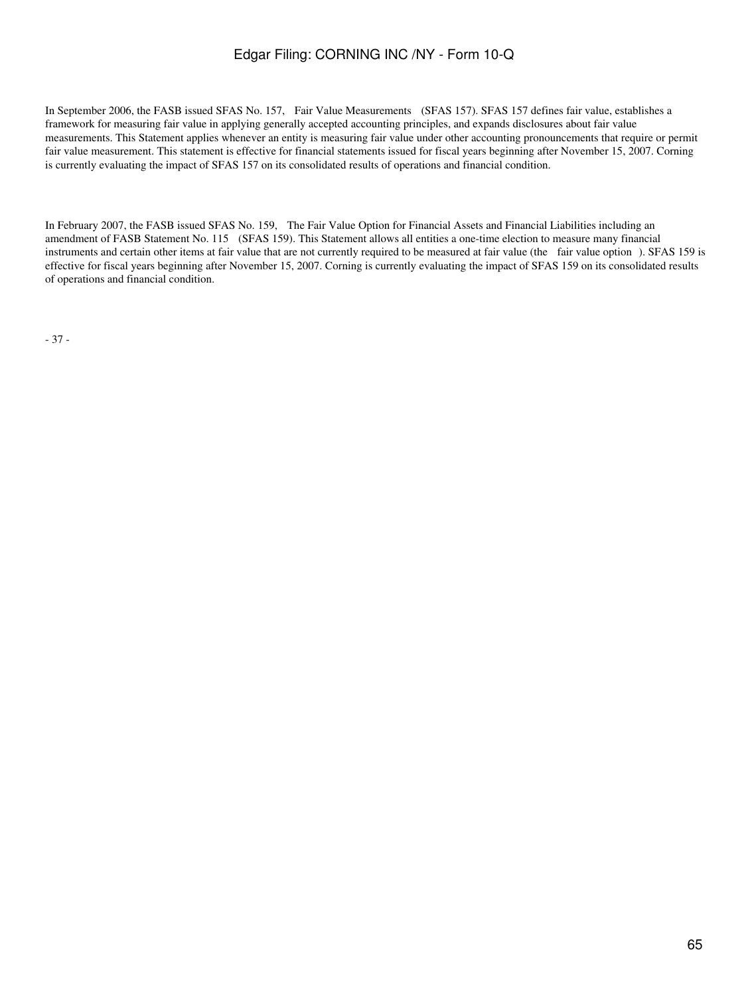In September 2006, the FASB issued SFAS No. 157, Fair Value Measurements (SFAS 157). SFAS 157 defines fair value, establishes a framework for measuring fair value in applying generally accepted accounting principles, and expands disclosures about fair value measurements. This Statement applies whenever an entity is measuring fair value under other accounting pronouncements that require or permit fair value measurement. This statement is effective for financial statements issued for fiscal years beginning after November 15, 2007. Corning is currently evaluating the impact of SFAS 157 on its consolidated results of operations and financial condition.

In February 2007, the FASB issued SFAS No. 159, The Fair Value Option for Financial Assets and Financial Liabilities including an amendment of FASB Statement No. 115 (SFAS 159). This Statement allows all entities a one-time election to measure many financial instruments and certain other items at fair value that are not currently required to be measured at fair value (the fair value option). SFAS 159 is effective for fiscal years beginning after November 15, 2007. Corning is currently evaluating the impact of SFAS 159 on its consolidated results of operations and financial condition.

- 37 -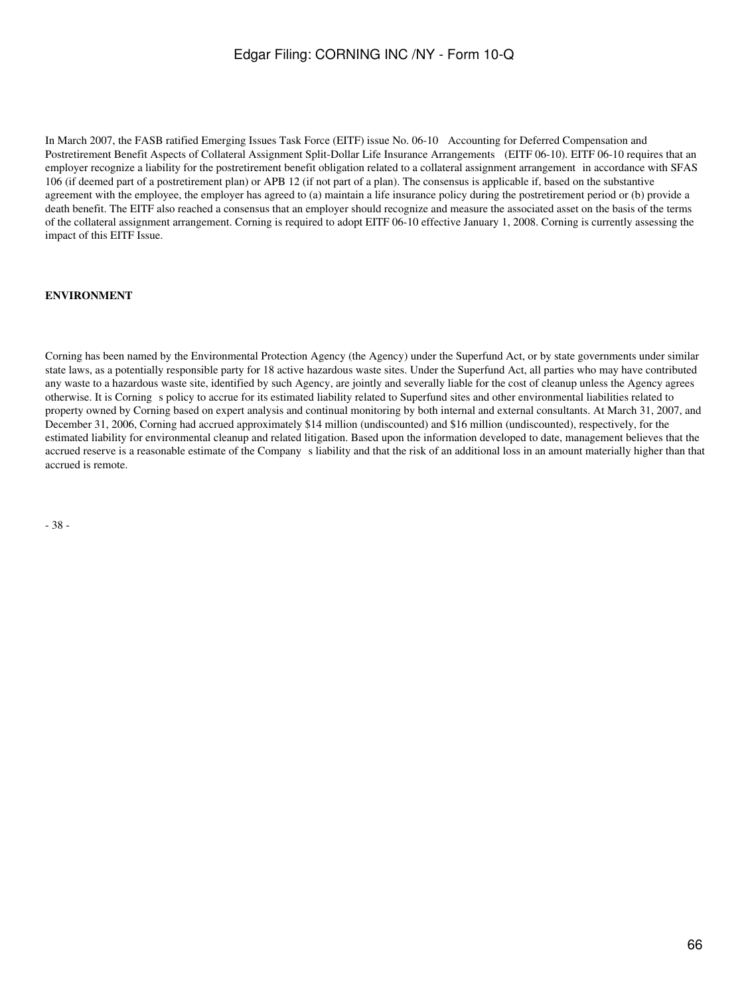In March 2007, the FASB ratified Emerging Issues Task Force (EITF) issue No. 06-10 Accounting for Deferred Compensation and Postretirement Benefit Aspects of Collateral Assignment Split-Dollar Life Insurance Arrangements (EITF 06-10). EITF 06-10 requires that an employer recognize a liability for the postretirement benefit obligation related to a collateral assignment arrangement in accordance with SFAS 106 (if deemed part of a postretirement plan) or APB 12 (if not part of a plan). The consensus is applicable if, based on the substantive agreement with the employee, the employer has agreed to (a) maintain a life insurance policy during the postretirement period or (b) provide a death benefit. The EITF also reached a consensus that an employer should recognize and measure the associated asset on the basis of the terms of the collateral assignment arrangement. Corning is required to adopt EITF 06-10 effective January 1, 2008. Corning is currently assessing the impact of this EITF Issue.

## **ENVIRONMENT**

Corning has been named by the Environmental Protection Agency (the Agency) under the Superfund Act, or by state governments under similar state laws, as a potentially responsible party for 18 active hazardous waste sites. Under the Superfund Act, all parties who may have contributed any waste to a hazardous waste site, identified by such Agency, are jointly and severally liable for the cost of cleanup unless the Agency agrees otherwise. It is Corning s policy to accrue for its estimated liability related to Superfund sites and other environmental liabilities related to property owned by Corning based on expert analysis and continual monitoring by both internal and external consultants. At March 31, 2007, and December 31, 2006, Corning had accrued approximately \$14 million (undiscounted) and \$16 million (undiscounted), respectively, for the estimated liability for environmental cleanup and related litigation. Based upon the information developed to date, management believes that the accrued reserve is a reasonable estimate of the Company s liability and that the risk of an additional loss in an amount materially higher than that accrued is remote.

- 38 -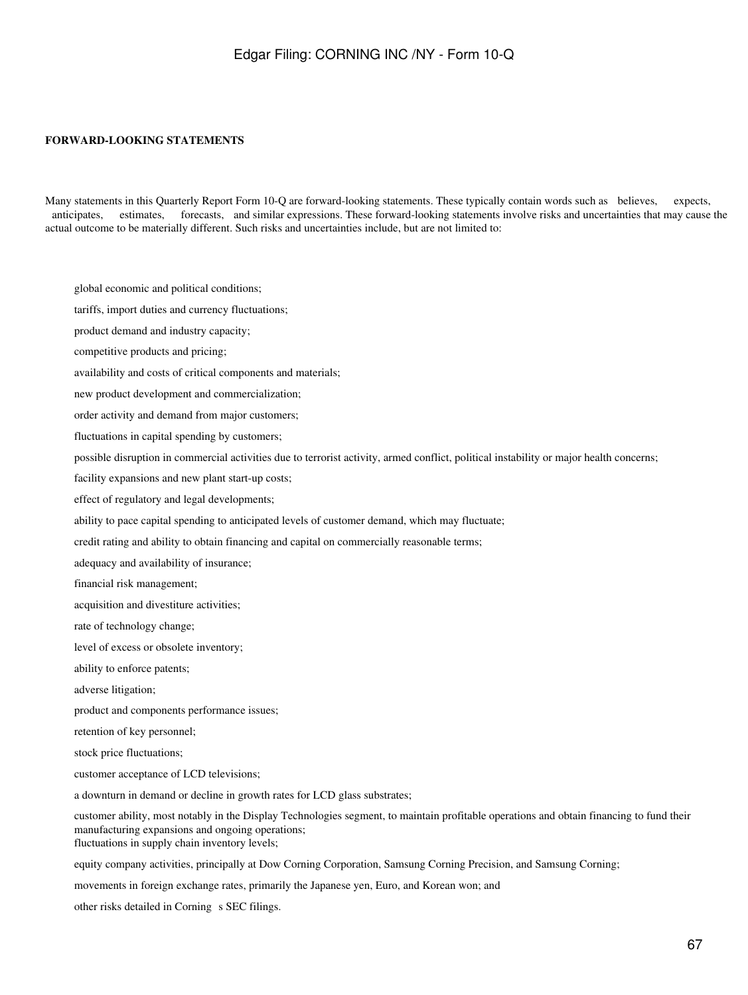## **FORWARD-LOOKING STATEMENTS**

Many statements in this Quarterly Report Form 10-Q are forward-looking statements. These typically contain words such as believes, expects, anticipates, estimates, forecasts, and similar expressions. These forward-looking statements involve risks and uncertainties that may cause the actual outcome to be materially different. Such risks and uncertainties include, but are not limited to:

global economic and political conditions;

tariffs, import duties and currency fluctuations;

product demand and industry capacity;

competitive products and pricing;

availability and costs of critical components and materials;

new product development and commercialization;

order activity and demand from major customers;

fluctuations in capital spending by customers;

possible disruption in commercial activities due to terrorist activity, armed conflict, political instability or major health concerns;

facility expansions and new plant start-up costs;

effect of regulatory and legal developments;

ability to pace capital spending to anticipated levels of customer demand, which may fluctuate;

credit rating and ability to obtain financing and capital on commercially reasonable terms;

adequacy and availability of insurance;

financial risk management;

acquisition and divestiture activities;

rate of technology change;

level of excess or obsolete inventory;

ability to enforce patents;

adverse litigation;

product and components performance issues;

retention of key personnel;

stock price fluctuations;

customer acceptance of LCD televisions;

a downturn in demand or decline in growth rates for LCD glass substrates;

customer ability, most notably in the Display Technologies segment, to maintain profitable operations and obtain financing to fund their manufacturing expansions and ongoing operations; fluctuations in supply chain inventory levels;

equity company activities, principally at Dow Corning Corporation, Samsung Corning Precision, and Samsung Corning;

movements in foreign exchange rates, primarily the Japanese yen, Euro, and Korean won; and

other risks detailed in Corning s SEC filings.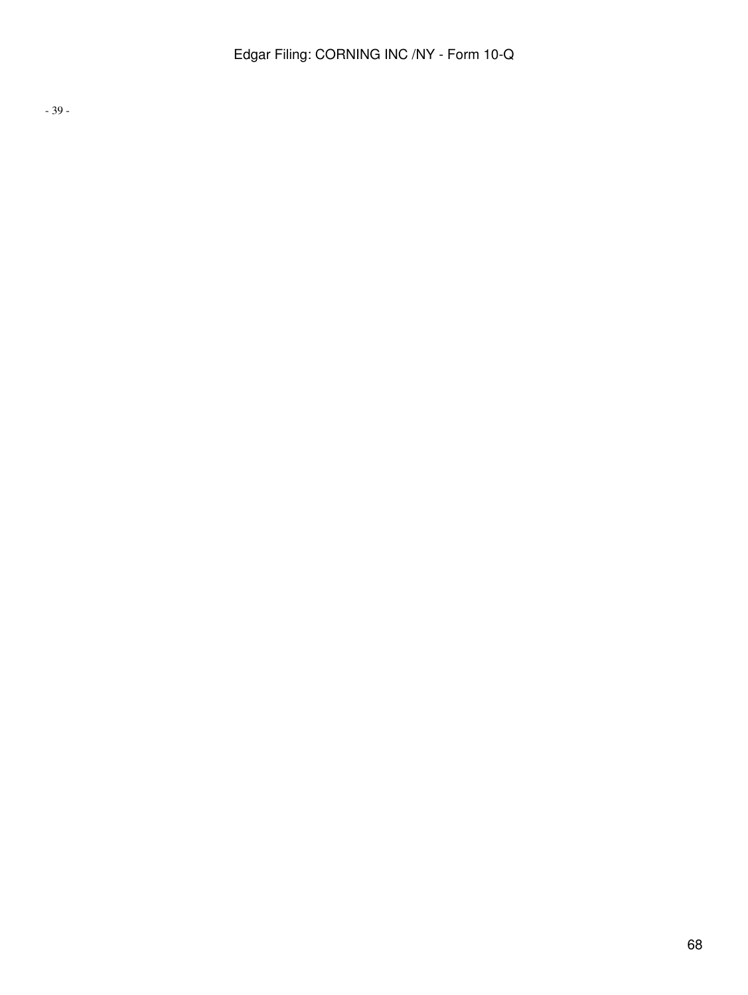- 39 -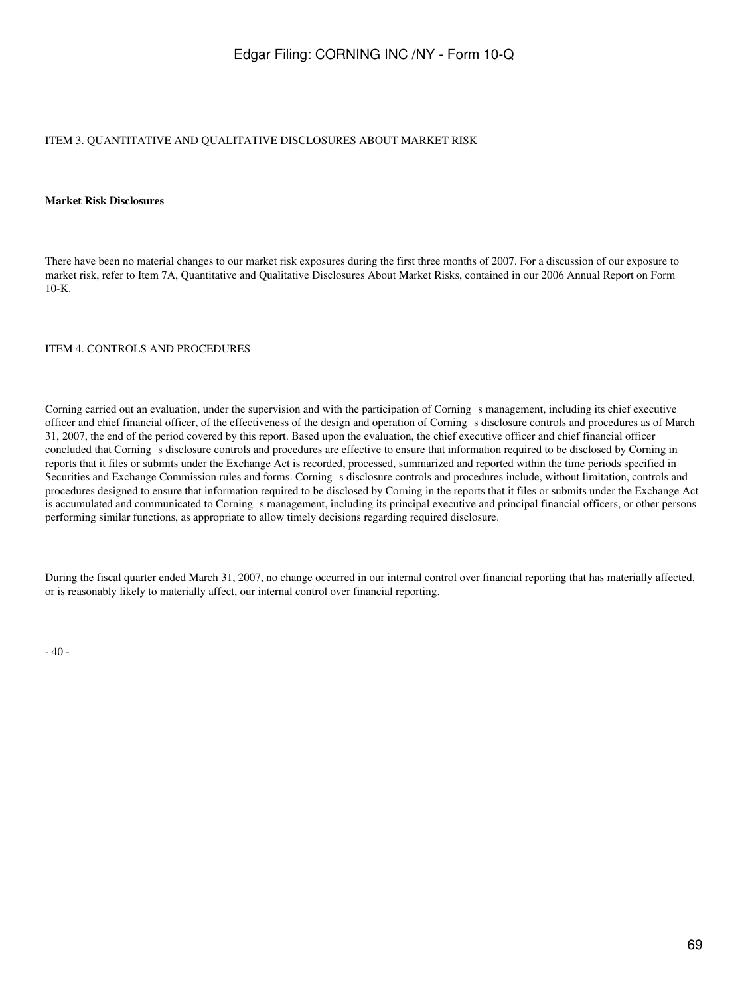## ITEM 3. QUANTITATIVE AND QUALITATIVE DISCLOSURES ABOUT MARKET RISK

## **Market Risk Disclosures**

There have been no material changes to our market risk exposures during the first three months of 2007. For a discussion of our exposure to market risk, refer to Item 7A, Quantitative and Qualitative Disclosures About Market Risks, contained in our 2006 Annual Report on Form  $10-K$ .

ITEM 4. CONTROLS AND PROCEDURES

Corning carried out an evaluation, under the supervision and with the participation of Corning s management, including its chief executive officer and chief financial officer, of the effectiveness of the design and operation of Cornings disclosure controls and procedures as of March 31, 2007, the end of the period covered by this report. Based upon the evaluation, the chief executive officer and chief financial officer concluded that Corning s disclosure controls and procedures are effective to ensure that information required to be disclosed by Corning in reports that it files or submits under the Exchange Act is recorded, processed, summarized and reported within the time periods specified in Securities and Exchange Commission rules and forms. Corning s disclosure controls and procedures include, without limitation, controls and procedures designed to ensure that information required to be disclosed by Corning in the reports that it files or submits under the Exchange Act is accumulated and communicated to Corning s management, including its principal executive and principal financial officers, or other persons performing similar functions, as appropriate to allow timely decisions regarding required disclosure.

During the fiscal quarter ended March 31, 2007, no change occurred in our internal control over financial reporting that has materially affected, or is reasonably likely to materially affect, our internal control over financial reporting.

 $-40-$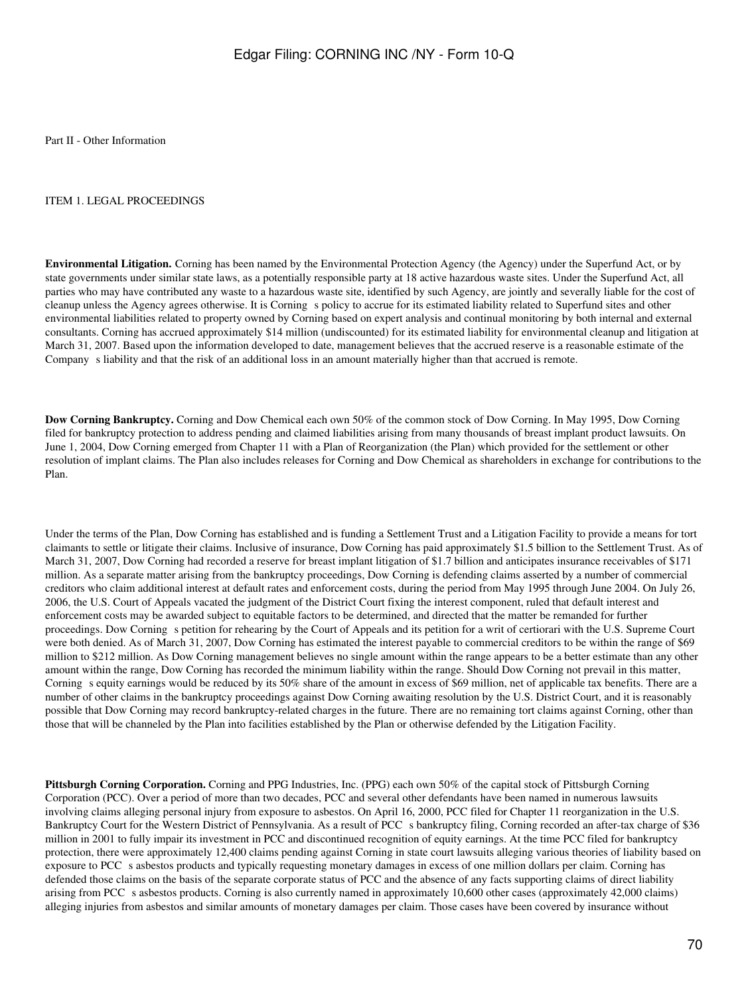Part II - Other Information

## ITEM 1. LEGAL PROCEEDINGS

**Environmental Litigation.** Corning has been named by the Environmental Protection Agency (the Agency) under the Superfund Act, or by state governments under similar state laws, as a potentially responsible party at 18 active hazardous waste sites. Under the Superfund Act, all parties who may have contributed any waste to a hazardous waste site, identified by such Agency, are jointly and severally liable for the cost of cleanup unless the Agency agrees otherwise. It is Corning s policy to accrue for its estimated liability related to Superfund sites and other environmental liabilities related to property owned by Corning based on expert analysis and continual monitoring by both internal and external consultants. Corning has accrued approximately \$14 million (undiscounted) for its estimated liability for environmental cleanup and litigation at March 31, 2007. Based upon the information developed to date, management believes that the accrued reserve is a reasonable estimate of the Companys liability and that the risk of an additional loss in an amount materially higher than that accrued is remote.

**Dow Corning Bankruptcy.** Corning and Dow Chemical each own 50% of the common stock of Dow Corning. In May 1995, Dow Corning filed for bankruptcy protection to address pending and claimed liabilities arising from many thousands of breast implant product lawsuits. On June 1, 2004, Dow Corning emerged from Chapter 11 with a Plan of Reorganization (the Plan) which provided for the settlement or other resolution of implant claims. The Plan also includes releases for Corning and Dow Chemical as shareholders in exchange for contributions to the Plan.

Under the terms of the Plan, Dow Corning has established and is funding a Settlement Trust and a Litigation Facility to provide a means for tort claimants to settle or litigate their claims. Inclusive of insurance, Dow Corning has paid approximately \$1.5 billion to the Settlement Trust. As of March 31, 2007, Dow Corning had recorded a reserve for breast implant litigation of \$1.7 billion and anticipates insurance receivables of \$171 million. As a separate matter arising from the bankruptcy proceedings, Dow Corning is defending claims asserted by a number of commercial creditors who claim additional interest at default rates and enforcement costs, during the period from May 1995 through June 2004. On July 26, 2006, the U.S. Court of Appeals vacated the judgment of the District Court fixing the interest component, ruled that default interest and enforcement costs may be awarded subject to equitable factors to be determined, and directed that the matter be remanded for further proceedings. Dow Corning s petition for rehearing by the Court of Appeals and its petition for a writ of certiorari with the U.S. Supreme Court were both denied. As of March 31, 2007, Dow Corning has estimated the interest payable to commercial creditors to be within the range of \$69 million to \$212 million. As Dow Corning management believes no single amount within the range appears to be a better estimate than any other amount within the range, Dow Corning has recorded the minimum liability within the range. Should Dow Corning not prevail in this matter, Corning s equity earnings would be reduced by its 50% share of the amount in excess of \$69 million, net of applicable tax benefits. There are a number of other claims in the bankruptcy proceedings against Dow Corning awaiting resolution by the U.S. District Court, and it is reasonably possible that Dow Corning may record bankruptcy-related charges in the future. There are no remaining tort claims against Corning, other than those that will be channeled by the Plan into facilities established by the Plan or otherwise defended by the Litigation Facility.

**Pittsburgh Corning Corporation.** Corning and PPG Industries, Inc. (PPG) each own 50% of the capital stock of Pittsburgh Corning Corporation (PCC). Over a period of more than two decades, PCC and several other defendants have been named in numerous lawsuits involving claims alleging personal injury from exposure to asbestos. On April 16, 2000, PCC filed for Chapter 11 reorganization in the U.S. Bankruptcy Court for the Western District of Pennsylvania. As a result of PCC s bankruptcy filing, Corning recorded an after-tax charge of \$36 million in 2001 to fully impair its investment in PCC and discontinued recognition of equity earnings. At the time PCC filed for bankruptcy protection, there were approximately 12,400 claims pending against Corning in state court lawsuits alleging various theories of liability based on exposure to PCC s asbestos products and typically requesting monetary damages in excess of one million dollars per claim. Corning has defended those claims on the basis of the separate corporate status of PCC and the absence of any facts supporting claims of direct liability arising from PCC s asbestos products. Corning is also currently named in approximately 10,600 other cases (approximately 42,000 claims) alleging injuries from asbestos and similar amounts of monetary damages per claim. Those cases have been covered by insurance without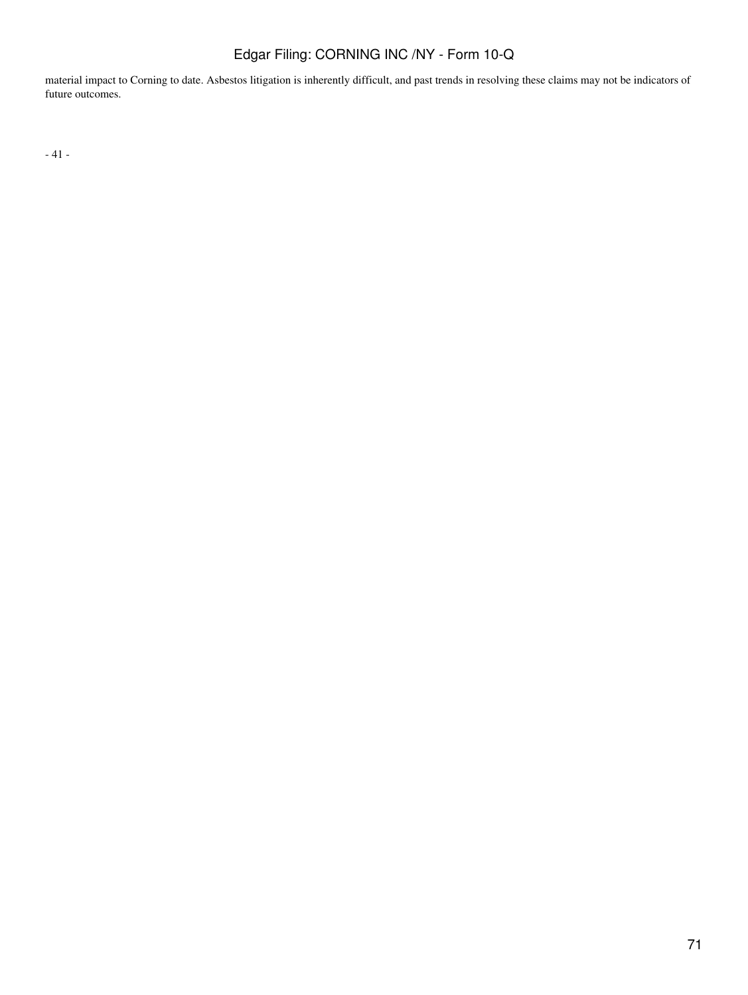material impact to Corning to date. Asbestos litigation is inherently difficult, and past trends in resolving these claims may not be indicators of future outcomes.

- 41 -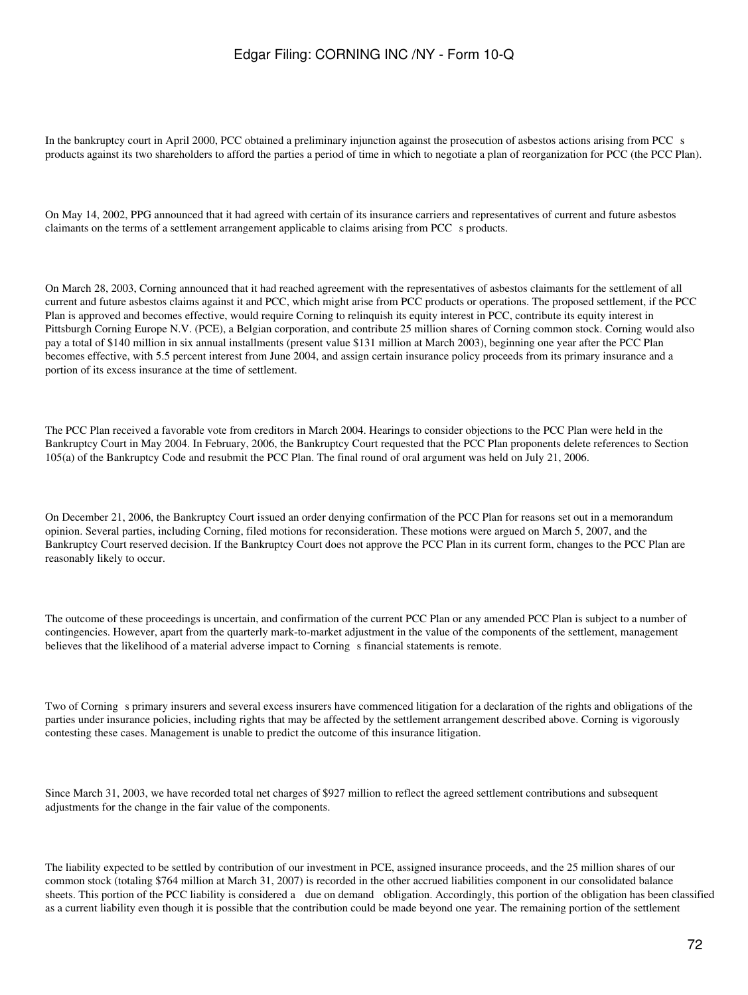In the bankruptcy court in April 2000, PCC obtained a preliminary injunction against the prosecution of asbestos actions arising from PCC s products against its two shareholders to afford the parties a period of time in which to negotiate a plan of reorganization for PCC (the PCC Plan).

On May 14, 2002, PPG announced that it had agreed with certain of its insurance carriers and representatives of current and future asbestos claimants on the terms of a settlement arrangement applicable to claims arising from PCC s products.

On March 28, 2003, Corning announced that it had reached agreement with the representatives of asbestos claimants for the settlement of all current and future asbestos claims against it and PCC, which might arise from PCC products or operations. The proposed settlement, if the PCC Plan is approved and becomes effective, would require Corning to relinquish its equity interest in PCC, contribute its equity interest in Pittsburgh Corning Europe N.V. (PCE), a Belgian corporation, and contribute 25 million shares of Corning common stock. Corning would also pay a total of \$140 million in six annual installments (present value \$131 million at March 2003), beginning one year after the PCC Plan becomes effective, with 5.5 percent interest from June 2004, and assign certain insurance policy proceeds from its primary insurance and a portion of its excess insurance at the time of settlement.

The PCC Plan received a favorable vote from creditors in March 2004. Hearings to consider objections to the PCC Plan were held in the Bankruptcy Court in May 2004. In February, 2006, the Bankruptcy Court requested that the PCC Plan proponents delete references to Section 105(a) of the Bankruptcy Code and resubmit the PCC Plan. The final round of oral argument was held on July 21, 2006.

On December 21, 2006, the Bankruptcy Court issued an order denying confirmation of the PCC Plan for reasons set out in a memorandum opinion. Several parties, including Corning, filed motions for reconsideration. These motions were argued on March 5, 2007, and the Bankruptcy Court reserved decision. If the Bankruptcy Court does not approve the PCC Plan in its current form, changes to the PCC Plan are reasonably likely to occur.

The outcome of these proceedings is uncertain, and confirmation of the current PCC Plan or any amended PCC Plan is subject to a number of contingencies. However, apart from the quarterly mark-to-market adjustment in the value of the components of the settlement, management believes that the likelihood of a material adverse impact to Corning s financial statements is remote.

Two of Corning s primary insurers and several excess insurers have commenced litigation for a declaration of the rights and obligations of the parties under insurance policies, including rights that may be affected by the settlement arrangement described above. Corning is vigorously contesting these cases. Management is unable to predict the outcome of this insurance litigation.

Since March 31, 2003, we have recorded total net charges of \$927 million to reflect the agreed settlement contributions and subsequent adjustments for the change in the fair value of the components.

The liability expected to be settled by contribution of our investment in PCE, assigned insurance proceeds, and the 25 million shares of our common stock (totaling \$764 million at March 31, 2007) is recorded in the other accrued liabilities component in our consolidated balance sheets. This portion of the PCC liability is considered a due on demand obligation. Accordingly, this portion of the obligation has been classified as a current liability even though it is possible that the contribution could be made beyond one year. The remaining portion of the settlement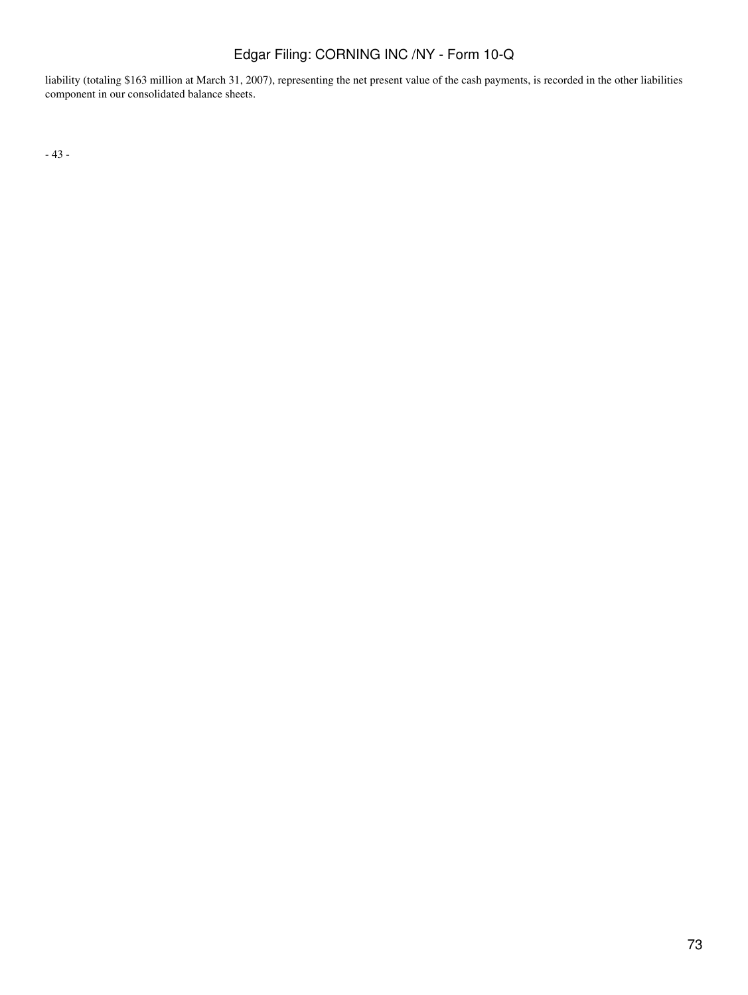liability (totaling \$163 million at March 31, 2007), representing the net present value of the cash payments, is recorded in the other liabilities component in our consolidated balance sheets.

- 43 -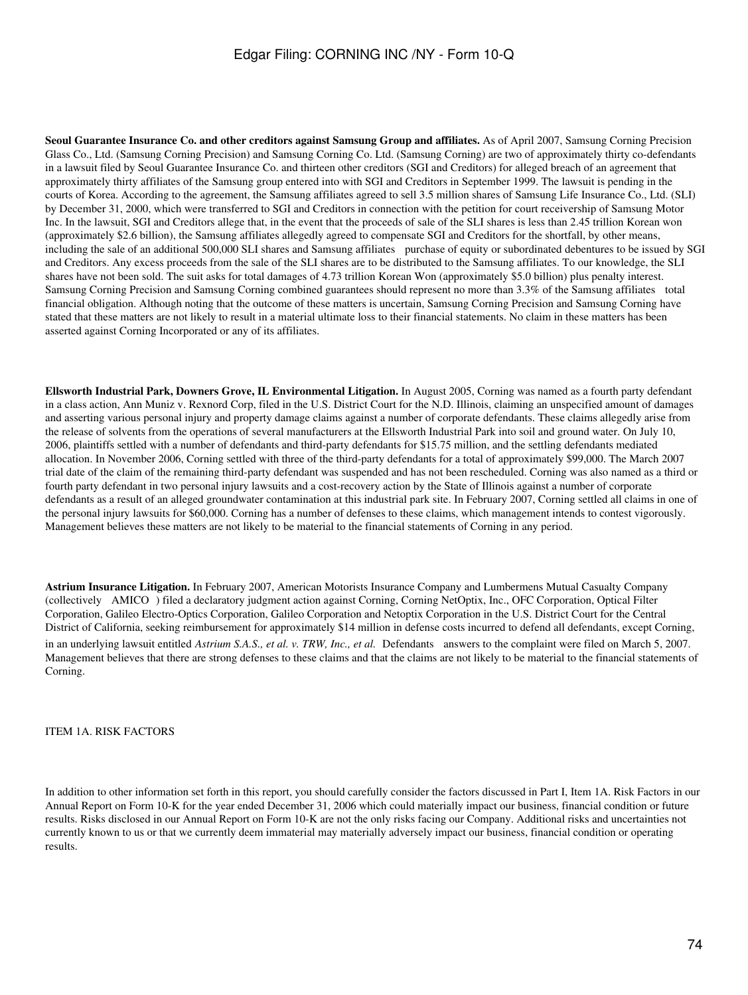**Seoul Guarantee Insurance Co. and other creditors against Samsung Group and affiliates.** As of April 2007, Samsung Corning Precision Glass Co., Ltd. (Samsung Corning Precision) and Samsung Corning Co. Ltd. (Samsung Corning) are two of approximately thirty co-defendants in a lawsuit filed by Seoul Guarantee Insurance Co. and thirteen other creditors (SGI and Creditors) for alleged breach of an agreement that approximately thirty affiliates of the Samsung group entered into with SGI and Creditors in September 1999. The lawsuit is pending in the courts of Korea. According to the agreement, the Samsung affiliates agreed to sell 3.5 million shares of Samsung Life Insurance Co., Ltd. (SLI) by December 31, 2000, which were transferred to SGI and Creditors in connection with the petition for court receivership of Samsung Motor Inc. In the lawsuit, SGI and Creditors allege that, in the event that the proceeds of sale of the SLI shares is less than 2.45 trillion Korean won (approximately \$2.6 billion), the Samsung affiliates allegedly agreed to compensate SGI and Creditors for the shortfall, by other means, including the sale of an additional 500,000 SLI shares and Samsung affiliates purchase of equity or subordinated debentures to be issued by SGI and Creditors. Any excess proceeds from the sale of the SLI shares are to be distributed to the Samsung affiliates. To our knowledge, the SLI shares have not been sold. The suit asks for total damages of 4.73 trillion Korean Won (approximately \$5.0 billion) plus penalty interest. Samsung Corning Precision and Samsung Corning combined guarantees should represent no more than 3.3% of the Samsung affiliates total financial obligation. Although noting that the outcome of these matters is uncertain, Samsung Corning Precision and Samsung Corning have stated that these matters are not likely to result in a material ultimate loss to their financial statements. No claim in these matters has been asserted against Corning Incorporated or any of its affiliates.

**Ellsworth Industrial Park, Downers Grove, IL Environmental Litigation.** In August 2005, Corning was named as a fourth party defendant in a class action, Ann Muniz v. Rexnord Corp, filed in the U.S. District Court for the N.D. Illinois, claiming an unspecified amount of damages and asserting various personal injury and property damage claims against a number of corporate defendants. These claims allegedly arise from the release of solvents from the operations of several manufacturers at the Ellsworth Industrial Park into soil and ground water. On July 10, 2006, plaintiffs settled with a number of defendants and third-party defendants for \$15.75 million, and the settling defendants mediated allocation. In November 2006, Corning settled with three of the third-party defendants for a total of approximately \$99,000. The March 2007 trial date of the claim of the remaining third-party defendant was suspended and has not been rescheduled. Corning was also named as a third or fourth party defendant in two personal injury lawsuits and a cost-recovery action by the State of Illinois against a number of corporate defendants as a result of an alleged groundwater contamination at this industrial park site. In February 2007, Corning settled all claims in one of the personal injury lawsuits for \$60,000. Corning has a number of defenses to these claims, which management intends to contest vigorously. Management believes these matters are not likely to be material to the financial statements of Corning in any period.

**Astrium Insurance Litigation.** In February 2007, American Motorists Insurance Company and Lumbermens Mutual Casualty Company (collectively AMICO) filed a declaratory judgment action against Corning, Corning NetOptix, Inc., OFC Corporation, Optical Filter Corporation, Galileo Electro-Optics Corporation, Galileo Corporation and Netoptix Corporation in the U.S. District Court for the Central District of California, seeking reimbursement for approximately \$14 million in defense costs incurred to defend all defendants, except Corning, in an underlying lawsuit entitled *Astrium S.A.S., et al. v. TRW, Inc., et al.* Defendants answers to the complaint were filed on March 5, 2007. Management believes that there are strong defenses to these claims and that the claims are not likely to be material to the financial statements of Corning.

ITEM 1A. RISK FACTORS

In addition to other information set forth in this report, you should carefully consider the factors discussed in Part I, Item 1A. Risk Factors in our Annual Report on Form 10-K for the year ended December 31, 2006 which could materially impact our business, financial condition or future results. Risks disclosed in our Annual Report on Form 10-K are not the only risks facing our Company. Additional risks and uncertainties not currently known to us or that we currently deem immaterial may materially adversely impact our business, financial condition or operating results.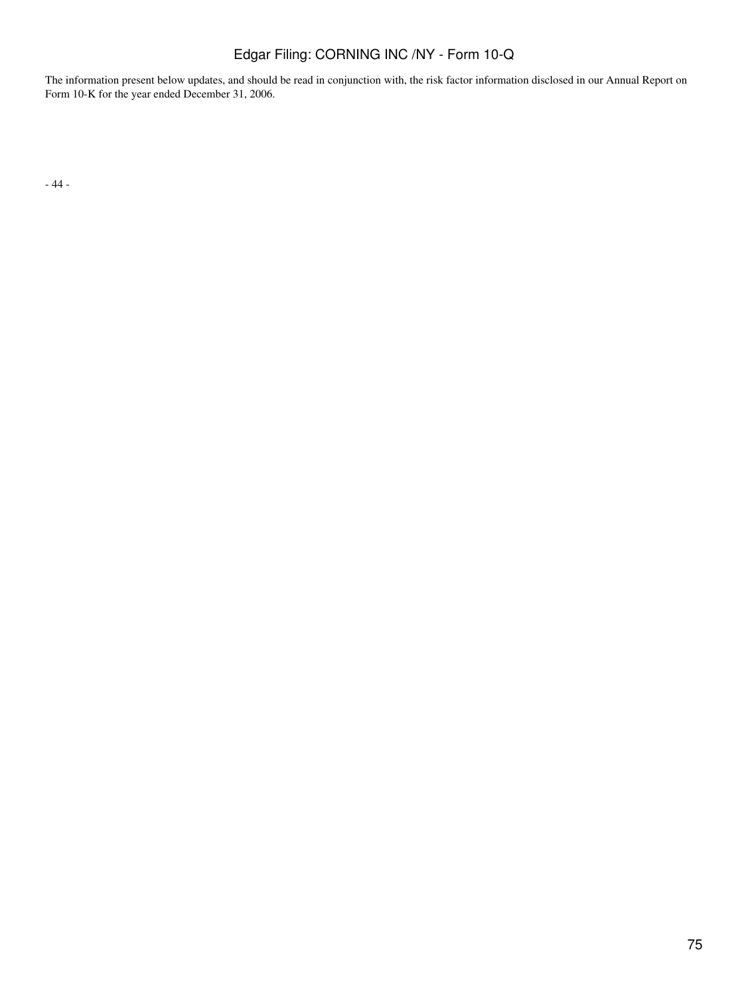The information present below updates, and should be read in conjunction with, the risk factor information disclosed in our Annual Report on Form 10-K for the year ended December 31, 2006.

- 44 -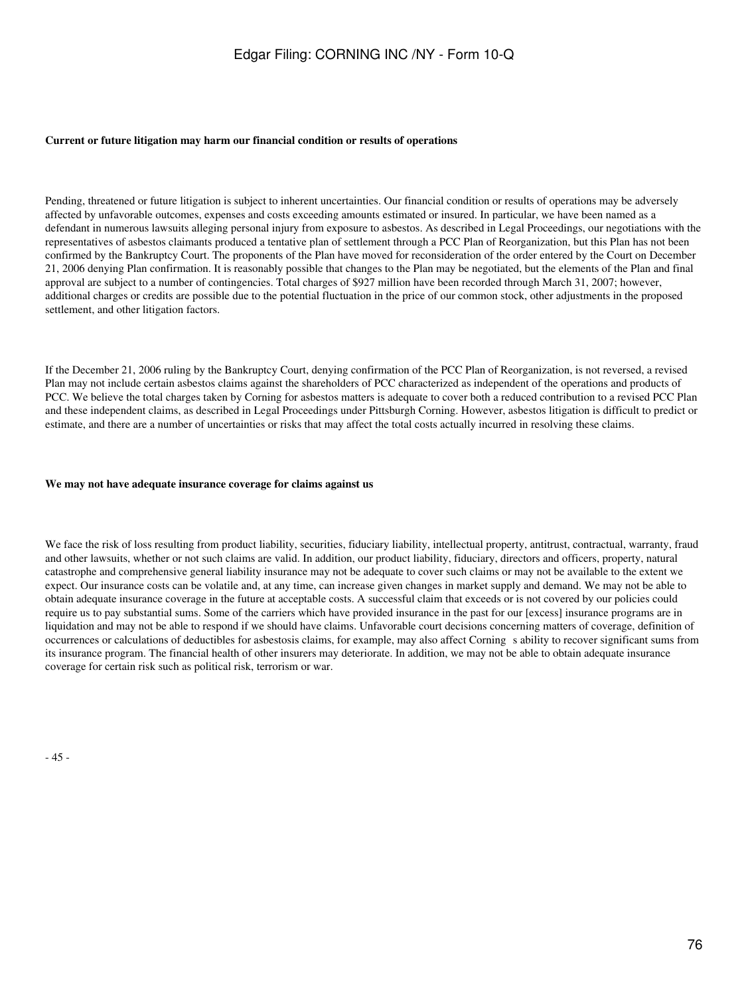#### **Current or future litigation may harm our financial condition or results of operations**

Pending, threatened or future litigation is subject to inherent uncertainties. Our financial condition or results of operations may be adversely affected by unfavorable outcomes, expenses and costs exceeding amounts estimated or insured. In particular, we have been named as a defendant in numerous lawsuits alleging personal injury from exposure to asbestos. As described in Legal Proceedings, our negotiations with the representatives of asbestos claimants produced a tentative plan of settlement through a PCC Plan of Reorganization, but this Plan has not been confirmed by the Bankruptcy Court. The proponents of the Plan have moved for reconsideration of the order entered by the Court on December 21, 2006 denying Plan confirmation. It is reasonably possible that changes to the Plan may be negotiated, but the elements of the Plan and final approval are subject to a number of contingencies. Total charges of \$927 million have been recorded through March 31, 2007; however, additional charges or credits are possible due to the potential fluctuation in the price of our common stock, other adjustments in the proposed settlement, and other litigation factors.

If the December 21, 2006 ruling by the Bankruptcy Court, denying confirmation of the PCC Plan of Reorganization, is not reversed, a revised Plan may not include certain asbestos claims against the shareholders of PCC characterized as independent of the operations and products of PCC. We believe the total charges taken by Corning for asbestos matters is adequate to cover both a reduced contribution to a revised PCC Plan and these independent claims, as described in Legal Proceedings under Pittsburgh Corning. However, asbestos litigation is difficult to predict or estimate, and there are a number of uncertainties or risks that may affect the total costs actually incurred in resolving these claims.

#### **We may not have adequate insurance coverage for claims against us**

We face the risk of loss resulting from product liability, securities, fiduciary liability, intellectual property, antitrust, contractual, warranty, fraud and other lawsuits, whether or not such claims are valid. In addition, our product liability, fiduciary, directors and officers, property, natural catastrophe and comprehensive general liability insurance may not be adequate to cover such claims or may not be available to the extent we expect. Our insurance costs can be volatile and, at any time, can increase given changes in market supply and demand. We may not be able to obtain adequate insurance coverage in the future at acceptable costs. A successful claim that exceeds or is not covered by our policies could require us to pay substantial sums. Some of the carriers which have provided insurance in the past for our [excess] insurance programs are in liquidation and may not be able to respond if we should have claims. Unfavorable court decisions concerning matters of coverage, definition of occurrences or calculations of deductibles for asbestosis claims, for example, may also affect Cornings ability to recover significant sums from its insurance program. The financial health of other insurers may deteriorate. In addition, we may not be able to obtain adequate insurance coverage for certain risk such as political risk, terrorism or war.

- 45 -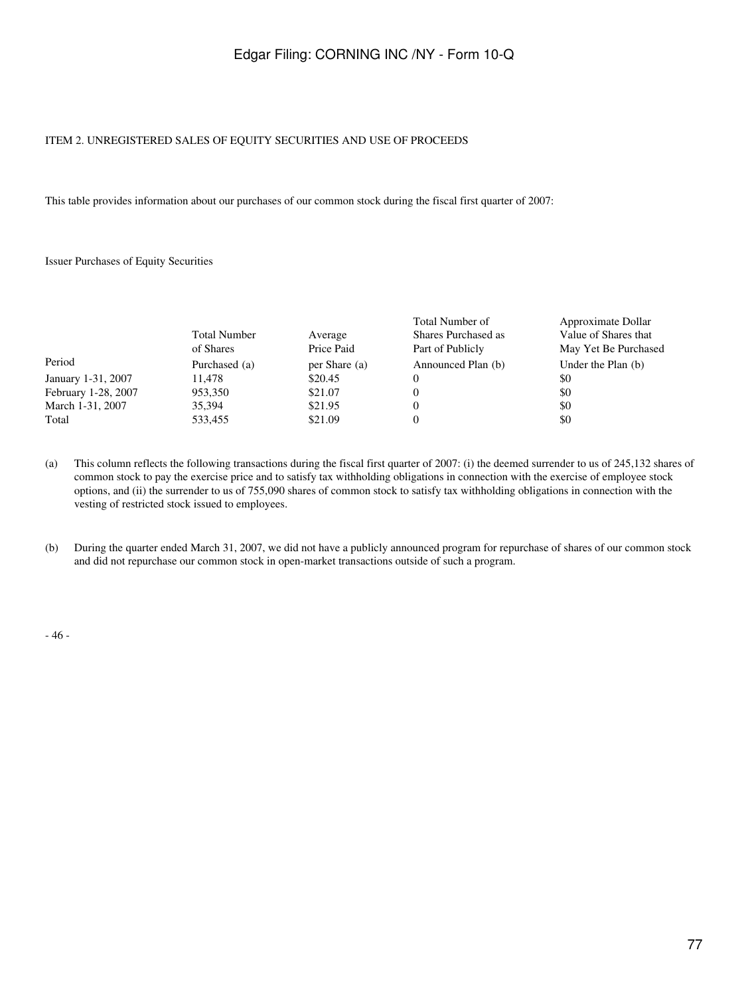#### ITEM 2. UNREGISTERED SALES OF EQUITY SECURITIES AND USE OF PROCEEDS

This table provides information about our purchases of our common stock during the fiscal first quarter of 2007:

#### Issuer Purchases of Equity Securities

|                     | <b>Total Number</b><br>of Shares | Average<br>Price Paid | <b>Total Number of</b><br>Shares Purchased as<br>Part of Publicly | Approximate Dollar<br>Value of Shares that<br>May Yet Be Purchased |
|---------------------|----------------------------------|-----------------------|-------------------------------------------------------------------|--------------------------------------------------------------------|
| Period              | Purchased (a)                    | per Share (a)         | Announced Plan (b)                                                | Under the Plan (b)                                                 |
| January 1-31, 2007  | 11.478                           | \$20.45               | $\theta$                                                          | \$0                                                                |
| February 1-28, 2007 | 953,350                          | \$21.07               | 0                                                                 | \$0                                                                |
| March 1-31, 2007    | 35,394                           | \$21.95               | $\Omega$                                                          | \$0                                                                |
| Total               | 533,455                          | \$21.09               | $\theta$                                                          | \$0                                                                |

(a) This column reflects the following transactions during the fiscal first quarter of 2007: (i) the deemed surrender to us of 245,132 shares of common stock to pay the exercise price and to satisfy tax withholding obligations in connection with the exercise of employee stock options, and (ii) the surrender to us of 755,090 shares of common stock to satisfy tax withholding obligations in connection with the vesting of restricted stock issued to employees.

(b) During the quarter ended March 31, 2007, we did not have a publicly announced program for repurchase of shares of our common stock and did not repurchase our common stock in open-market transactions outside of such a program.

- 46 -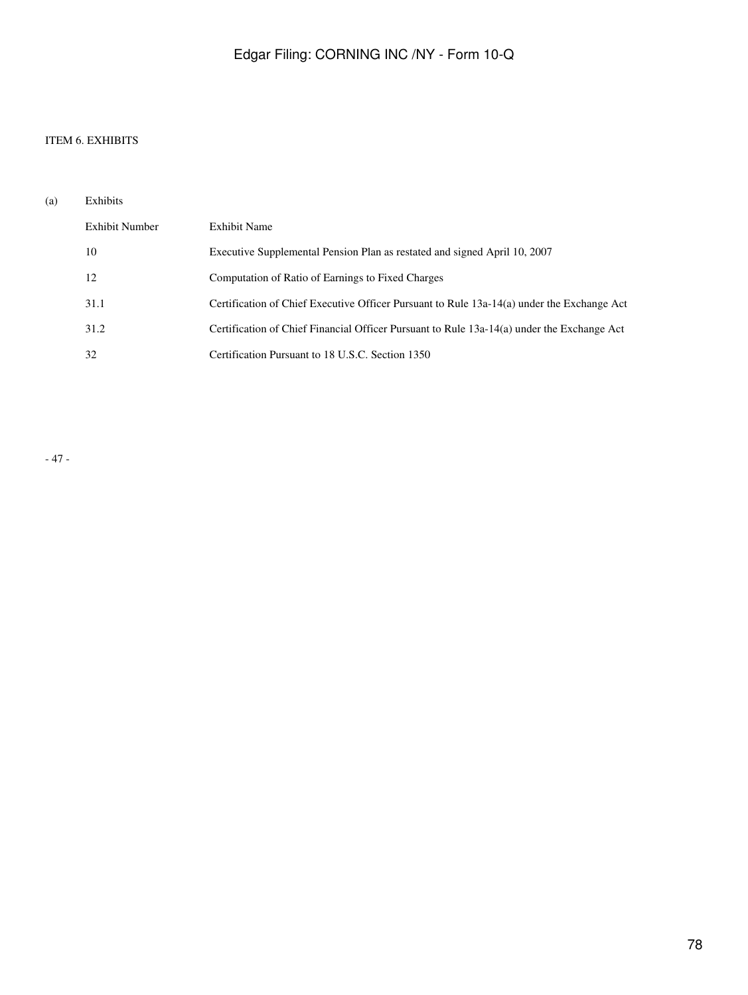### ITEM 6. EXHIBITS

### (a) Exhibits

| Exhibit Number | <b>Exhibit Name</b>                                                                        |
|----------------|--------------------------------------------------------------------------------------------|
| 10             | Executive Supplemental Pension Plan as restated and signed April 10, 2007                  |
| 12             | Computation of Ratio of Earnings to Fixed Charges                                          |
| 31.1           | Certification of Chief Executive Officer Pursuant to Rule 13a-14(a) under the Exchange Act |
| 31.2           | Certification of Chief Financial Officer Pursuant to Rule 13a-14(a) under the Exchange Act |
| 32             | Certification Pursuant to 18 U.S.C. Section 1350                                           |

- 47 -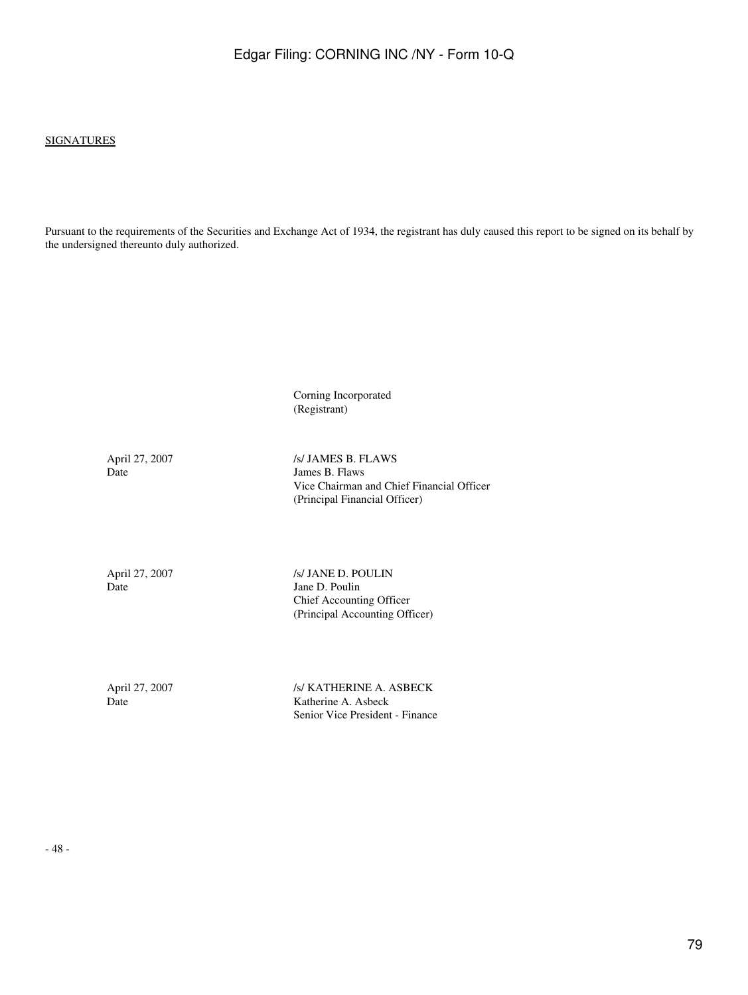#### **SIGNATURES**

Pursuant to the requirements of the Securities and Exchange Act of 1934, the registrant has duly caused this report to be signed on its behalf by the undersigned thereunto duly authorized.

> Corning Incorporated (Registrant)

April 27, 2007 /s/ JAMES B. FLAWS<br>Date James B. Flaws James B. Flaws Vice Chairman and Chief Financial Officer (Principal Financial Officer)

April 27, 2007 /s/ JANE D. POULIN Date Jane D. Poulin Chief Accounting Officer (Principal Accounting Officer)

April 27, 2007 /s/ KATHERINE A. ASBECK Date Katherine A. Asbeck Senior Vice President - Finance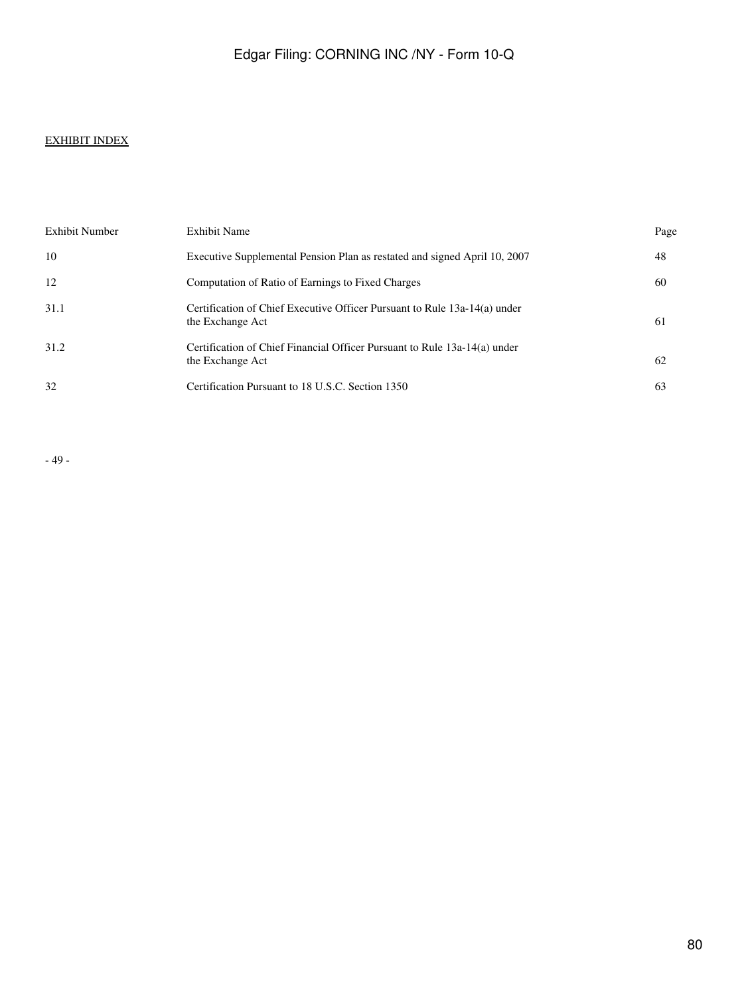### EXHIBIT INDEX

| <b>Exhibit Number</b> | <b>Exhibit Name</b>                                                                           | Page |
|-----------------------|-----------------------------------------------------------------------------------------------|------|
| 10                    | Executive Supplemental Pension Plan as restated and signed April 10, 2007                     | 48   |
| 12                    | Computation of Ratio of Earnings to Fixed Charges                                             | 60   |
| 31.1                  | Certification of Chief Executive Officer Pursuant to Rule 13a-14(a) under<br>the Exchange Act | 61   |
| 31.2                  | Certification of Chief Financial Officer Pursuant to Rule 13a-14(a) under<br>the Exchange Act | 62   |
| 32                    | Certification Pursuant to 18 U.S.C. Section 1350                                              | 63   |

- 49 -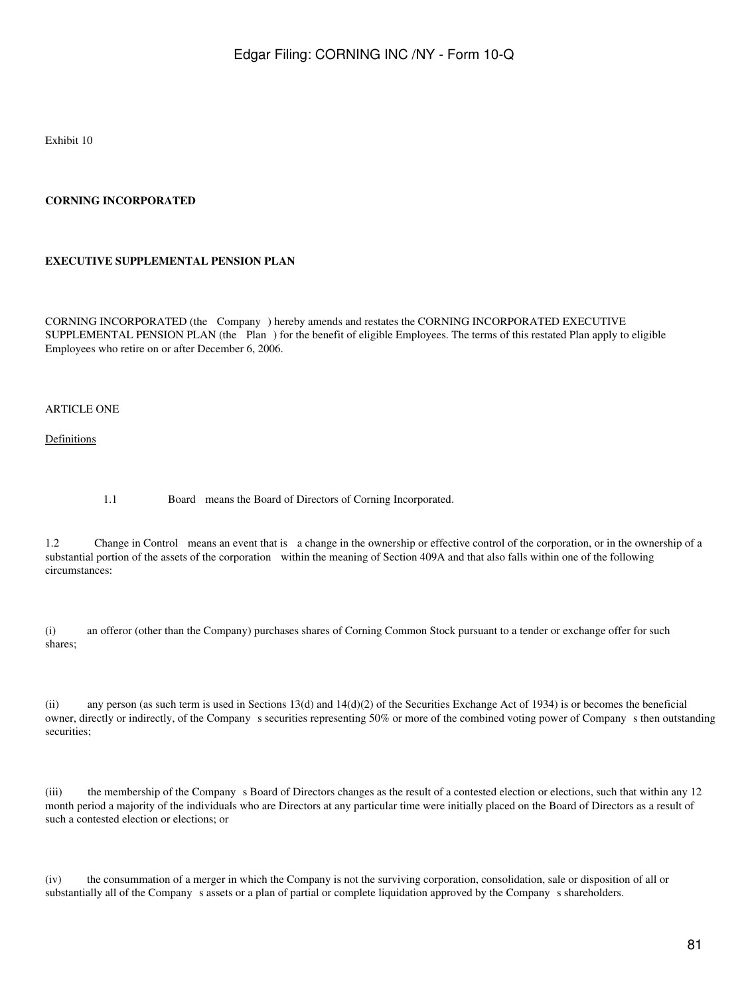Exhibit 10

### **CORNING INCORPORATED**

#### **EXECUTIVE SUPPLEMENTAL PENSION PLAN**

CORNING INCORPORATED (the Company) hereby amends and restates the CORNING INCORPORATED EXECUTIVE SUPPLEMENTAL PENSION PLAN (the Plan) for the benefit of eligible Employees. The terms of this restated Plan apply to eligible Employees who retire on or after December 6, 2006.

#### ARTICLE ONE

Definitions

1.1 Board means the Board of Directors of Corning Incorporated.

1.2 Change in Control means an event that is a change in the ownership or effective control of the corporation, or in the ownership of a substantial portion of the assets of the corporation within the meaning of Section 409A and that also falls within one of the following circumstances:

(i) an offeror (other than the Company) purchases shares of Corning Common Stock pursuant to a tender or exchange offer for such shares;

(ii) any person (as such term is used in Sections 13(d) and 14(d)(2) of the Securities Exchange Act of 1934) is or becomes the beneficial owner, directly or indirectly, of the Company s securities representing 50% or more of the combined voting power of Company s then outstanding securities;

(iii) the membership of the Company s Board of Directors changes as the result of a contested election or elections, such that within any 12 month period a majority of the individuals who are Directors at any particular time were initially placed on the Board of Directors as a result of such a contested election or elections; or

(iv) the consummation of a merger in which the Company is not the surviving corporation, consolidation, sale or disposition of all or substantially all of the Company s assets or a plan of partial or complete liquidation approved by the Company s shareholders.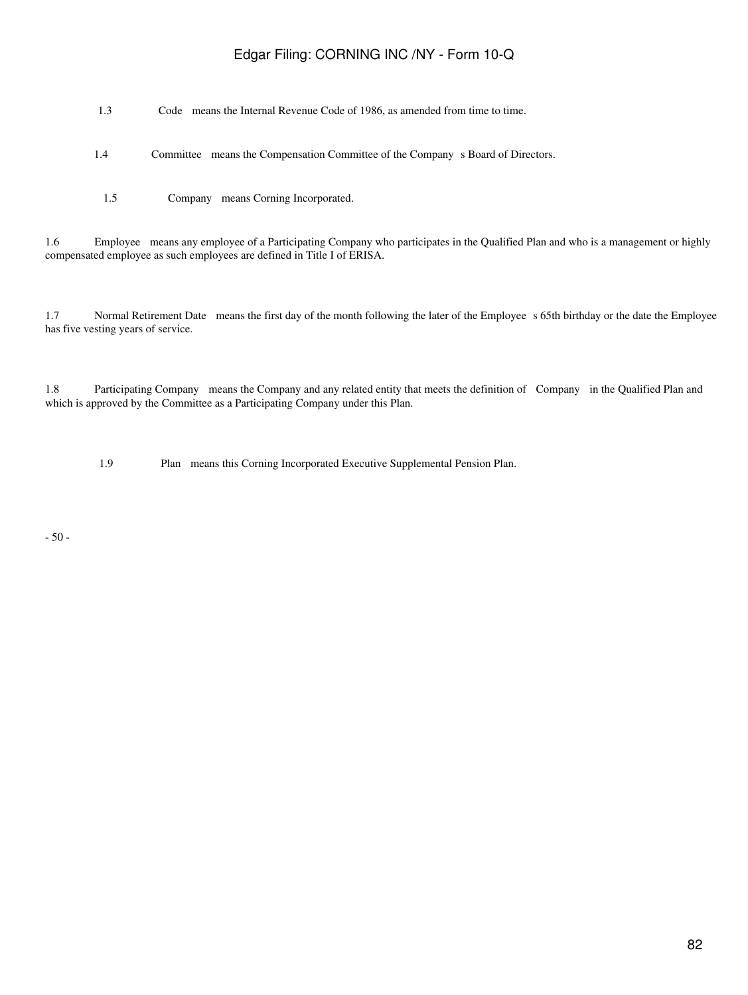- 1.3 Code means the Internal Revenue Code of 1986, as amended from time to time.
- 1.4 Committee means the Compensation Committee of the Company s Board of Directors.
	- 1.5 Company means Corning Incorporated.

1.6 Employee means any employee of a Participating Company who participates in the Qualified Plan and who is a management or highly compensated employee as such employees are defined in Title I of ERISA.

1.7 Normal Retirement Date means the first day of the month following the later of the Employee s 65th birthday or the date the Employee has five vesting years of service.

1.8 Participating Company means the Company and any related entity that meets the definition of Company in the Qualified Plan and which is approved by the Committee as a Participating Company under this Plan.

1.9 Plan means this Corning Incorporated Executive Supplemental Pension Plan.

- 50 -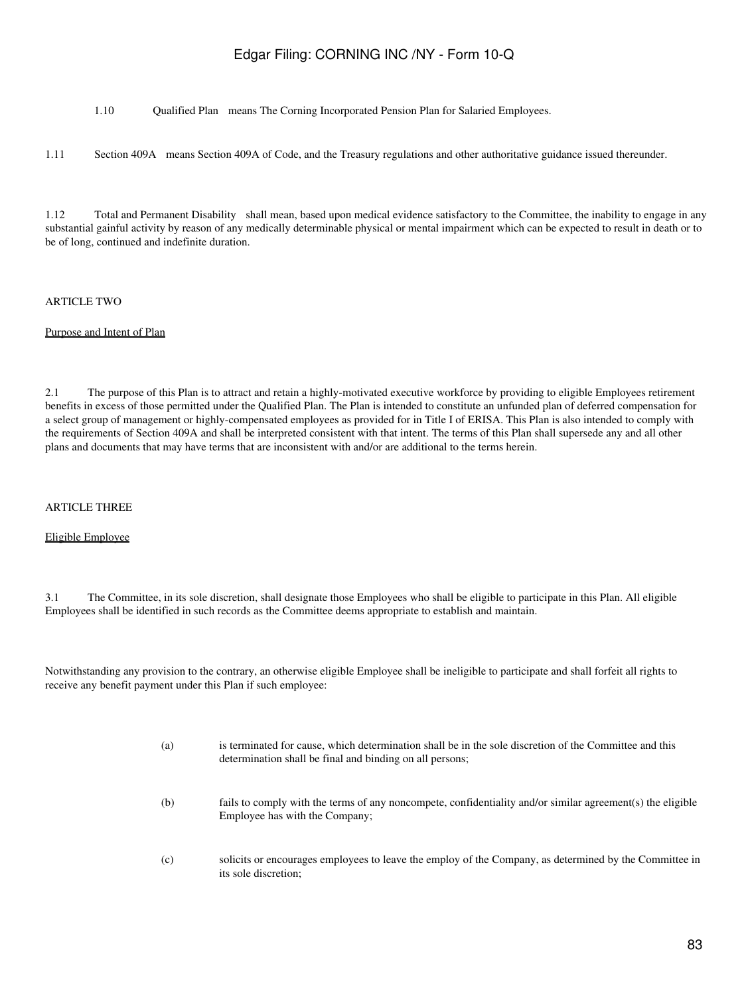1.10 Qualified Plan means The Corning Incorporated Pension Plan for Salaried Employees.

1.11 Section 409A means Section 409A of Code, and the Treasury regulations and other authoritative guidance issued thereunder.

1.12 Total and Permanent Disability shall mean, based upon medical evidence satisfactory to the Committee, the inability to engage in any substantial gainful activity by reason of any medically determinable physical or mental impairment which can be expected to result in death or to be of long, continued and indefinite duration.

#### ARTICLE TWO

### Purpose and Intent of Plan

2.1 The purpose of this Plan is to attract and retain a highly-motivated executive workforce by providing to eligible Employees retirement benefits in excess of those permitted under the Qualified Plan. The Plan is intended to constitute an unfunded plan of deferred compensation for a select group of management or highly-compensated employees as provided for in Title I of ERISA. This Plan is also intended to comply with the requirements of Section 409A and shall be interpreted consistent with that intent. The terms of this Plan shall supersede any and all other plans and documents that may have terms that are inconsistent with and/or are additional to the terms herein.

#### ARTICLE THREE

Eligible Employee

3.1 The Committee, in its sole discretion, shall designate those Employees who shall be eligible to participate in this Plan. All eligible Employees shall be identified in such records as the Committee deems appropriate to establish and maintain.

Notwithstanding any provision to the contrary, an otherwise eligible Employee shall be ineligible to participate and shall forfeit all rights to receive any benefit payment under this Plan if such employee:

- (a) is terminated for cause, which determination shall be in the sole discretion of the Committee and this determination shall be final and binding on all persons;
- (b) fails to comply with the terms of any noncompete, confidentiality and/or similar agreement(s) the eligible Employee has with the Company;
- (c) solicits or encourages employees to leave the employ of the Company, as determined by the Committee in its sole discretion;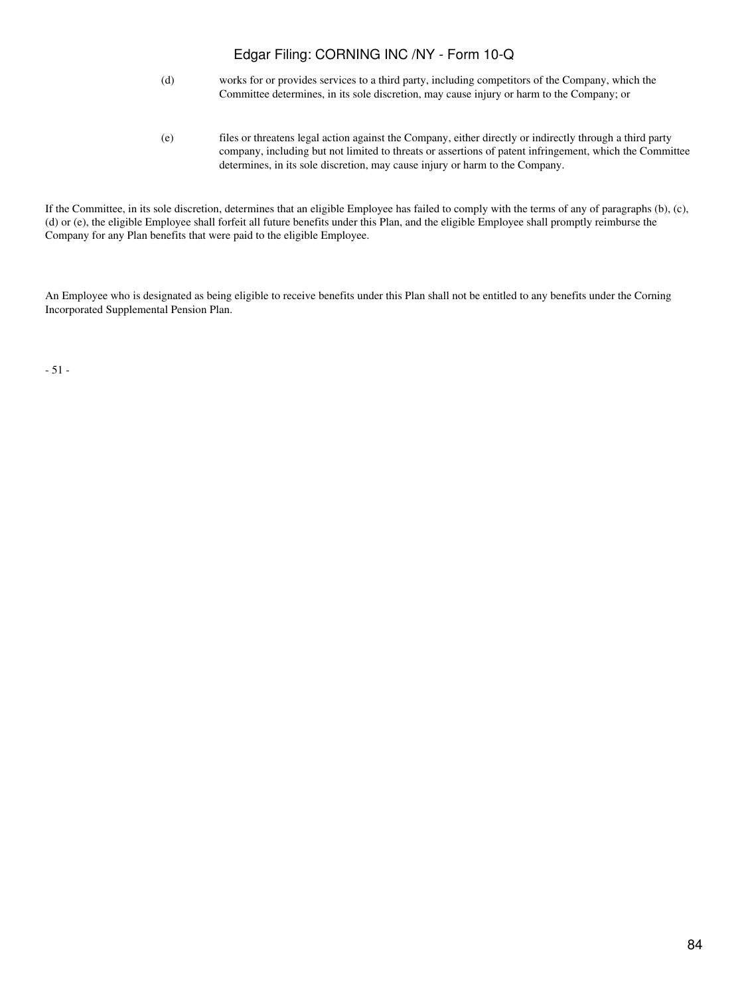- (d) works for or provides services to a third party, including competitors of the Company, which the Committee determines, in its sole discretion, may cause injury or harm to the Company; or
- (e) files or threatens legal action against the Company, either directly or indirectly through a third party company, including but not limited to threats or assertions of patent infringement, which the Committee determines, in its sole discretion, may cause injury or harm to the Company.

If the Committee, in its sole discretion, determines that an eligible Employee has failed to comply with the terms of any of paragraphs (b), (c), (d) or (e), the eligible Employee shall forfeit all future benefits under this Plan, and the eligible Employee shall promptly reimburse the Company for any Plan benefits that were paid to the eligible Employee.

An Employee who is designated as being eligible to receive benefits under this Plan shall not be entitled to any benefits under the Corning Incorporated Supplemental Pension Plan.

- 51 -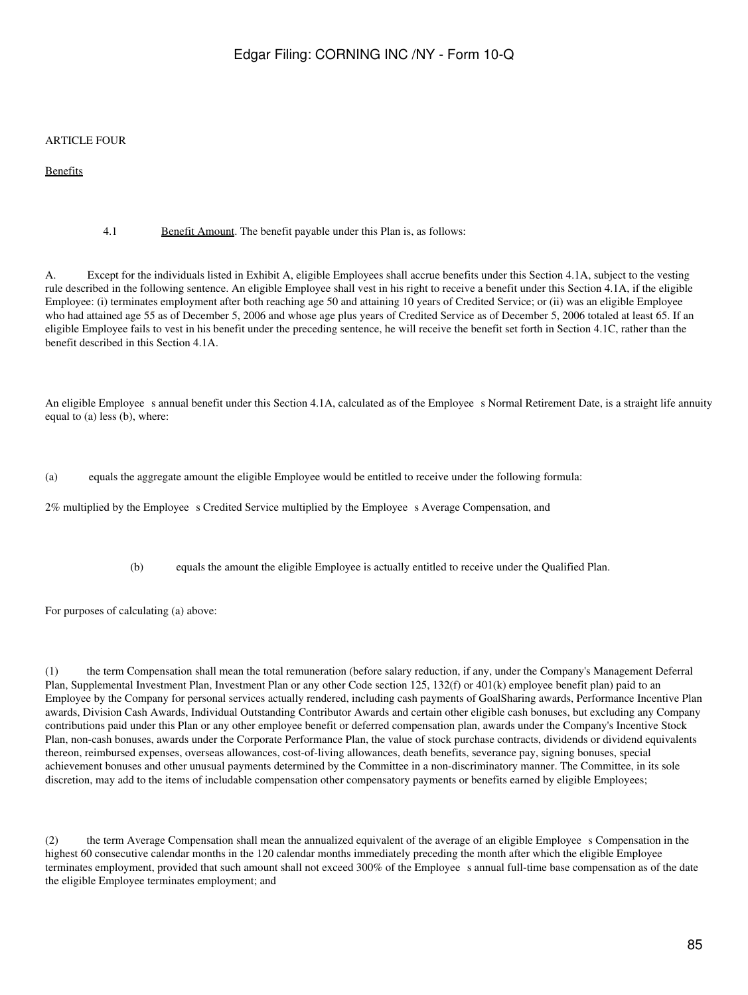#### ARTICLE FOUR

#### **Benefits**

4.1 Benefit Amount. The benefit payable under this Plan is, as follows:

A. Except for the individuals listed in Exhibit A, eligible Employees shall accrue benefits under this Section 4.1A, subject to the vesting rule described in the following sentence. An eligible Employee shall vest in his right to receive a benefit under this Section 4.1A, if the eligible Employee: (i) terminates employment after both reaching age 50 and attaining 10 years of Credited Service; or (ii) was an eligible Employee who had attained age 55 as of December 5, 2006 and whose age plus years of Credited Service as of December 5, 2006 totaled at least 65. If an eligible Employee fails to vest in his benefit under the preceding sentence, he will receive the benefit set forth in Section 4.1C, rather than the benefit described in this Section 4.1A.

An eligible Employee s annual benefit under this Section 4.1A, calculated as of the Employee s Normal Retirement Date, is a straight life annuity equal to (a) less (b), where:

(a) equals the aggregate amount the eligible Employee would be entitled to receive under the following formula:

2% multiplied by the Employee s Credited Service multiplied by the Employee s Average Compensation, and

(b) equals the amount the eligible Employee is actually entitled to receive under the Qualified Plan.

For purposes of calculating (a) above:

(1) the term Compensation shall mean the total remuneration (before salary reduction, if any, under the Company's Management Deferral Plan, Supplemental Investment Plan, Investment Plan or any other Code section 125, 132(f) or 401(k) employee benefit plan) paid to an Employee by the Company for personal services actually rendered, including cash payments of GoalSharing awards, Performance Incentive Plan awards, Division Cash Awards, Individual Outstanding Contributor Awards and certain other eligible cash bonuses, but excluding any Company contributions paid under this Plan or any other employee benefit or deferred compensation plan, awards under the Company's Incentive Stock Plan, non-cash bonuses, awards under the Corporate Performance Plan, the value of stock purchase contracts, dividends or dividend equivalents thereon, reimbursed expenses, overseas allowances, cost-of-living allowances, death benefits, severance pay, signing bonuses, special achievement bonuses and other unusual payments determined by the Committee in a non-discriminatory manner. The Committee, in its sole discretion, may add to the items of includable compensation other compensatory payments or benefits earned by eligible Employees;

(2) the term Average Compensation shall mean the annualized equivalent of the average of an eligible Employees Compensation in the highest 60 consecutive calendar months in the 120 calendar months immediately preceding the month after which the eligible Employee terminates employment, provided that such amount shall not exceed 300% of the Employee s annual full-time base compensation as of the date the eligible Employee terminates employment; and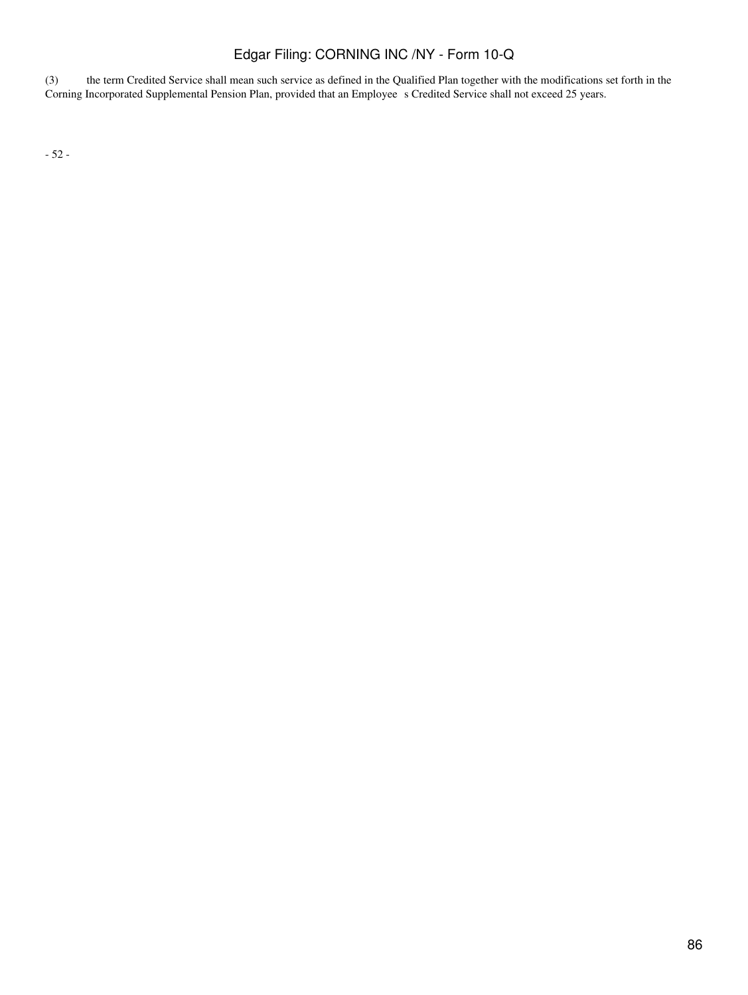(3) the term Credited Service shall mean such service as defined in the Qualified Plan together with the modifications set forth in the Corning Incorporated Supplemental Pension Plan, provided that an Employee s Credited Service shall not exceed 25 years.

- 52 -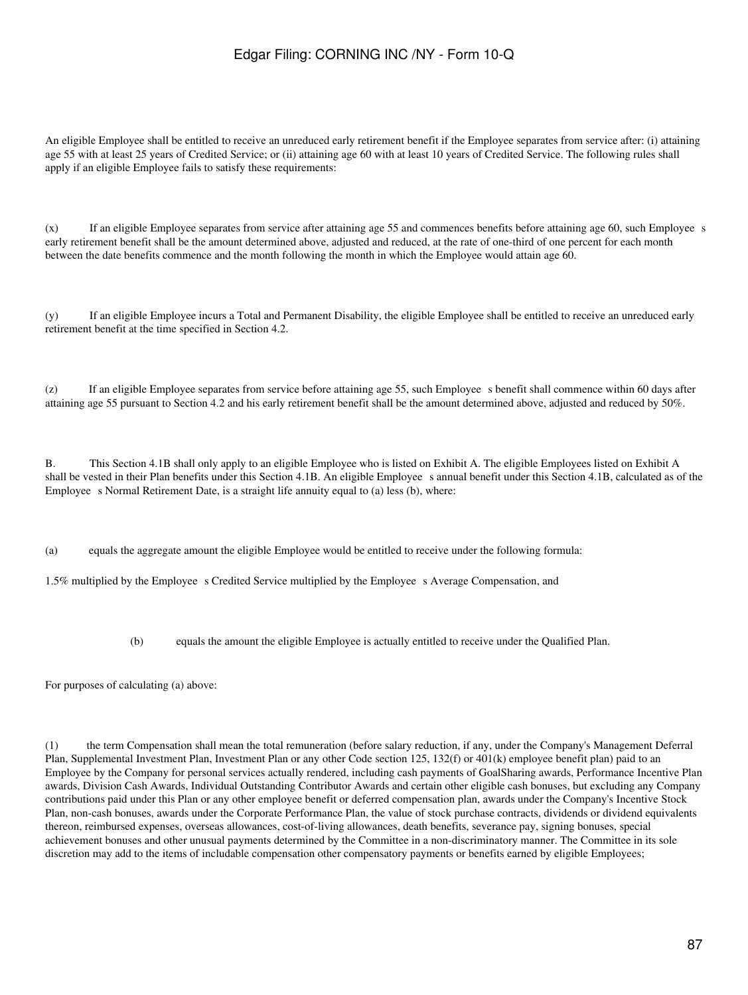An eligible Employee shall be entitled to receive an unreduced early retirement benefit if the Employee separates from service after: (i) attaining age 55 with at least 25 years of Credited Service; or (ii) attaining age 60 with at least 10 years of Credited Service. The following rules shall apply if an eligible Employee fails to satisfy these requirements:

(x) If an eligible Employee separates from service after attaining age 55 and commences benefits before attaining age 60, such Employees early retirement benefit shall be the amount determined above, adjusted and reduced, at the rate of one-third of one percent for each month between the date benefits commence and the month following the month in which the Employee would attain age 60.

(y) If an eligible Employee incurs a Total and Permanent Disability, the eligible Employee shall be entitled to receive an unreduced early retirement benefit at the time specified in Section 4.2.

(z) If an eligible Employee separates from service before attaining age 55, such Employees benefit shall commence within 60 days after attaining age 55 pursuant to Section 4.2 and his early retirement benefit shall be the amount determined above, adjusted and reduced by 50%.

B. This Section 4.1B shall only apply to an eligible Employee who is listed on Exhibit A. The eligible Employees listed on Exhibit A shall be vested in their Plan benefits under this Section 4.1B. An eligible Employees annual benefit under this Section 4.1B, calculated as of the Employee s Normal Retirement Date, is a straight life annuity equal to (a) less (b), where:

(a) equals the aggregate amount the eligible Employee would be entitled to receive under the following formula:

1.5% multiplied by the Employees Credited Service multiplied by the Employees Average Compensation, and

(b) equals the amount the eligible Employee is actually entitled to receive under the Qualified Plan.

For purposes of calculating (a) above:

(1) the term Compensation shall mean the total remuneration (before salary reduction, if any, under the Company's Management Deferral Plan, Supplemental Investment Plan, Investment Plan or any other Code section 125, 132(f) or 401(k) employee benefit plan) paid to an Employee by the Company for personal services actually rendered, including cash payments of GoalSharing awards, Performance Incentive Plan awards, Division Cash Awards, Individual Outstanding Contributor Awards and certain other eligible cash bonuses, but excluding any Company contributions paid under this Plan or any other employee benefit or deferred compensation plan, awards under the Company's Incentive Stock Plan, non-cash bonuses, awards under the Corporate Performance Plan, the value of stock purchase contracts, dividends or dividend equivalents thereon, reimbursed expenses, overseas allowances, cost-of-living allowances, death benefits, severance pay, signing bonuses, special achievement bonuses and other unusual payments determined by the Committee in a non-discriminatory manner. The Committee in its sole discretion may add to the items of includable compensation other compensatory payments or benefits earned by eligible Employees;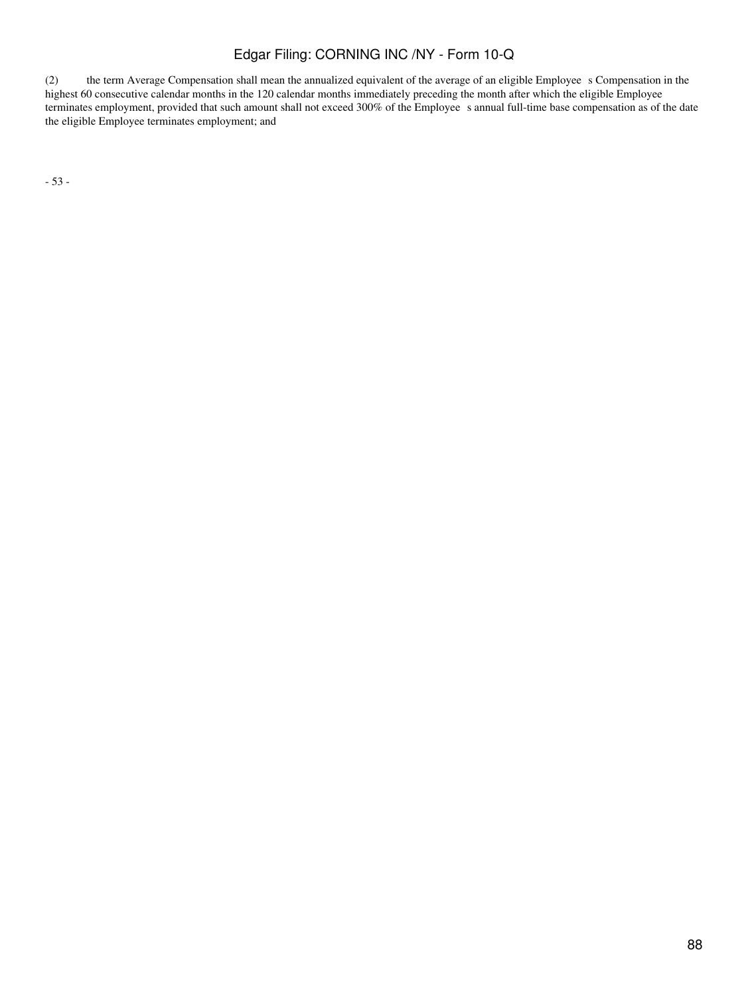(2) the term Average Compensation shall mean the annualized equivalent of the average of an eligible Employee s Compensation in the highest 60 consecutive calendar months in the 120 calendar months immediately preceding the month after which the eligible Employee terminates employment, provided that such amount shall not exceed 300% of the Employee s annual full-time base compensation as of the date the eligible Employee terminates employment; and

- 53 -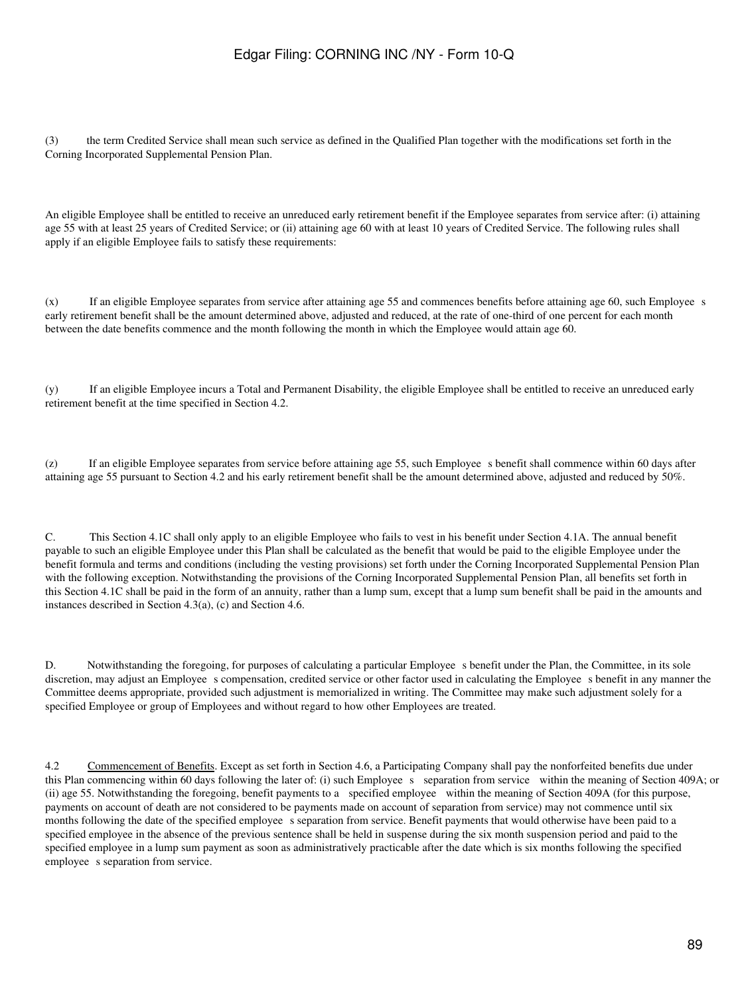(3) the term Credited Service shall mean such service as defined in the Qualified Plan together with the modifications set forth in the Corning Incorporated Supplemental Pension Plan.

An eligible Employee shall be entitled to receive an unreduced early retirement benefit if the Employee separates from service after: (i) attaining age 55 with at least 25 years of Credited Service; or (ii) attaining age 60 with at least 10 years of Credited Service. The following rules shall apply if an eligible Employee fails to satisfy these requirements:

(x) If an eligible Employee separates from service after attaining age 55 and commences benefits before attaining age 60, such Employees early retirement benefit shall be the amount determined above, adjusted and reduced, at the rate of one-third of one percent for each month between the date benefits commence and the month following the month in which the Employee would attain age 60.

(y) If an eligible Employee incurs a Total and Permanent Disability, the eligible Employee shall be entitled to receive an unreduced early retirement benefit at the time specified in Section 4.2.

(z) If an eligible Employee separates from service before attaining age 55, such Employees benefit shall commence within 60 days after attaining age 55 pursuant to Section 4.2 and his early retirement benefit shall be the amount determined above, adjusted and reduced by 50%.

C. This Section 4.1C shall only apply to an eligible Employee who fails to vest in his benefit under Section 4.1A. The annual benefit payable to such an eligible Employee under this Plan shall be calculated as the benefit that would be paid to the eligible Employee under the benefit formula and terms and conditions (including the vesting provisions) set forth under the Corning Incorporated Supplemental Pension Plan with the following exception. Notwithstanding the provisions of the Corning Incorporated Supplemental Pension Plan, all benefits set forth in this Section 4.1C shall be paid in the form of an annuity, rather than a lump sum, except that a lump sum benefit shall be paid in the amounts and instances described in Section 4.3(a), (c) and Section 4.6.

D. Notwithstanding the foregoing, for purposes of calculating a particular Employee s benefit under the Plan, the Committee, in its sole discretion, may adjust an Employee s compensation, credited service or other factor used in calculating the Employee s benefit in any manner the Committee deems appropriate, provided such adjustment is memorialized in writing. The Committee may make such adjustment solely for a specified Employee or group of Employees and without regard to how other Employees are treated.

4.2 Commencement of Benefits. Except as set forth in Section 4.6, a Participating Company shall pay the nonforfeited benefits due under this Plan commencing within 60 days following the later of: (i) such Employees separation from service within the meaning of Section 409A; or (ii) age 55. Notwithstanding the foregoing, benefit payments to a specified employee within the meaning of Section 409A (for this purpose, payments on account of death are not considered to be payments made on account of separation from service) may not commence until six months following the date of the specified employee s separation from service. Benefit payments that would otherwise have been paid to a specified employee in the absence of the previous sentence shall be held in suspense during the six month suspension period and paid to the specified employee in a lump sum payment as soon as administratively practicable after the date which is six months following the specified employee s separation from service.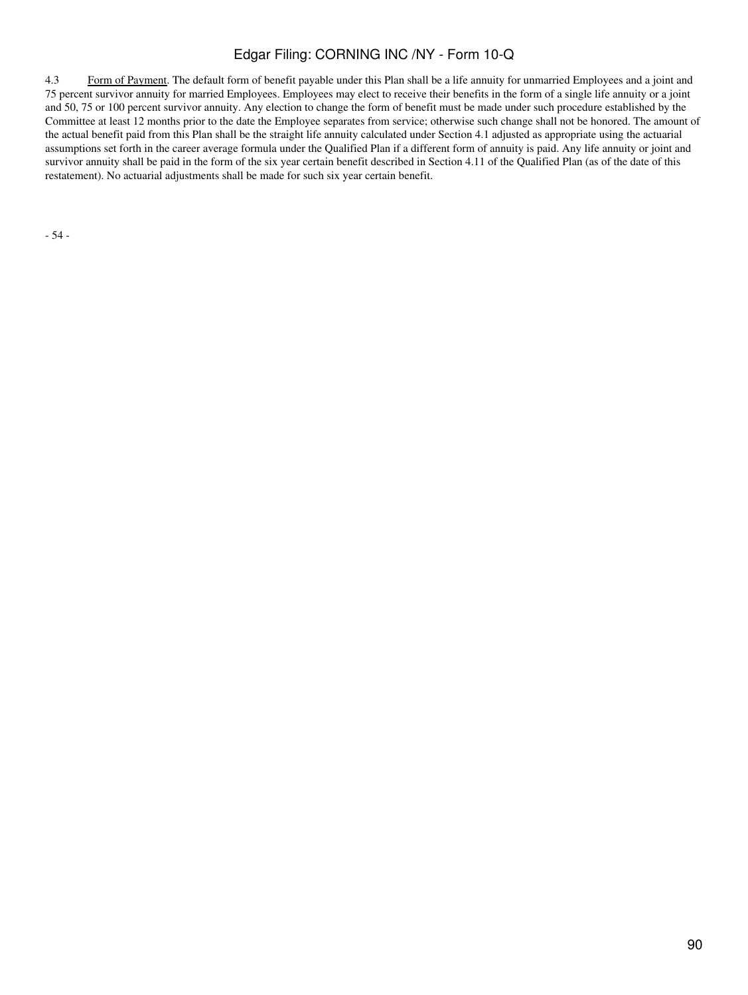4.3 Form of Payment. The default form of benefit payable under this Plan shall be a life annuity for unmarried Employees and a joint and 75 percent survivor annuity for married Employees. Employees may elect to receive their benefits in the form of a single life annuity or a joint and 50, 75 or 100 percent survivor annuity. Any election to change the form of benefit must be made under such procedure established by the Committee at least 12 months prior to the date the Employee separates from service; otherwise such change shall not be honored. The amount of the actual benefit paid from this Plan shall be the straight life annuity calculated under Section 4.1 adjusted as appropriate using the actuarial assumptions set forth in the career average formula under the Qualified Plan if a different form of annuity is paid. Any life annuity or joint and survivor annuity shall be paid in the form of the six year certain benefit described in Section 4.11 of the Qualified Plan (as of the date of this restatement). No actuarial adjustments shall be made for such six year certain benefit.

- 54 -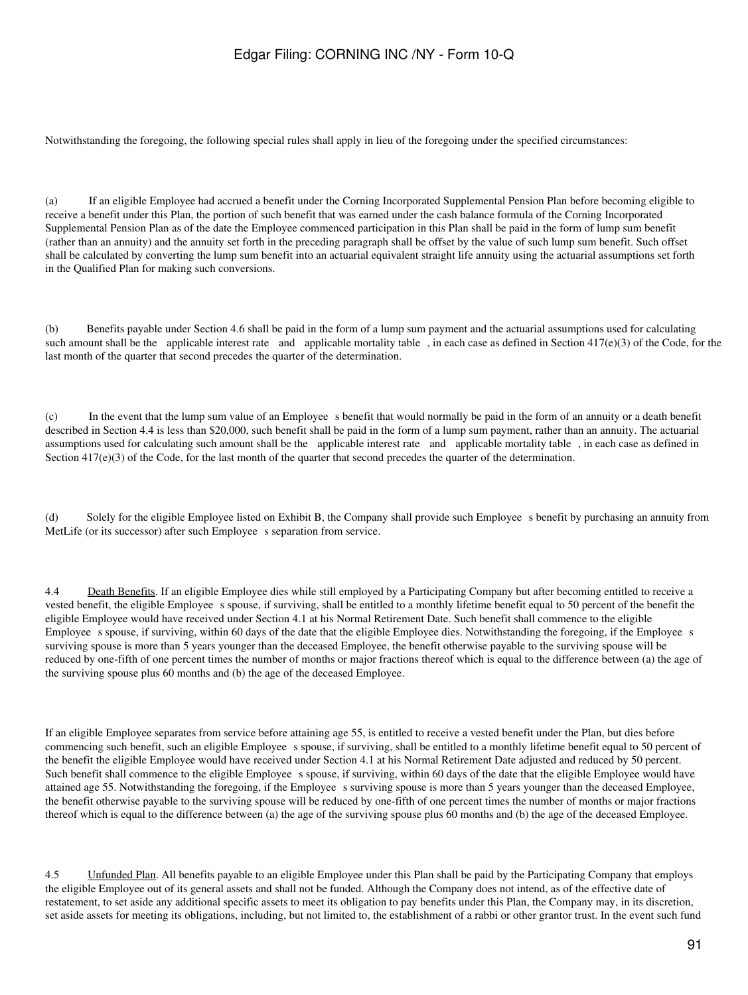Notwithstanding the foregoing, the following special rules shall apply in lieu of the foregoing under the specified circumstances:

(a) If an eligible Employee had accrued a benefit under the Corning Incorporated Supplemental Pension Plan before becoming eligible to receive a benefit under this Plan, the portion of such benefit that was earned under the cash balance formula of the Corning Incorporated Supplemental Pension Plan as of the date the Employee commenced participation in this Plan shall be paid in the form of lump sum benefit (rather than an annuity) and the annuity set forth in the preceding paragraph shall be offset by the value of such lump sum benefit. Such offset shall be calculated by converting the lump sum benefit into an actuarial equivalent straight life annuity using the actuarial assumptions set forth in the Qualified Plan for making such conversions.

(b) Benefits payable under Section 4.6 shall be paid in the form of a lump sum payment and the actuarial assumptions used for calculating such amount shall be the applicable interest rate and applicable mortality table, in each case as defined in Section  $417(e)(3)$  of the Code, for the last month of the quarter that second precedes the quarter of the determination.

(c) In the event that the lump sum value of an Employee s benefit that would normally be paid in the form of an annuity or a death benefit described in Section 4.4 is less than \$20,000, such benefit shall be paid in the form of a lump sum payment, rather than an annuity. The actuarial assumptions used for calculating such amount shall be the applicable interest rate and applicable mortality table, in each case as defined in Section  $417(e)(3)$  of the Code, for the last month of the quarter that second precedes the quarter of the determination.

(d) Solely for the eligible Employee listed on Exhibit B, the Company shall provide such Employees benefit by purchasing an annuity from MetLife (or its successor) after such Employee s separation from service.

4.4 Death Benefits. If an eligible Employee dies while still employed by a Participating Company but after becoming entitled to receive a vested benefit, the eligible Employee s spouse, if surviving, shall be entitled to a monthly lifetime benefit equal to 50 percent of the benefit the eligible Employee would have received under Section 4.1 at his Normal Retirement Date. Such benefit shall commence to the eligible Employee s spouse, if surviving, within 60 days of the date that the eligible Employee dies. Notwithstanding the foregoing, if the Employee s surviving spouse is more than 5 years younger than the deceased Employee, the benefit otherwise payable to the surviving spouse will be reduced by one-fifth of one percent times the number of months or major fractions thereof which is equal to the difference between (a) the age of the surviving spouse plus 60 months and (b) the age of the deceased Employee.

If an eligible Employee separates from service before attaining age 55, is entitled to receive a vested benefit under the Plan, but dies before commencing such benefit, such an eligible Employee s spouse, if surviving, shall be entitled to a monthly lifetime benefit equal to 50 percent of the benefit the eligible Employee would have received under Section 4.1 at his Normal Retirement Date adjusted and reduced by 50 percent. Such benefit shall commence to the eligible Employee s spouse, if surviving, within 60 days of the date that the eligible Employee would have attained age 55. Notwithstanding the foregoing, if the Employee s surviving spouse is more than 5 years younger than the deceased Employee, the benefit otherwise payable to the surviving spouse will be reduced by one-fifth of one percent times the number of months or major fractions thereof which is equal to the difference between (a) the age of the surviving spouse plus 60 months and (b) the age of the deceased Employee.

4.5 Unfunded Plan. All benefits payable to an eligible Employee under this Plan shall be paid by the Participating Company that employs the eligible Employee out of its general assets and shall not be funded. Although the Company does not intend, as of the effective date of restatement, to set aside any additional specific assets to meet its obligation to pay benefits under this Plan, the Company may, in its discretion, set aside assets for meeting its obligations, including, but not limited to, the establishment of a rabbi or other grantor trust. In the event such fund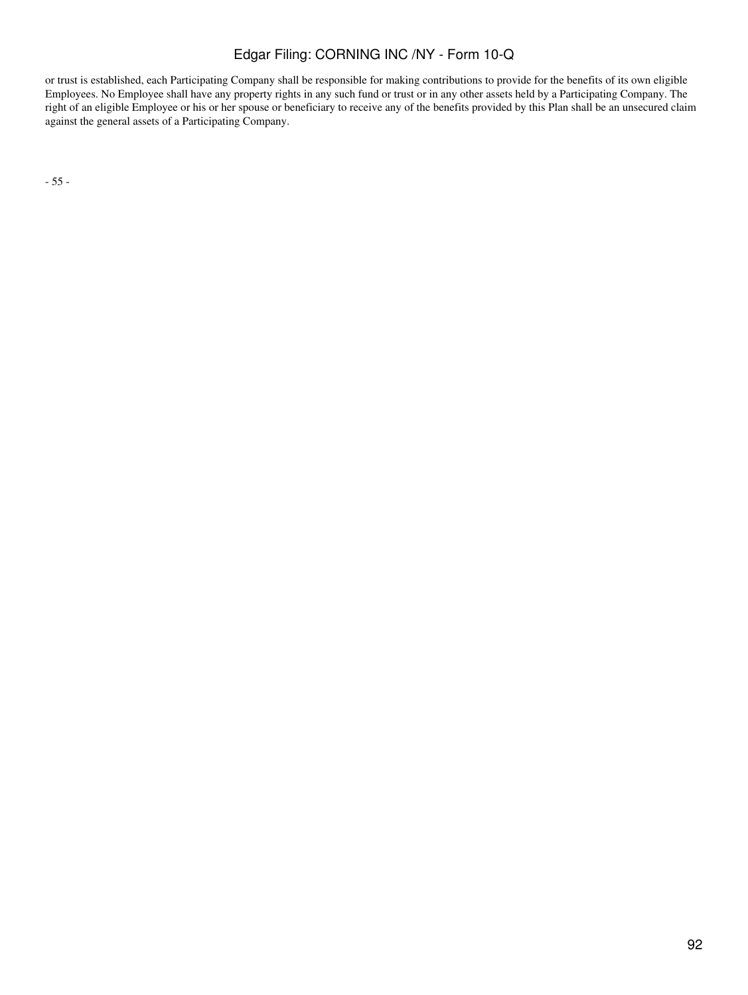or trust is established, each Participating Company shall be responsible for making contributions to provide for the benefits of its own eligible Employees. No Employee shall have any property rights in any such fund or trust or in any other assets held by a Participating Company. The right of an eligible Employee or his or her spouse or beneficiary to receive any of the benefits provided by this Plan shall be an unsecured claim against the general assets of a Participating Company.

- 55 -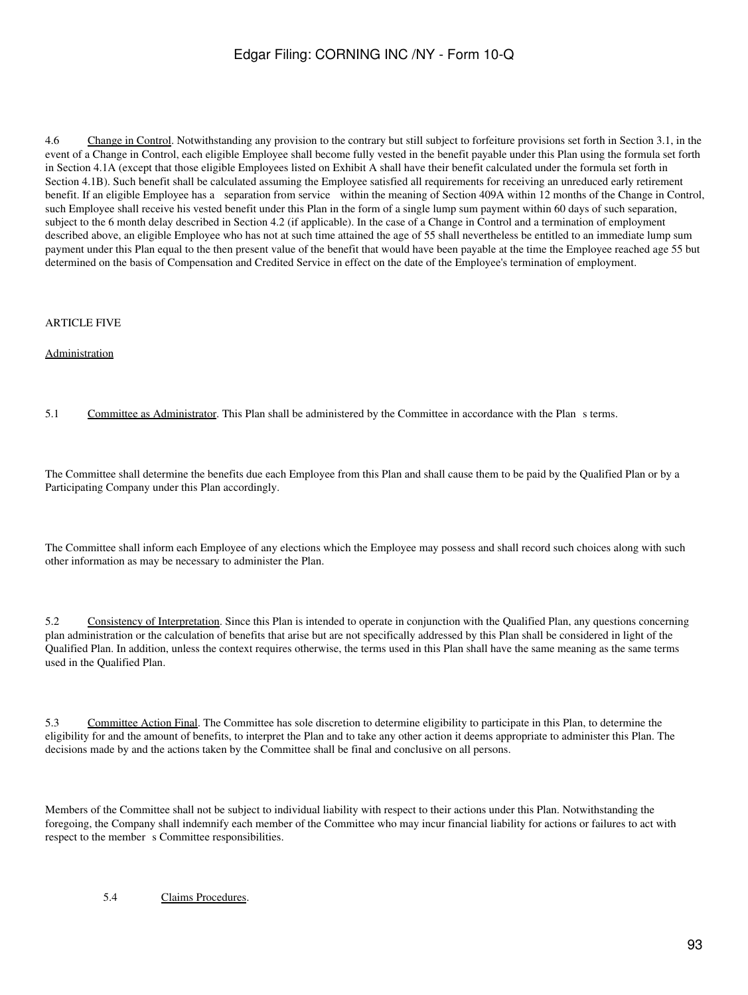4.6 Change in Control. Notwithstanding any provision to the contrary but still subject to forfeiture provisions set forth in Section 3.1, in the event of a Change in Control, each eligible Employee shall become fully vested in the benefit payable under this Plan using the formula set forth in Section 4.1A (except that those eligible Employees listed on Exhibit A shall have their benefit calculated under the formula set forth in Section 4.1B). Such benefit shall be calculated assuming the Employee satisfied all requirements for receiving an unreduced early retirement benefit. If an eligible Employee has a separation from service within the meaning of Section 409A within 12 months of the Change in Control, such Employee shall receive his vested benefit under this Plan in the form of a single lump sum payment within 60 days of such separation, subject to the 6 month delay described in Section 4.2 (if applicable). In the case of a Change in Control and a termination of employment described above, an eligible Employee who has not at such time attained the age of 55 shall nevertheless be entitled to an immediate lump sum payment under this Plan equal to the then present value of the benefit that would have been payable at the time the Employee reached age 55 but determined on the basis of Compensation and Credited Service in effect on the date of the Employee's termination of employment.

ARTICLE FIVE

**Administration** 

5.1 Committee as Administrator. This Plan shall be administered by the Committee in accordance with the Plan s terms.

The Committee shall determine the benefits due each Employee from this Plan and shall cause them to be paid by the Qualified Plan or by a Participating Company under this Plan accordingly.

The Committee shall inform each Employee of any elections which the Employee may possess and shall record such choices along with such other information as may be necessary to administer the Plan.

5.2 Consistency of Interpretation. Since this Plan is intended to operate in conjunction with the Qualified Plan, any questions concerning plan administration or the calculation of benefits that arise but are not specifically addressed by this Plan shall be considered in light of the Qualified Plan. In addition, unless the context requires otherwise, the terms used in this Plan shall have the same meaning as the same terms used in the Qualified Plan.

5.3 Committee Action Final. The Committee has sole discretion to determine eligibility to participate in this Plan, to determine the eligibility for and the amount of benefits, to interpret the Plan and to take any other action it deems appropriate to administer this Plan. The decisions made by and the actions taken by the Committee shall be final and conclusive on all persons.

Members of the Committee shall not be subject to individual liability with respect to their actions under this Plan. Notwithstanding the foregoing, the Company shall indemnify each member of the Committee who may incur financial liability for actions or failures to act with respect to the member s Committee responsibilities.

#### 5.4 Claims Procedures.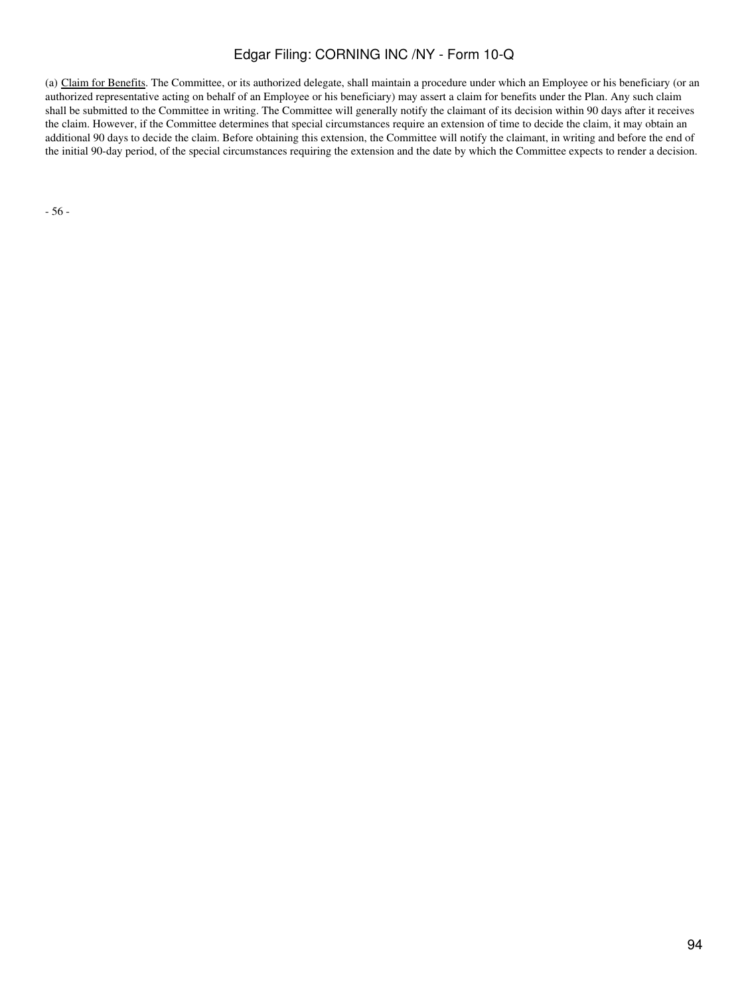(a) Claim for Benefits. The Committee, or its authorized delegate, shall maintain a procedure under which an Employee or his beneficiary (or an authorized representative acting on behalf of an Employee or his beneficiary) may assert a claim for benefits under the Plan. Any such claim shall be submitted to the Committee in writing. The Committee will generally notify the claimant of its decision within 90 days after it receives the claim. However, if the Committee determines that special circumstances require an extension of time to decide the claim, it may obtain an additional 90 days to decide the claim. Before obtaining this extension, the Committee will notify the claimant, in writing and before the end of the initial 90-day period, of the special circumstances requiring the extension and the date by which the Committee expects to render a decision.

- 56 -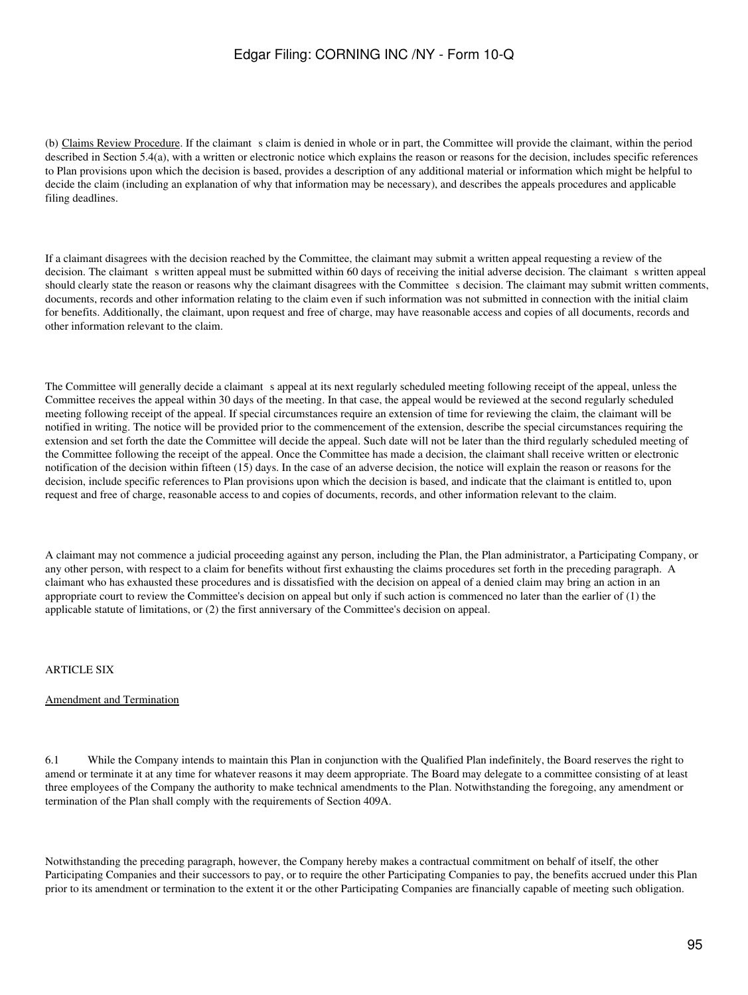(b) Claims Review Procedure. If the claimant s claim is denied in whole or in part, the Committee will provide the claimant, within the period described in Section 5.4(a), with a written or electronic notice which explains the reason or reasons for the decision, includes specific references to Plan provisions upon which the decision is based, provides a description of any additional material or information which might be helpful to decide the claim (including an explanation of why that information may be necessary), and describes the appeals procedures and applicable filing deadlines.

If a claimant disagrees with the decision reached by the Committee, the claimant may submit a written appeal requesting a review of the decision. The claimant s written appeal must be submitted within 60 days of receiving the initial adverse decision. The claimant s written appeal should clearly state the reason or reasons why the claimant disagrees with the Committee s decision. The claimant may submit written comments, documents, records and other information relating to the claim even if such information was not submitted in connection with the initial claim for benefits. Additionally, the claimant, upon request and free of charge, may have reasonable access and copies of all documents, records and other information relevant to the claim.

The Committee will generally decide a claimant s appeal at its next regularly scheduled meeting following receipt of the appeal, unless the Committee receives the appeal within 30 days of the meeting. In that case, the appeal would be reviewed at the second regularly scheduled meeting following receipt of the appeal. If special circumstances require an extension of time for reviewing the claim, the claimant will be notified in writing. The notice will be provided prior to the commencement of the extension, describe the special circumstances requiring the extension and set forth the date the Committee will decide the appeal. Such date will not be later than the third regularly scheduled meeting of the Committee following the receipt of the appeal. Once the Committee has made a decision, the claimant shall receive written or electronic notification of the decision within fifteen (15) days. In the case of an adverse decision, the notice will explain the reason or reasons for the decision, include specific references to Plan provisions upon which the decision is based, and indicate that the claimant is entitled to, upon request and free of charge, reasonable access to and copies of documents, records, and other information relevant to the claim.

A claimant may not commence a judicial proceeding against any person, including the Plan, the Plan administrator, a Participating Company, or any other person, with respect to a claim for benefits without first exhausting the claims procedures set forth in the preceding paragraph. A claimant who has exhausted these procedures and is dissatisfied with the decision on appeal of a denied claim may bring an action in an appropriate court to review the Committee's decision on appeal but only if such action is commenced no later than the earlier of (1) the applicable statute of limitations, or (2) the first anniversary of the Committee's decision on appeal.

#### ARTICLE SIX

#### Amendment and Termination

6.1 While the Company intends to maintain this Plan in conjunction with the Qualified Plan indefinitely, the Board reserves the right to amend or terminate it at any time for whatever reasons it may deem appropriate. The Board may delegate to a committee consisting of at least three employees of the Company the authority to make technical amendments to the Plan. Notwithstanding the foregoing, any amendment or termination of the Plan shall comply with the requirements of Section 409A.

Notwithstanding the preceding paragraph, however, the Company hereby makes a contractual commitment on behalf of itself, the other Participating Companies and their successors to pay, or to require the other Participating Companies to pay, the benefits accrued under this Plan prior to its amendment or termination to the extent it or the other Participating Companies are financially capable of meeting such obligation.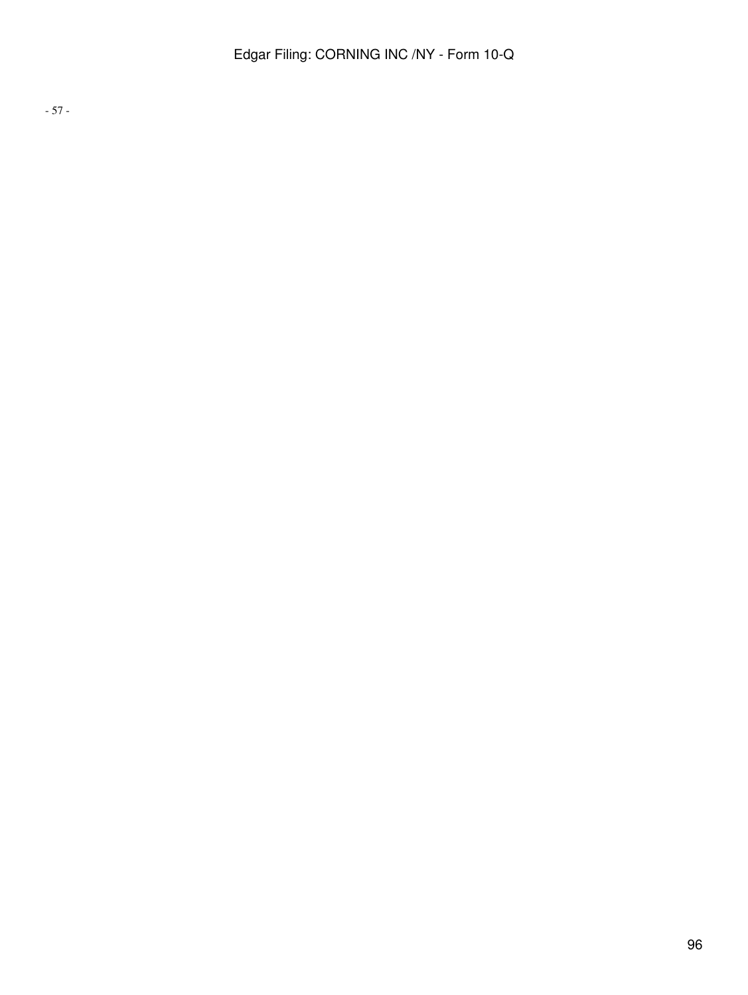- 57 -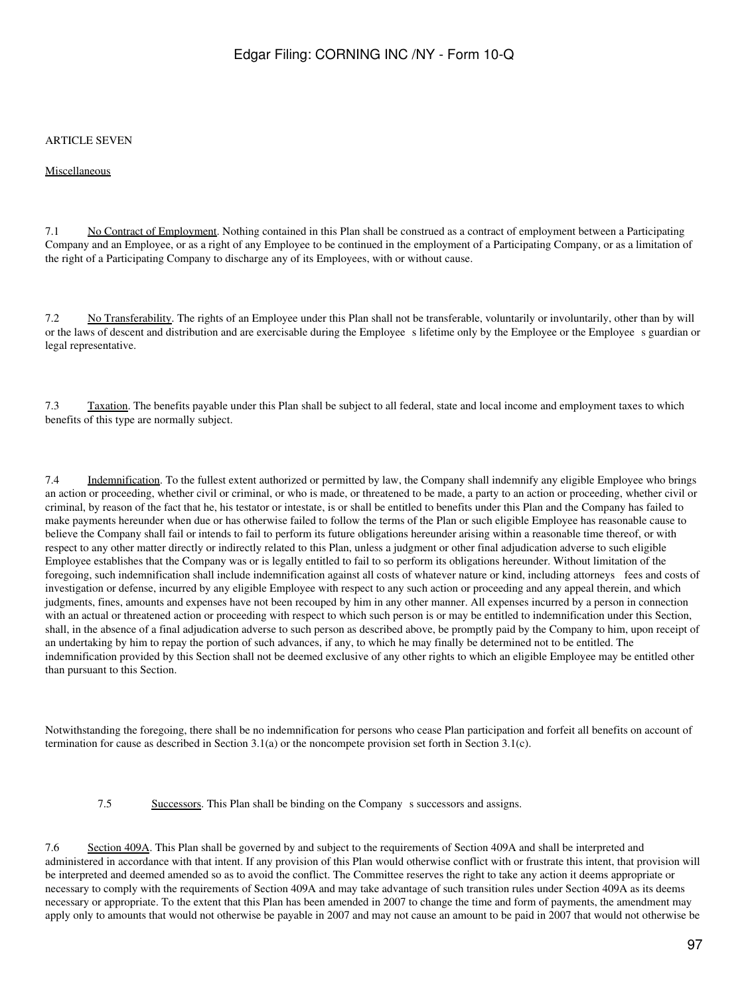#### ARTICLE SEVEN

#### Miscellaneous

7.1 No Contract of Employment. Nothing contained in this Plan shall be construed as a contract of employment between a Participating Company and an Employee, or as a right of any Employee to be continued in the employment of a Participating Company, or as a limitation of the right of a Participating Company to discharge any of its Employees, with or without cause.

7.2 No Transferability. The rights of an Employee under this Plan shall not be transferable, voluntarily or involuntarily, other than by will or the laws of descent and distribution and are exercisable during the Employee s lifetime only by the Employee or the Employee s guardian or legal representative.

7.3 Taxation. The benefits payable under this Plan shall be subject to all federal, state and local income and employment taxes to which benefits of this type are normally subject.

7.4 Indemnification. To the fullest extent authorized or permitted by law, the Company shall indemnify any eligible Employee who brings an action or proceeding, whether civil or criminal, or who is made, or threatened to be made, a party to an action or proceeding, whether civil or criminal, by reason of the fact that he, his testator or intestate, is or shall be entitled to benefits under this Plan and the Company has failed to make payments hereunder when due or has otherwise failed to follow the terms of the Plan or such eligible Employee has reasonable cause to believe the Company shall fail or intends to fail to perform its future obligations hereunder arising within a reasonable time thereof, or with respect to any other matter directly or indirectly related to this Plan, unless a judgment or other final adjudication adverse to such eligible Employee establishes that the Company was or is legally entitled to fail to so perform its obligations hereunder. Without limitation of the foregoing, such indemnification shall include indemnification against all costs of whatever nature or kind, including attorneys fees and costs of investigation or defense, incurred by any eligible Employee with respect to any such action or proceeding and any appeal therein, and which judgments, fines, amounts and expenses have not been recouped by him in any other manner. All expenses incurred by a person in connection with an actual or threatened action or proceeding with respect to which such person is or may be entitled to indemnification under this Section, shall, in the absence of a final adjudication adverse to such person as described above, be promptly paid by the Company to him, upon receipt of an undertaking by him to repay the portion of such advances, if any, to which he may finally be determined not to be entitled. The indemnification provided by this Section shall not be deemed exclusive of any other rights to which an eligible Employee may be entitled other than pursuant to this Section.

Notwithstanding the foregoing, there shall be no indemnification for persons who cease Plan participation and forfeit all benefits on account of termination for cause as described in Section 3.1(a) or the noncompete provision set forth in Section 3.1(c).

7.5 Successors. This Plan shall be binding on the Companys successors and assigns.

7.6 Section 409A. This Plan shall be governed by and subject to the requirements of Section 409A and shall be interpreted and administered in accordance with that intent. If any provision of this Plan would otherwise conflict with or frustrate this intent, that provision will be interpreted and deemed amended so as to avoid the conflict. The Committee reserves the right to take any action it deems appropriate or necessary to comply with the requirements of Section 409A and may take advantage of such transition rules under Section 409A as its deems necessary or appropriate. To the extent that this Plan has been amended in 2007 to change the time and form of payments, the amendment may apply only to amounts that would not otherwise be payable in 2007 and may not cause an amount to be paid in 2007 that would not otherwise be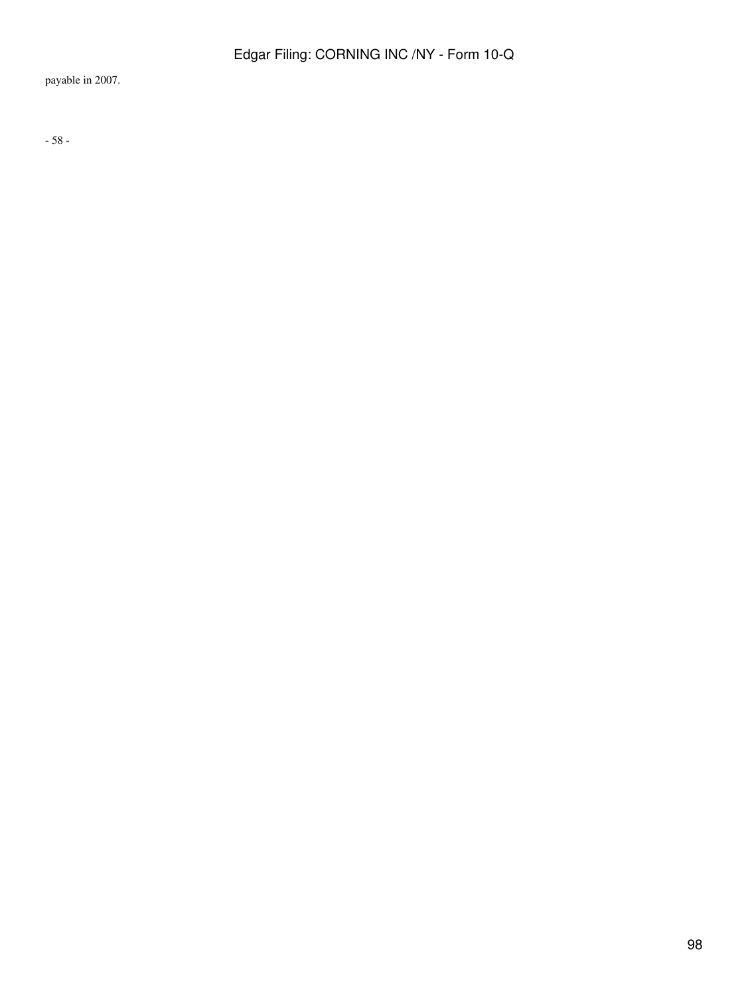payable in 2007.

- 58 -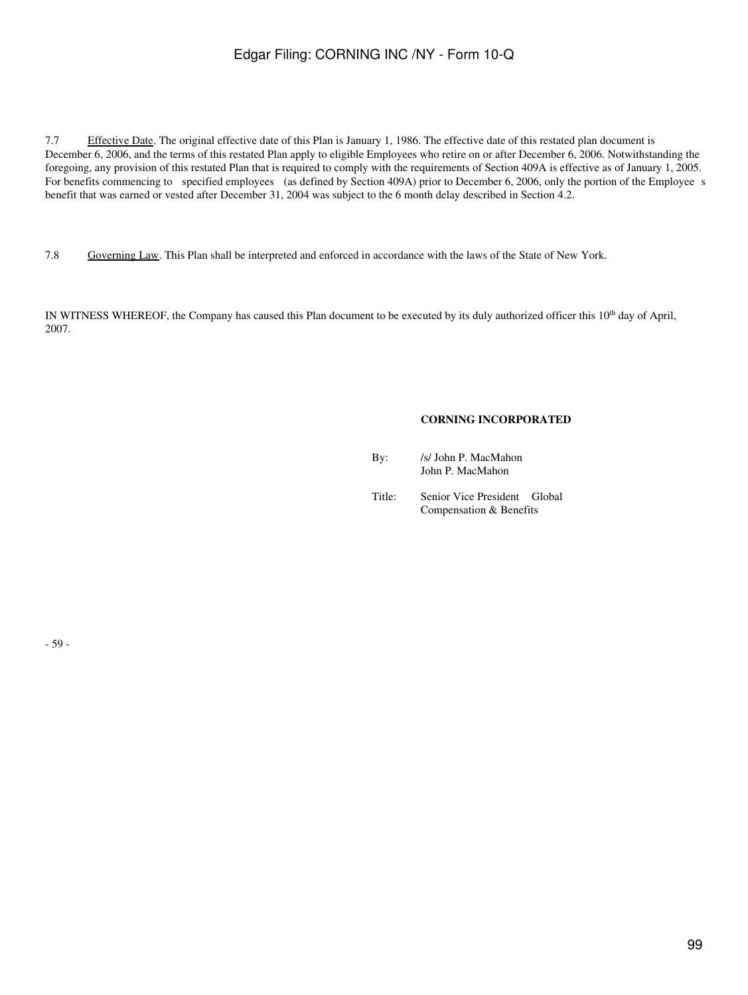7.7 Effective Date. The original effective date of this Plan is January 1, 1986. The effective date of this restated plan document is December 6, 2006, and the terms of this restated Plan apply to eligible Employees who retire on or after December 6, 2006. Notwithstanding the foregoing, any provision of this restated Plan that is required to comply with the requirements of Section 409A is effective as of January 1, 2005. For benefits commencing to specified employees (as defined by Section 409A) prior to December 6, 2006, only the portion of the Employee s benefit that was earned or vested after December 31, 2004 was subject to the 6 month delay described in Section 4.2.

7.8 Governing Law. This Plan shall be interpreted and enforced in accordance with the laws of the State of New York.

IN WITNESS WHEREOF, the Company has caused this Plan document to be executed by its duly authorized officer this 10<sup>th</sup> day of April, 2007.

### **CORNING INCORPORATED**

| $\rm\,By:$ | /s/ John P. MacMahon<br>John P. MacMahon |  |
|------------|------------------------------------------|--|
| Title:     | Senior Vice President Global             |  |

Compensation & Benefits

- 59 -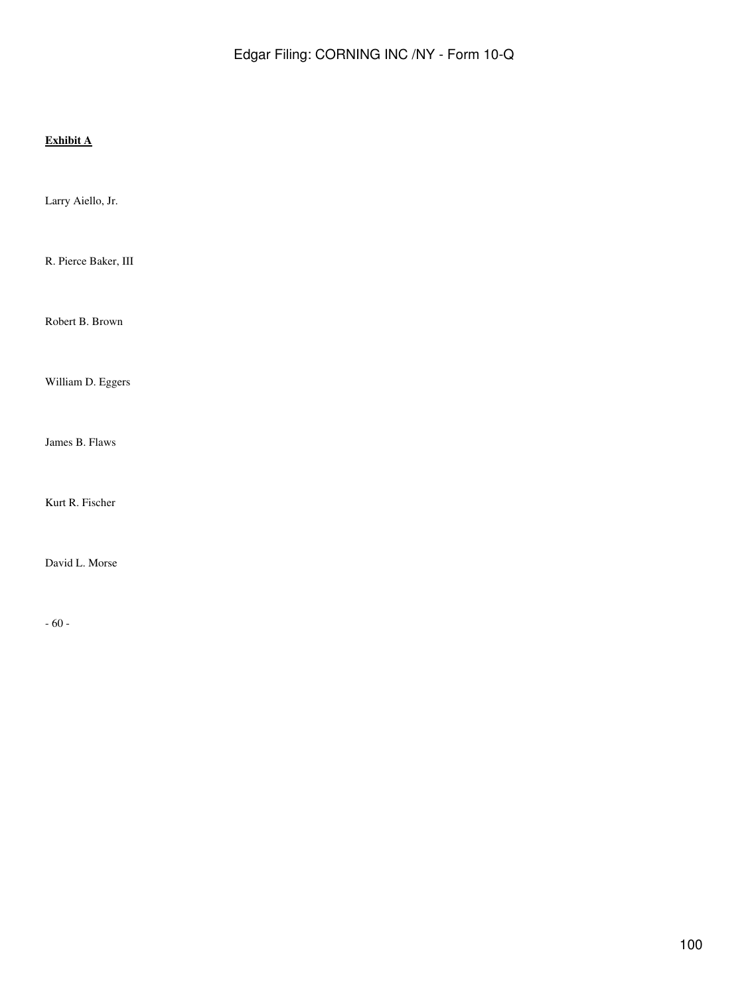### **Exhibit A**

Larry Aiello, Jr.

R. Pierce Baker, III

Robert B. Brown

William D. Eggers

James B. Flaws

Kurt R. Fischer

David L. Morse

- 60 -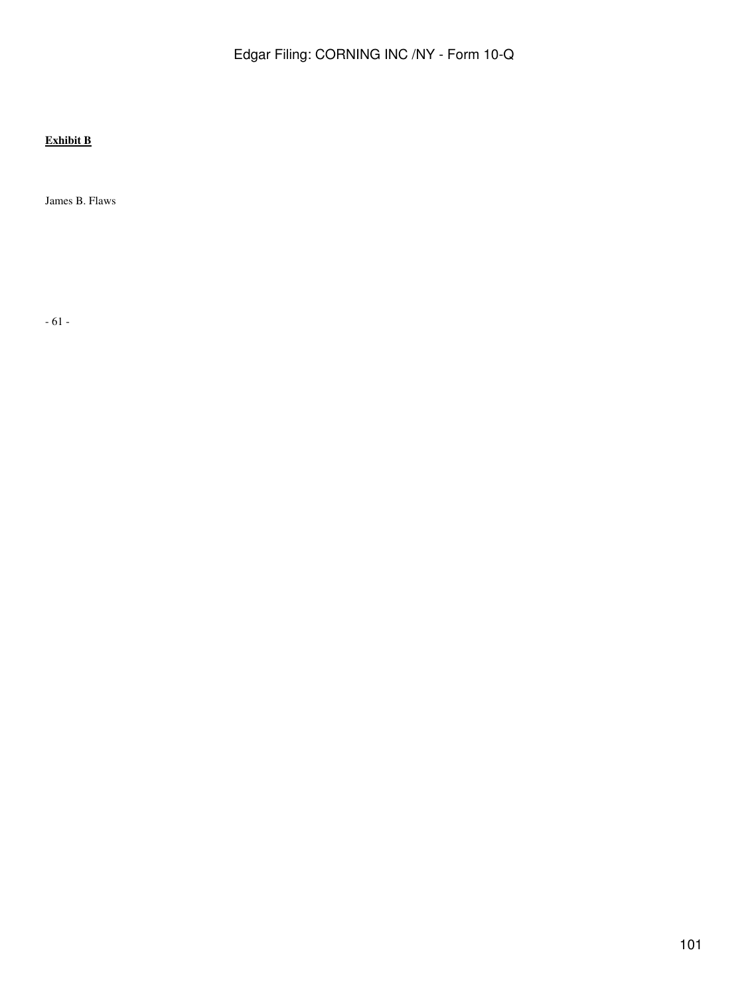### **Exhibit B**

James B. Flaws

- 61 -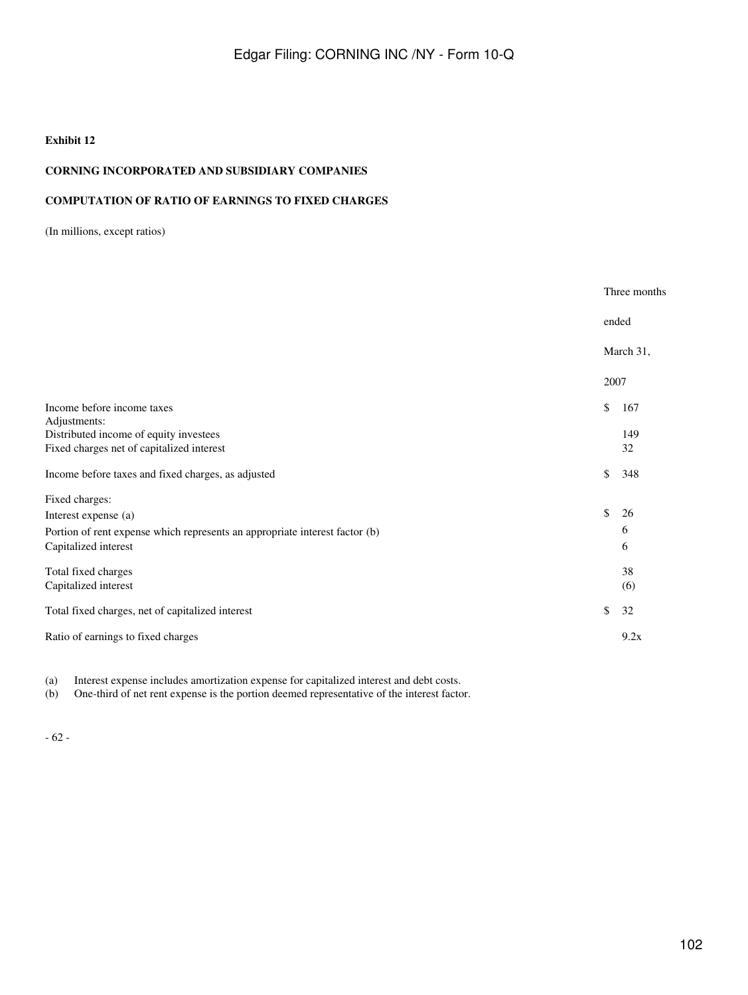### **Exhibit 12**

#### **CORNING INCORPORATED AND SUBSIDIARY COMPANIES**

### **COMPUTATION OF RATIO OF EARNINGS TO FIXED CHARGES**

(In millions, except ratios)

|                                                                                                     |       | Three months |
|-----------------------------------------------------------------------------------------------------|-------|--------------|
|                                                                                                     | ended |              |
|                                                                                                     |       | March 31,    |
|                                                                                                     | 2007  |              |
| Income before income taxes                                                                          | \$    | 167          |
| Adjustments:<br>Distributed income of equity investees<br>Fixed charges net of capitalized interest |       | 149<br>32    |
| Income before taxes and fixed charges, as adjusted                                                  | \$    | 348          |
| Fixed charges:                                                                                      |       |              |
| Interest expense (a)                                                                                | \$    | 26           |
| Portion of rent expense which represents an appropriate interest factor (b)                         |       | 6            |
| Capitalized interest                                                                                |       | 6            |
| Total fixed charges                                                                                 |       | 38           |
| Capitalized interest                                                                                |       | (6)          |
| Total fixed charges, net of capitalized interest                                                    | \$    | 32           |
| Ratio of earnings to fixed charges                                                                  |       | 9.2x         |
|                                                                                                     |       |              |

(a) Interest expense includes amortization expense for capitalized interest and debt costs.

(b) One-third of net rent expense is the portion deemed representative of the interest factor.

- 62 -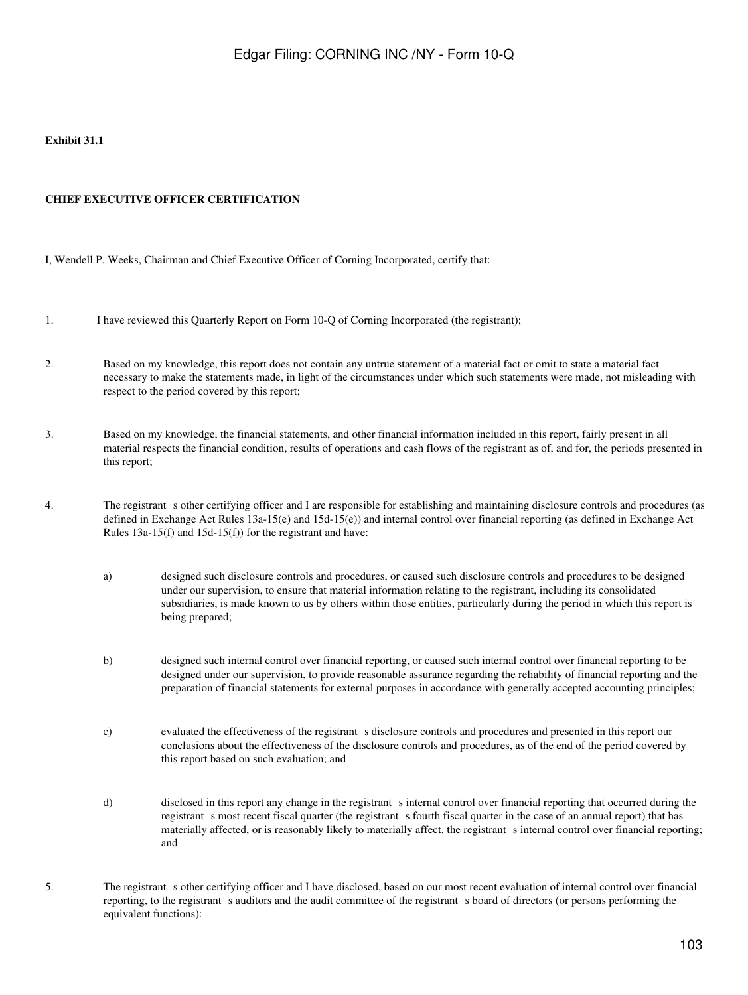#### **Exhibit 31.1**

#### **CHIEF EXECUTIVE OFFICER CERTIFICATION**

- I, Wendell P. Weeks, Chairman and Chief Executive Officer of Corning Incorporated, certify that:
- 1. I have reviewed this Quarterly Report on Form 10-Q of Corning Incorporated (the registrant);
- 2. Based on my knowledge, this report does not contain any untrue statement of a material fact or omit to state a material fact necessary to make the statements made, in light of the circumstances under which such statements were made, not misleading with respect to the period covered by this report;

3. Based on my knowledge, the financial statements, and other financial information included in this report, fairly present in all material respects the financial condition, results of operations and cash flows of the registrant as of, and for, the periods presented in this report;

- 4. The registrant s other certifying officer and I are responsible for establishing and maintaining disclosure controls and procedures (as defined in Exchange Act Rules 13a-15(e) and 15d-15(e)) and internal control over financial reporting (as defined in Exchange Act Rules 13a-15(f) and 15d-15(f)) for the registrant and have:
	- a) designed such disclosure controls and procedures, or caused such disclosure controls and procedures to be designed under our supervision, to ensure that material information relating to the registrant, including its consolidated subsidiaries, is made known to us by others within those entities, particularly during the period in which this report is being prepared;
	- b) designed such internal control over financial reporting, or caused such internal control over financial reporting to be designed under our supervision, to provide reasonable assurance regarding the reliability of financial reporting and the preparation of financial statements for external purposes in accordance with generally accepted accounting principles;
	- c) evaluated the effectiveness of the registrant s disclosure controls and procedures and presented in this report our conclusions about the effectiveness of the disclosure controls and procedures, as of the end of the period covered by this report based on such evaluation; and
	- d) disclosed in this report any change in the registrant s internal control over financial reporting that occurred during the registrant s most recent fiscal quarter (the registrant s fourth fiscal quarter in the case of an annual report) that has materially affected, or is reasonably likely to materially affect, the registrant s internal control over financial reporting; and
- 5. The registrant s other certifying officer and I have disclosed, based on our most recent evaluation of internal control over financial reporting, to the registrant s auditors and the audit committee of the registrant s board of directors (or persons performing the equivalent functions):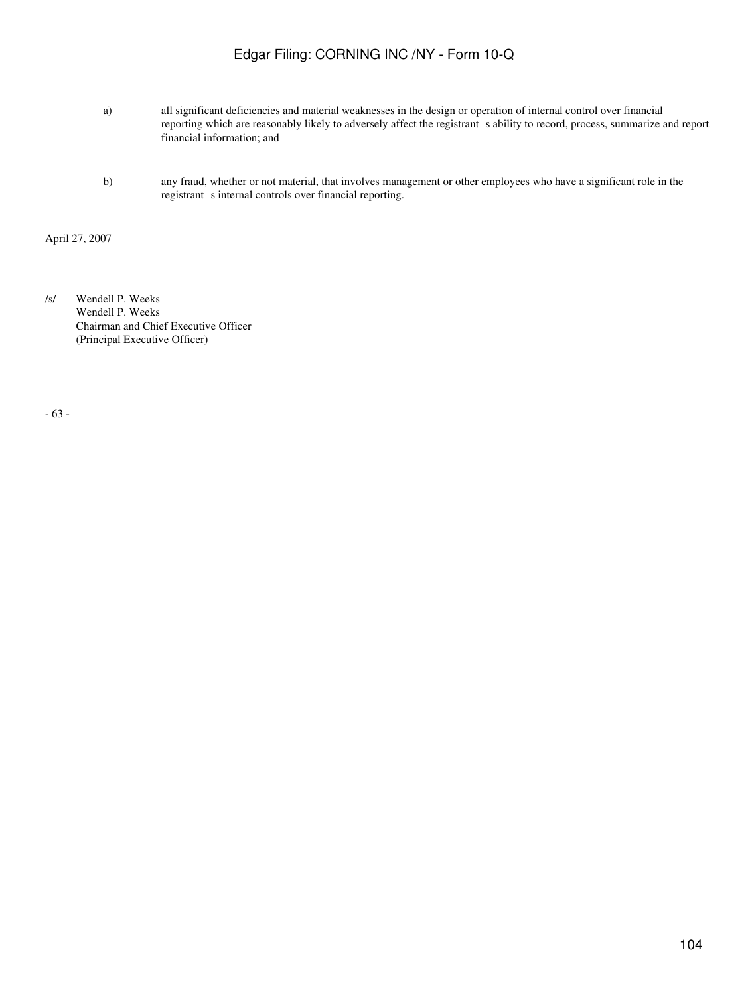- a) all significant deficiencies and material weaknesses in the design or operation of internal control over financial reporting which are reasonably likely to adversely affect the registrant s ability to record, process, summarize and report financial information; and
- b) any fraud, whether or not material, that involves management or other employees who have a significant role in the registrant s internal controls over financial reporting.

April 27, 2007

/s/ Wendell P. Weeks Wendell P. Weeks Chairman and Chief Executive Officer (Principal Executive Officer)

- 63 -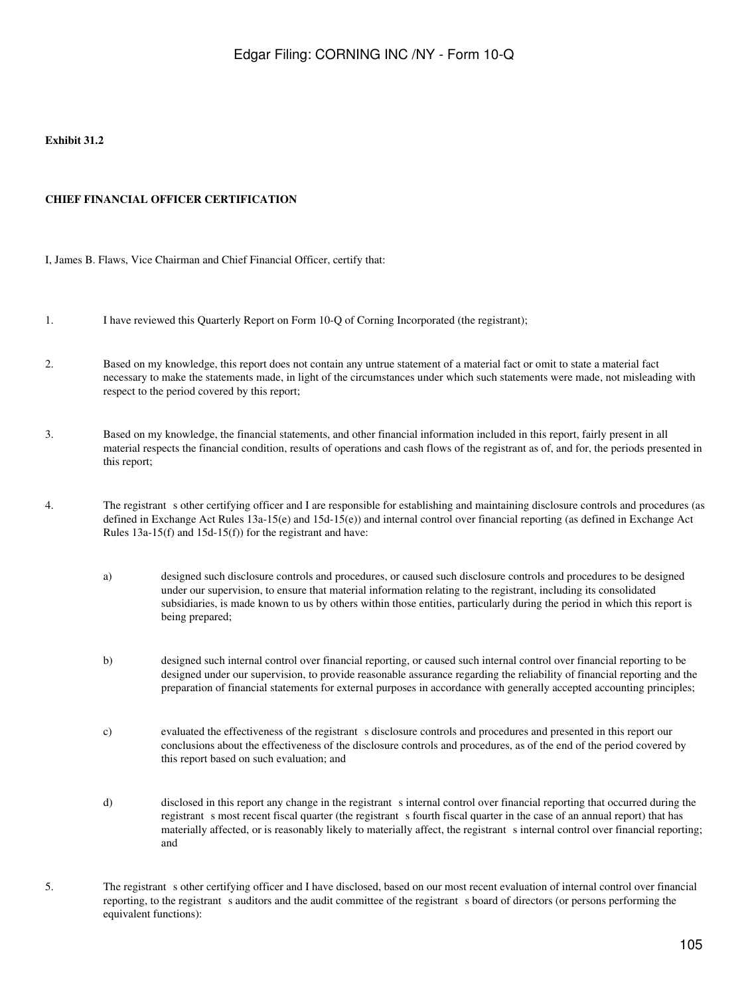#### **Exhibit 31.2**

#### **CHIEF FINANCIAL OFFICER CERTIFICATION**

I, James B. Flaws, Vice Chairman and Chief Financial Officer, certify that:

- 1. I have reviewed this Quarterly Report on Form 10-Q of Corning Incorporated (the registrant);
- 2. Based on my knowledge, this report does not contain any untrue statement of a material fact or omit to state a material fact necessary to make the statements made, in light of the circumstances under which such statements were made, not misleading with respect to the period covered by this report;

3. Based on my knowledge, the financial statements, and other financial information included in this report, fairly present in all material respects the financial condition, results of operations and cash flows of the registrant as of, and for, the periods presented in this report;

- 4. The registrant s other certifying officer and I are responsible for establishing and maintaining disclosure controls and procedures (as defined in Exchange Act Rules 13a-15(e) and 15d-15(e)) and internal control over financial reporting (as defined in Exchange Act Rules 13a-15(f) and 15d-15(f)) for the registrant and have:
	- a) designed such disclosure controls and procedures, or caused such disclosure controls and procedures to be designed under our supervision, to ensure that material information relating to the registrant, including its consolidated subsidiaries, is made known to us by others within those entities, particularly during the period in which this report is being prepared;
	- b) designed such internal control over financial reporting, or caused such internal control over financial reporting to be designed under our supervision, to provide reasonable assurance regarding the reliability of financial reporting and the preparation of financial statements for external purposes in accordance with generally accepted accounting principles;
	- c) evaluated the effectiveness of the registrant s disclosure controls and procedures and presented in this report our conclusions about the effectiveness of the disclosure controls and procedures, as of the end of the period covered by this report based on such evaluation; and
	- d) disclosed in this report any change in the registrant s internal control over financial reporting that occurred during the registrant s most recent fiscal quarter (the registrant s fourth fiscal quarter in the case of an annual report) that has materially affected, or is reasonably likely to materially affect, the registrant s internal control over financial reporting; and
- 5. The registrant s other certifying officer and I have disclosed, based on our most recent evaluation of internal control over financial reporting, to the registrant s auditors and the audit committee of the registrant s board of directors (or persons performing the equivalent functions):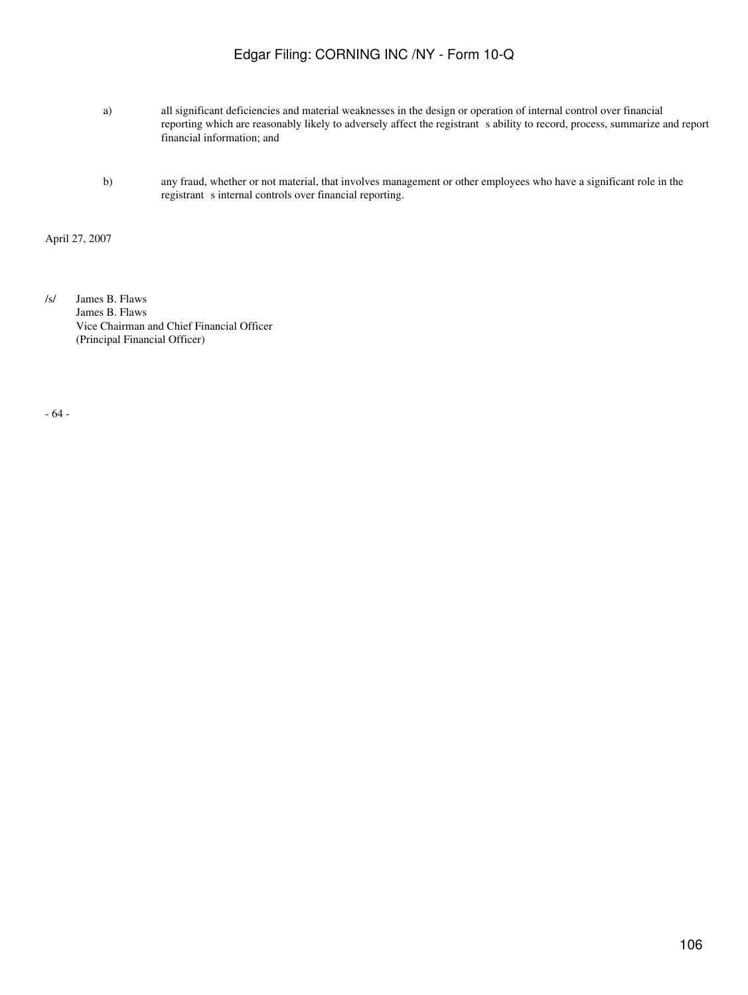- a) all significant deficiencies and material weaknesses in the design or operation of internal control over financial reporting which are reasonably likely to adversely affect the registrant s ability to record, process, summarize and report financial information; and
- b) any fraud, whether or not material, that involves management or other employees who have a significant role in the registrant s internal controls over financial reporting.

April 27, 2007

/s/ James B. Flaws James B. Flaws Vice Chairman and Chief Financial Officer (Principal Financial Officer)

- 64 -